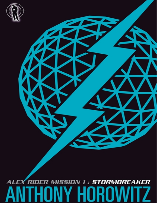

### **ALEX** MISSION RIL : 5 TORMBREAKER 58 1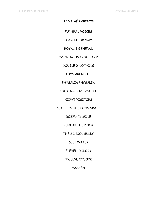# **Table of Contents**

[FUNERAL VOICES](#page-2-0)

[HEAVEN FOR CARS](#page-11-0)

[ROYAL & GENERAL](#page-21-0)

["SO WHAT DO YOU SAY?"](#page-30-0)

[DOUBLE 0 NOTHING](#page-44-0)

[TOYS AREN"T US](#page-56-0)

[PHYSALIA PHYSALIA](#page-68-0)

[LOOKING FOR TROUBLE](#page-78-0)

[NIGHT VISITORS](#page-87-0)

[DEATH IN THE LONG GRASS](#page-102-0)

[DOZMARY MINE](#page-112-0)

[BEHIND THE DOOR](#page-126-0)

[THE SCHOOL BULLY](#page-137-0)

[DEEP WATER](#page-145-0)

[ELEVEN O"CLOCK](#page-155-0)

[TWELVE O"CLOCK](#page-161-0)

[YASSEN](#page-171-0)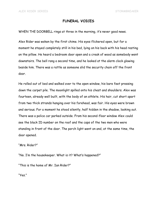# **FUNERAL VOICES**

<span id="page-2-0"></span>WHEN THE DOORBELL rings at three in the morning, it's never good news.

Alex Rider was woken by the first chime. His eyes flickered open, but for a moment he stayed completely still in his bed, lying on his back with his head resting on the pillow. He heard a bedroom door open and a creak of wood as somebody went downstairs. The bell rang a second time, and he looked at the alarm clock glowing beside him. There was a rattle as someone slid the security chain off the front door.

He rolled out of bed and walked over to the open window, his bare feet pressing down the carpet pile. The moonlight spilled onto his chest and shoulders. Alex was fourteen, already well built, with the body of an athlete. His hair, cut short apart from two thick strands hanging over his forehead, was fair. His eyes were brown and serious. For a moment he stood silently, half hidden in the shadow, looking out. There was a police car parked outside. From his second-floor window Alex could see the black ID number on the roof and the caps of the two men who were standing in front of the door. The porch light went on and, at the same time, the door opened.

"Mrs. Rider?"

"No. I"m the housekeeper. What is it? What"s happened?"

"This is the home of Mr. Ian Rider?"

"Yes."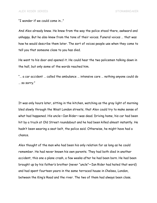"I wonder if we could come in…"

And Alex already knew. He knew from the way the police stood there, awkward and unhappy. But he also knew from the tone of their voices. Funeral voices … that was how he would describe them later. The sort of voices people use when they come to tell you that someone close to you has died.

He went to his door and opened it. He could hear the two policemen talking down in the hall, but only some of the words reached him.

"… a car accident … called the ambulance … intensive care … nothing anyone could do … so sorry."

It was only hours later, sitting in the kitchen, watching as the gray light of morning bled slowly through the West London streets, that Alex could try to make sense of what had happened. His uncle—Ian Rider—was dead. Driving home, his car had been hit by a truck at Old Street roundabout and he had been killed almost instantly. He hadn"t been wearing a seat belt, the police said. Otherwise, he might have had a chance.

Alex thought of the man who had been his only relation for as long as he could remember. He had never known his own parents. They had both died in another accident, this one a plane crash, a few weeks after he had been born. He had been brought up by his father"s brother (never "uncle"—Ian Rider had hated that word) and had spent fourteen years in the same terraced house in Chelsea, London, between the King"s Road and the river. The two of them had always been close.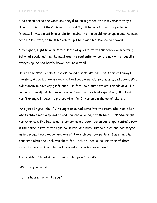Alex remembered the vacations they"d taken together, the many sports they"d played, the movies they"d seen. They hadn"t just been relations, they"d been friends. It was almost impossible to imagine that he would never again see the man, hear his laughter, or twist his arm to get help with his science homework.

Alex sighed, fighting against the sense of grief that was suddenly overwhelming. But what saddened him the most was the realization—too late now—that despite everything, he had hardly known his uncle at all.

He was a banker. People said Alex looked a little like him. Ian Rider was always traveling. A quiet, private man who liked good wine, classical music, and books. Who didn"t seem to have any girlfriends … in fact, he didn"t have any friends at all. He had kept himself fit, had never smoked, and had dressed expensively. But that wasn't enough. It wasn't a picture of a life. It was only a thumbnail sketch.

"Are you all right, Alex?" A young woman had come into the room. She was in her late twenties with a sprawl of red hair and a round, boyish face. Jack Starbright was American. She had come to London as a student seven years ago, rented a room in the house in return for light housework and baby-sitting duties and had stayed on to become housekeeper and one of Alex"s closest companions. Sometimes he wondered what the Jack was short for. Jackie? Jacqueline? Neither of them suited her and although he had once asked, she had never said.

Alex nodded. "What do you think will happen?" he asked.

"What do you mean?

"To the house. To me. To you."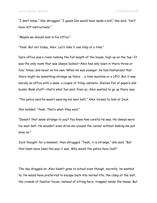"I don"t know." She shrugged. "I guess Ian would have made a will," she said. "He"ll have left instructions."

"Maybe we should look in his office."

"Yeah. But not today, Alex. Let"s take it one step at a time."

Ian"s office was a room running the full length of the house, high up on the top—It was the only room that was always locked—Alex had only been in there three or four times, and never on his own. When he was younger, he had fantasized that there might be something strange up there … a time machine or a UFO. But it was merely an office with a desk, a couple of filing cabinets, shelves full of papers and books. Bank stuff—that"s what Ian said. Even so, Alex wanted to go up there now.

"The police said he wasn"t wearing his seat belt." Alex turned to look at Jack.

She nodded. "Yeah. That"s what they said."

"Doesn"t that seem strange to you? You know how careful he was. He always wore his seat belt. He wouldn"t even drive me around the corner without making me put mine on."

Jack thought for a moment, then shrugged. "Yeah, it is strange," she said. "But that must have been the way it was. Why would the police have lied?"

The day dragged on. Alex hadn"t gone to school even though, secretly, he wanted to. He would have preferred to escape back into normal life, the clang of the bell, the crowds of familiar faces, instead of sitting here, trapped inside the house. But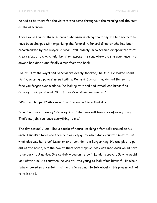he had to be there for the visitors who came throughout the morning and the rest of the afternoon.

There were five of them. A lawyer who knew nothing about any will but seemed to have been charged with organizing the funeral. A funeral director who had been recommended by the lawyer. A vicar—tall, elderly—who seemed disappointed that Alex refused to cry. A neighbor from across the road—how did she even know that anyone had died? And finally a man from the bank.

"All of us at the Royal and General are deeply shocked," he said. He looked about thirty, wearing a polyester suit with a Marks & Spencer tie. He had the sort of face you forget even while you"re looking at it and had introduced himself as Crawley, from personnel. "But if there"s anything we can do…"

"What will happen?" Alex asked for the second time that day.

"You don"t have to worry," Crawley said. "The bank will take care of everything. That"s my job. You leave everything to me."

The day passed. Alex killed a couple of hours knocking a few balls around on his uncle"s snooker table and then felt vaguely guilty when Jack caught him at it. But what else was he to do? Later on she took him to a Burger King. He was glad to get out of the house, but the two of them barely spoke. Alex assumed Jack would have to go back to America. She certainly couldn"t stay in London forever. So who would look after him? At fourteen, he was still too young to look after himself. His whole future looked so uncertain that he preferred not to talk about it. He preferred not to talk at all.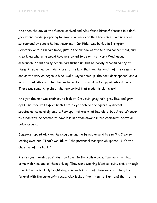And then the day of the funeral arrived and Alex found himself dressed in a dark jacket and cords, preparing to leave in a black car that had come from nowhere surrounded by people he had never met. Ian Rider was buried in Brompton Cemetery on the Fulham Road, just in the shadow of the Chelsea soccer field, and Alex knew where he would have preferred to be on that warm Wednesday afternoon. About thirty people had turned up, but he hardly recognized any of them. A grave had been dug close to the lane that ran the length of the cemetery, and as the service began, a black Rolls-Royce drew up, the back door opened, and a man got out. Alex watched him as he walked forward and stopped. Alex shivered. There was something about the new arrival that made his skin crawl.

And yet the man was ordinary to look at. Gray suit, gray hair, gray lips, and gray eyes. His face was expressionless, the eyes behind the square, gunmetal spectacles, completely empty. Perhaps that was what had disturbed Alex. Whoever this man was, he seemed to have less life than anyone in the cemetery. Above or below ground.

Someone tapped Alex on the shoulder and he turned around to see Mr. Crawley leaning over him. "That"s Mr. Blunt," the personnel manager whispered. "He"s the chairman of the bank."

Alex"s eyes traveled past Blunt and over to the Rolls-Royce. Two more men had come with him, one of them driving. They were wearing identical suits and, although it wasn"t a particularly bright day, sunglasses. Both of them were watching the funeral with the same grim faces. Alex looked from them to Blunt and then to the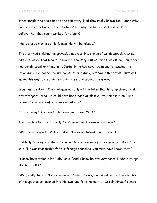other people who had come to the cemetery. Had they really known Ian Rider? Why had he never met any of them before? And why did he find it so difficult to believe that they really worked for a bank?

"He is a good man, a patriotic man. He will be missed."

The vicar had finished his graveside address. His choice of words struck Alex as odd. Patriotic? That meant he loved his country. But as far as Alex knew, Ian Rider had barely spent any time in it. Certainly he had never been one for waving the Union Jack. He looked around, hoping to find Jack, but saw instead that Blunt was making his way toward him, stepping carefully around the grave.

"You must be Alex." The chairman was only a little taller than him. Up close, his skin was strangely unreal. It could have been made of plastic. "My name is Alan Blunt," he said. "Your uncle often spoke about you."

"That"s funny," Alex said. "He never mentioned YOU."

The gray lips twitched briefly. "We"ll miss him. He was a good man."

"What was he good at?" Alex asked. "He never talked about his work."

Suddenly Crawley was there. "Your uncle was overseas finance manager, Alex," he said. "He was responsible for our foreign branches. You must have known that."

"I know he traveled a lot," Alex said. "And I know he was very careful. About things like seat belts."

"Well, sadly, he wasn't careful enough." Blunt's eyes, magnified by the thick lenses of his spectacles, lasered into his own, and for a moment, Alex felt himself pinned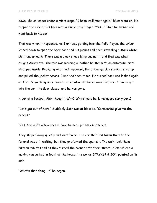down, like an insect under a microscope. "I hope we"ll meet again," Blunt went on. He tapped the side of his face with a single gray finger. "Yes …" Then he turned and went back to his car.

That was when it happened. As Blunt was getting into the Rolls-Royce, the driver leaned down to open the back door and his jacket fell open, revealing a stark white shirt underneath. There was a black shape lying against it and that was what caught Alex"s eye. The man was wearing a leather holster with an automatic pistol strapped inside. Realizing what had happened, the driver quickly straightened up and pulled the jacket across. Blunt had seen it too. He turned back and looked again at Alex. Something very close to an emotion slithered over his face. Then he got into the car, the door closed, and he was gone.

A gun at a funeral, Alex thought. Why? Why should bank managers carry guns?

"Let"s get out of here." Suddenly Jack was at his side. "Cemeteries give me the creeps."

"Yes. And quite a few creeps have turned up," Alex muttered.

They slipped away quietly and went home. The car that had taken them to the funeral was still waiting, but they preferred the open air. The walk took them fifteen minutes and as they turned the corner onto their street, Alex noticed a moving van parked in front of the house, the words STRYKER & SON painted on its side.

"What"s that doing …?" he began.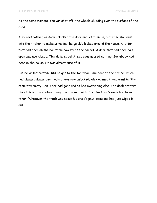At the same moment, the van shot off, the wheels skidding over the surface of the road.

Alex said nothing as Jack unlocked the door and let them in, but while she went into the kitchen to make some tea, he quickly looked around the house. A letter that had been on the hall table now lay on the carpet. A door that had been half open was now closed. Tiny details, but Alex"s eyes missed nothing. Somebody had been in the house. He was almost sure of it.

But he wasn't certain until he got to the top floor. The door to the office, which had always, always been locked, was now unlocked. Alex opened it and went in. The room was empty. Ian Rider had gone and so had everything else. The desk drawers, the closets, the shelves … anything connected to the dead man"s work had been taken. Whatever the truth was about his uncle"s past, someone had just wiped it out.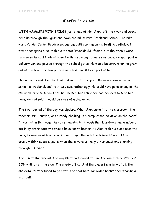## **HEAVEN FOR CARS**

<span id="page-11-0"></span>WITH HAMMERSMITH BRIDGE just ahead of him, Alex left the river and swung his bike through the lights and down the hill toward Brookland School. The bike was a Condor Junior Roadracer, custom built for him on his twelfth birthday. It was a teenager"s bike, with a cut down Reynolds 531 frame, but the wheels were fullsize so he could ride at speed with hardly any rolling resistance. He spun past a delivery van and passed through the school gates. He would be sorry when he grew out of the bike. For two years now it had almost been part of him.

He double locked it in the shed and went into the yard. Brookland was a modern school, all redbrick and, to Alex"s eye, rather ugly. He could have gone to any of the exclusive private schools around Chelsea, but Ian Rider had decided to send him here. He had said it would be more of a challenge.

The first period of the day was algebra. When Alex came into the classroom, the teacher, Mr. Donovan, was already chalking up a complicated equation on the board. It was hot in the room, the sun streaming in through the floor-to-ceiling windows, put in by architects who should have known better. As Alex took his place near the back, he wondered how he was going to get through the lesson. How could he possibly think about algebra when there were so many other questions churning through his mind?

The gun at the funeral. The way Blunt had looked at him. The van with STRYKER & SON written on the side. The empty office. And the biggest mystery of all, the one detail that refused to go away. The seat belt. Ian Rider hadn"t been wearing a seat belt.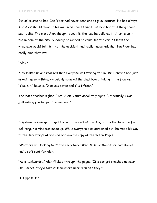But of course he had. Ian Rider had never been one to give lectures. He had always said Alex should make up his own mind about things. But he"d had this thing about seat belts. The more Alex thought about it, the less he believed it. A collision in the middle of the city. Suddenly he wished he could see the car. At least the wreckage would tell him that the accident had really happened, that Ian Rider had really died that way.

#### "Alex?"

Alex looked up and realized that everyone was staring at him. Mr. Donovan had just asked him something. He quickly scanned the blackboard, taking in the figures. "Yes, Sir," he said. "X equals seven and Y is fifteen."

The math teacher sighed. "Yes, Alex. You"re absolutely right. But actually I was just asking you to open the window…"

Somehow he managed to get through the rest of the day, but by the time the final bell rang, his mind was made up. While everyone else streamed out, he made his way to the secretary"s office and borrowed a copy of the Yellow Pages.

"What are you looking for?" the secretary asked. Miss Bedfordshire had always had a soft spot for Alex.

"Auto junkyards…" Alex flicked through the pages. "If a car got smashed up near Old Street, they'd take it somewhere near, wouldn't they?"

"I suppose so."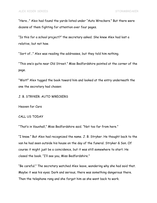"Here…" Alex had found the yards listed under "Auto Wreckers." But there were dozens of them fighting for attention over four pages.

"Is this for a school project?" the secretary asked. She knew Alex had lost a relative, but not how.

"Sort of…" Alex was reading the addresses, but they told him nothing.

"This one's quite near Old Street." Miss Bedfordshire pointed at the corner of the page.

"Wait!" Alex tugged the book toward him and looked at the entry underneath the one the secretary had chosen:

J. B. STRYKER. AUTO WRECKERS

Heaven for Cars

#### CALL US TODAY

"That"s in Vauxhall," Miss Bedfordshire said. "Not too far from here."

"I know." But Alex had recognized the name. J. B. Stryker. He thought back to the van he had seen outside his house on the day of the funeral. Stryker & Son. Of course it might just be a coincidence, but it was still somewhere to start. He closed the book. "I"ll see you, Miss Bedfordshire."

"Be careful." The secretary watched Alex leave, wondering why she had said that. Maybe it was his eyes. Dark and serious, there was something dangerous there. Then the telephone rang and she forgot him as she went back to work.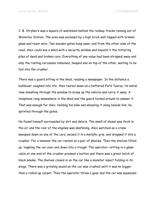J. B. Stryker"s was a square of wasteland behind the railway tracks running out of Waterloo Station. The area was enclosed by a high brick wall topped with broken glass and razor wire. Two wooden gates hung open, and from the other side of the road, Alex could see a shed with a security window and beyond it the tottering piles of dead and broken cars. Everything of any value had been stripped away and only the rusting carcasses remained, heaped one on top of the other, waiting to be fed into the crusher.

There was a guard sitting in the shed, reading a newspaper. In the distance a bulldozer coughed into life, then roared down on a battered Ford Taurus, its metal claw smashing through the window to scoop up the vehicle and carry it away. A telephone rang somewhere in the shed and the guard turned around to answer it. That was enough for Alex. Holding his bike and wheeling it along beside him, he sprinted through the gates.

He found himself surrounded by dirt and debris. The smell of diesel was thick in the air and the roar of the engines was deafening. Alex watched as a crane swooped down on one of the cars, seized it in a metallic grip, and dropped it into a crusher. For a moment the car rested on a pair of shelves. Then the shelves lifted up, toppling the car over and down into a trough. The operator—sitting in a glass cabin at one end of the crusher pressed a button and there was a great belch of black smoke. The shelves closed in on the car like a monster insect folding in its wings. There was a grinding sound as the car was crushed until it was no bigger than a rolled-up carpet. Then the operator threw a gear and the car was squeezed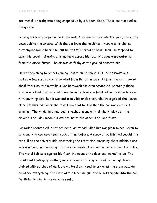out, metallic toothpaste being chopped up by a hidden blade. The slices tumbled to the ground.

Leaving his bike propped against the wall, Alex ran farther into the yard, crouching down behind the wrecks. With the din from the machines, there was no chance that anyone would hear him, but he was still afraid of being seen. He stopped to catch his breath, drawing a grimy hand across his face. His eyes were watering from the diesel fumes. The air was as filthy as the ground beneath him.

He was beginning to regret coming—but then he saw it. His uncle's BMW was parked a few yards away, separated from the other cars. At first glance it looked absolutely fine, the metallic silver bodywork not even scratched. Certainly there was no way that this car could have been involved in a fatal collision with a truck or with anything else. But it was definitely his uncle's car. Alex recognized the license plate. He hurried closer and it was now that he saw that the car was damaged after all. The windshield had been smashed, along with all the windows on the driver"s side. Alex made his way around to the other side. And froze.

Ian Rider hadn"t died in any accident. What had killed him was plain to see—even to someone who had never seen such a thing before. A spray of bullets had caught the car full on the driver"s side, shattering the front tire, smashing the windshield and side windows, and punching into the side panels. Alex ran his fingers over the holes. The metal felt cold against his flesh. He opened the door and looked inside. The front seats pale gray leather, were strewn with fragments of broken glass and stained with patches of dark brown. He didn"t need to ask what the stain was. He could see everything. The flash of the machine gun, the bullets ripping into the car, Ian Rider jerking in the driver"s seat …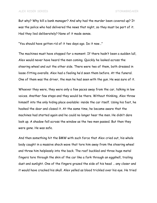But why? Why kill a bank manager? And why had the murder been covered up? It was the police who had delivered the news that night, so they must be part of it. Had they lied deliberately? None of it made sense.

"You should have gotten rid of it two days ago. Do it now…"

The machines must have stopped for a moment. If there hadn"t been a sudden lull, Alex would never have heard the men coming. Quickly he looked across the steering wheel and out the other side. There were two of them, both dressed in loose-fitting overalls. Alex had a feeling he"d seen them before. At the funeral. One of them was the driver, the man he had seen with the gun. He was sure of it.

Whoever they were, they were only a few paces away from the car, talking in low voices. Another few steps and they would be there. Without thinking, Alex threw himself into the only hiding place available: inside the car itself. Using his foot, he hooked the door and closed it. At the same time, he became aware that the machines had started again and he could no longer hear the men. He didn"t dare look up. A shadow fell across the window as the two men passed. But then they were gone. He was safe.

And then something hit the BMW with such force that Alex cried out, his whole body caught in a massive shock wave that tore him away from the steering wheel and threw him helplessly into the back. The roof buckled and three huge metal fingers tore through the skin of the car like a fork through an eggshell, trailing dust and sunlight. One of the fingers grazed the side of his head … any closer and it would have cracked his skull. Alex yelled as blood trickled over his eye. He tried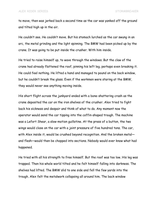to move, then was jerked back a second time as the car was yanked off the ground and tilted high up in the air.

He couldn"t see. He couldn"t move. But his stomach lurched as the car swung in an arc, the metal grinding and the light spinning. The BMW had been picked up by the crane. It was going to be put inside the crusher. With him inside.

He tried to raise himself up, to wave through the windows. But the claw of the crane had already flattened the roof, pinning his left leg, perhaps even breaking it. He could feel nothing. He lifted a hand and managed to pound on the back window, but he couldn"t break the glass. Even if the workmen were staring at the BMW, they would never see anything moving inside.

His short flight across the junkyard ended with a bone-shattering crash as the crane deposited the car on the iron shelves of the crusher. Alex tried to fight back his sickness and despair and think of what to do. Any moment now the operator would send the car tipping into the coffin-shaped trough. The machine was a Lefort Shear, a slow-motion guillotine. At the press of a button, the two wings would close on the car with a joint pressure of five hundred tons. The car, with Alex inside it, would be crushed beyond recognition. And the broken metal and flesh—would then be chopped into sections. Nobody would ever know what had happened.

He tried with all his strength to free himself. But the roof was too low. His leg was trapped. Then his whole world tilted and he felt himself falling into darkness. The shelves had lifted. The BMW slid to one side and fell the few yards into the trough. Alex felt the metalwork collapsing all around him. The back window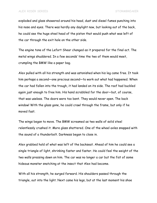exploded and glass showered around his head, dust and diesel fumes punching into his nose and eyes. There was hardly any daylight now, but looking out of the back, he could see the huge steel head of the piston that would push what was left of the car through the exit hole on the other side.

The engine tone of the Lefort Shear changed as it prepared for the final act. The metal wings shuddered. In a few seconds" time the two of them would meet, crumpling the BMW like a paper bag.

Alex pulled with all his strength and was astonished when his leg came free. It took him perhaps a second—one precious second—to work out what had happened. When the car had fallen into the trough, it had landed on its side. The roof had buckled again just enough to free him. His hand scrabbled for the door—but, of course, that was useless. The doors were too bent. They would never open. The back window! With the glass gone, he could crawl through the frame, but only if he moved fast.

The wings began to move. The BMW screamed as two walls of solid steel relentlessly crushed it. More glass shattered. One of the wheel axles snapped with the sound of a thunderbolt. Darkness began to close in.

Alex grabbed hold of what was left of the backseat. Ahead of him he could see a single triangle of light, shrinking faster and faster. He could feel the weight of the two walls pressing down on him. The car was no longer a car but the fist of some hideous monster snatching at the insect that Alex had become.

With all his strength, he surged forward. His shoulders passed through the triangle, out into the light. Next came his legs, but at the last moment his shoe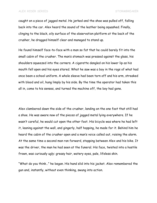caught on a piece of jagged metal. He jerked and the shoe was pulled off, falling back into the car. Alex heard the sound of the leather being squashed. Finally, clinging to the black, oily surface of the observation platform at the back of the crusher, he dragged himself clear and managed to stand up.

He found himself face-to-face with a man so fat that he could barely fit into the small cabin of the crusher. The man"s stomach was pressed against the glass, his shoulders squeezed into the corners. A cigarette dangled on his lower lip as his mouth fell open and his eyes stared. What he saw was a boy in the rags of what had once been a school uniform. A whole sleeve had been torn off and his arm, streaked with blood and oil, hung limply by his side. By the time the operator had taken this all in, come to his senses, and turned the machine off, the boy had gone.

Alex clambered down the side of the crusher, landing on the one foot that still had a shoe. He was aware now of the pieces of jagged metal lying everywhere. If he wasn"t careful, he would cut open the other foot. His bicycle was where he had left it, leaning against the wall, and gingerly, half hopping, he made for it. Behind him he heard the cabin of the crusher open and a man"s voice called out, raising the alarm. At the same time a second man ran forward, stopping between Alex and his bike. It was the driver, the man he had seen at the funeral. His face, twisted into a hostile frown, was curiously ugly: greasy hair, watery eyes, pale, lifeless skin.

"What do you think…" he began. His hand slid into his jacket. Alex remembered the gun and, instantly, without even thinking, swung into action.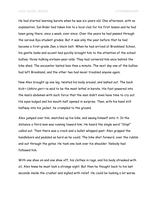He had started learning karate when he was six years old. One afternoon, with no explanation, Ian Rider had taken him to a local club for his first lesson and he had been going there, once a week, ever since. Over the years he had passed through the various Kyu-student grades. But it was only the year before that he had become a first-grade Dan, a black belt. When he had arrived at Brookland School, his gentle looks and accent had quickly brought him to the attention of the school bullies; three hulking sixteen-year-olds. They had cornered him once behind the bike shed. The encounter lasted less than a minute. The next day one of the bullies had left Brookland, and the other two had never troubled anyone again.

Now Alex brought up one leg, twisted his body around, and lashed out. The back kick—Ushiro-geri—is said to be the most lethal in karate. His foot powered into the man"s abdomen with such force that the man didn"t even have time to cry out. His eyes bulged and his mouth half opened in surprise. Then, with his hand still halfway into his jacket, he crumpled to the ground.

Alex jumped over him, snatched up his bike, and swung himself onto it. In the distance a third man was running toward him. He heard the single word "Stop!" called out. Then there was a crack and a bullet whipped past. Alex gripped the handlebars and pedaled as hard as he could. The bike shot forward, over the rubble and out through the gates. He took one look over his shoulder. Nobody had followed him.

With one shoe on and one shoe off, his clothes in rags, and his body streaked with oil, Alex knew he must look a strange sight. But then he thought back to his last seconds inside the crusher and sighed with relief. He could be looking a lot worse.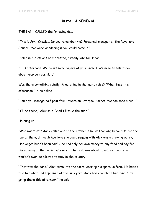# **ROYAL & GENERAL**

<span id="page-21-0"></span>THE BANK CALLED the following day.

"This is John Crawley. Do you remember me? Personnel manager at the Royal and General. We were wondering if you could come in."

"Come in?" Alex was half dressed, already late for school.

"This afternoon. We found some papers of your uncle's. We need to talk to you ... about your own position."

Was there something faintly threatening in the man's voice? "What time this afternoon?" Alex asked.

"Could you manage half past four? We"re on Liverpool Street. We can send a cab—"

"I"ll be there," Alex said. "And I"ll take the tube."

He hung up.

"Who was that?" Jack called out of the kitchen. She was cooking breakfast for the two of them, although how long she could remain with Alex was a growing worry. Her wages hadn"t been paid. She had only her own money to buy food and pay for the running of the house. Worse still, her visa was about to expire. Soon she wouldn"t even be allowed to stay in the country.

"That was the bank." Alex came into the room, wearing his spare uniform. He hadn"t told her what had happened at the junk yard. Jack had enough on her mind. "I"m going there this afternoon," he said.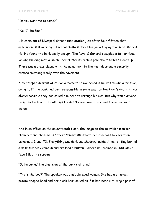"Do you want me to come?"

"No. I"ll be fine."

He came out of Liverpool Street tube station just after four-fifteen that afternoon, still wearing his school clothes: dark blue jacket, gray trousers, striped tie. He found the bank easily enough. The Royal & General occupied a tall, antiquelooking building with a Union Jack fluttering from a pole about fifteen floors up. There was a brass plaque with the name next to the main door and a security camera swiveling slowly over the pavement.

Alex stopped in front of it. For a moment he wondered if he was making a mistake, going in. If the bank had been responsible in some way for Ian Rider"s death, it was always possible they had asked him here to arrange his own. But why would anyone from the bank want to kill him? He didn"t even have an account there. He went inside.

And in an office on the seventeenth floor, the image on the television monitor flickered and changed as Street Camera #1 smoothly cut across to Reception cameras #2 and #3. Everything was dark and shadowy inside. A man sitting behind a desk saw Alex come in and pressed a button. Camera #2 zoomed in until Alex"s face filled the screen.

"So he came," the chairman of the bank muttered.

"That"s the boy?" The speaker was a middle-aged woman. She had a strange, potato-shaped head and her black hair looked as if it had been cut using a pair of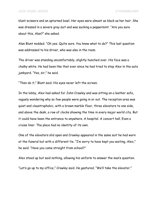blunt scissors and an upturned bowl. Her eyes were almost as black as her hair. She was dressed in a severe gray suit and was sucking a peppermint. "Are you sure about this, Alan?" she asked.

Alan Blunt nodded. "Oh yes. Quite sure. You know what to do?" This last question was addressed to his driver, who was also in the room.

The driver was standing uncomfortably, slightly hunched over. His face was a chalky white. He had been like that ever since he had tried to stop Alex in the auto junkyard. "Yes, sir," he said.

"Then do it," Blunt said. His eyes never left the screen.

In the lobby, Alex had asked for John Crawley and was sitting on a leather sofa, vaguely wondering why so few people were going in or out. The reception area was quiet and claustrophobic, with a brown marble floor, three elevators to one side, and above the desk, a row of clocks showing the time in every major world city. But it could have been the entrance to anywhere. A hospital. A concert hall. Even a cruise liner. The place had no identity of its own.

One of the elevators slid open and Crawley appeared in the same suit he had worn at the funeral but with a different tie. "I"m sorry to have kept you waiting, Alex," he said. "Have you come straight from school?"

Alex stood up but said nothing, allowing his uniform to answer the man's question.

"Let"s go up to my office," Crawley said. He gestured. "We"ll take the elevator."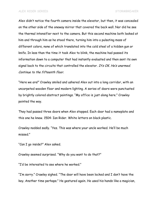Alex didn"t notice the fourth camera inside the elevator, but then, it was concealed on the other side of the oneway mirror that covered the back wall. Nor did he see the thermal intensifier next to the camera. But this second machine both looked at him and through him as he stood there, turning him into a pulsating mass of different colors, none of which translated into the cold steel of a hidden gun or knife. In less than the time it took Alex to blink, the machine had passed its information down to a computer that had instantly evaluated and then sent its own signal back to the circuits that controlled the elevator. It's OK. He's unarmed. Continue to the fifteenth floor.

"Here we are!" Crawley smiled and ushered Alex out into a long corridor, with an uncarpeted wooden floor and modern lighting. A series of doors were punctuated by brightly colored abstract paintings. "My office is just along here." Crawley pointed the way.

They had passed three doors when Alex stopped. Each door had a nameplate and this one he knew. 1504: Ian Rider. White letters on black plastic.

Crawley nodded sadly. "Yes. This was where your uncle worked. He"ll be much missed."

"Can I go inside?" Alex asked.

Crawley seemed surprised. "Why do you want to do that?"

"I"d be interested to see where he worked."

"I"m sorry." Crawley sighed. "The door will have been locked and I don"t have the key. Another time perhaps." He gestured again. He used his hands like a magician,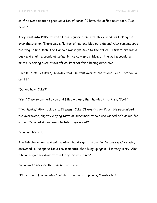as if he were about to produce a fan of cards. "I have the office next door. Just here…"

They went into 1505. It was a large, square room with three windows looking out over the station. There was a flutter of red and blue outside and Alex remembered the flag he had seen. The flagpole was right next to the office. Inside there was a desk and chair, a couple of sofas, in the corner a fridge, on the wall a couple of prints. A boring executive's office. Perfect for a boring executive.

"Please, Alex. Sit down," Crawley said. He went over to the fridge. "Can I get you a drink?"

"Do you have Coke?"

"Yes." Crawley opened a can and filled a glass, then handed it to Alex. "Ice?"

"No, thanks." Alex took a sip. It wasn"t Coke. It wasn"t even Pepsi. He recognized the oversweet, slightly cloying taste of supermarket cola and wished he"d asked for water. "So what do you want to talk to me about?"

"Your uncle"s will…

The telephone rang and with another hand sign, this one for "excuse me," Crawley answered it. He spoke for a few moments, then hung up again. "I"m very sorry, Alex. I have to go back down to the lobby. Do you mind?"

"Go ahead." Alex settled himself on the sofa.

"I"ll be about five minutes." With a final nod of apology, Crawley left.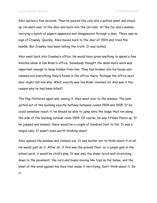Alex waited a few seconds. Then he poured the cola into a potted plant and stood up. He went over to the door and back into the corridor. At the far end a woman carrying a bunch of papers appeared and disappeared through a door. There was no sign of Crawley. Quickly, Alex moved back to the door of 1504 and tried the handle. But Crawley had been telling the truth. It was locked.

Alex went back into Crawley"s office. He would have given anything to spend a few minutes alone in Ian Rider"s office. Somebody thought the dead man"s work was important enough to keep hidden from him. They had broken into his house and cleaned out everything they"d found in the office there. Perhaps the office next door might tell him why. What exactly was Ian Rider involved in? And was it the reason why he had been killed?

The flag fluttered again and, seeing it, Alex went over to the window. The pole jutted out of the building exactly halfway between rooms 1504 and 1505. If he could somehow reach it, he should be able to jump onto the ledge that ran along the side of the building outside room 1504. Of course, he was fifteen floors up. If he jumped and missed, there would be a couple of hundred feet to fall. It was a stupid idea. It wasn"t even worth thinking about.

Alex opened the window and climbed out. It was better not to think about it at all. He would just do it. After all, if this was the ground floor, or a jungle gym in the school yard, it would be child"s play. It was only the sheer brick wall stretching down to the pavement, the cars and buses moving like toys so far below, and the blast of the wind against his face that made it terrifying. Don"t think about it. Do it.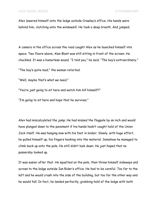Alex lowered himself onto the ledge outside Crawley"s office. His hands were behind him, clutching onto the windowsill. He took a deep breath. And jumped.

A camera in the office across the road caught Alex as he launched himself into space. Two floors above, Alan Blunt was still sitting in front of the screen. He chuckled. It was a humorless sound. "I told you," he said. "The boy"s extraordinary."

"The boy"s quite mad," the woman retorted.

"Well, maybe that's what we need."

"You"re just going to sit here and watch him kill himself?"

"I"m going to sit here and hope that he survives."

Alex had miscalculated the jump. He had missed the flagpole by an inch and would have plunged down to the pavement if his hands hadn"t caught hold of the Union Jack itself. He was hanging now with his feet in midair. Slowly, with huge effort, he pulled himself up, his fingers hooking into the material. Somehow he managed to climb back up onto the pole. He still didn"t look down. He just hoped that no passersby looked up.

It was easier after that. He squatted on the pole, then threw himself sideways and across to the ledge outside Ian Rider"s office. He had to be careful. Too far to the left and he would crash into the side of the building, but too far the other way and he would fall. In fact, he landed perfectly, grabbing hold of the ledge with both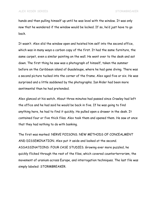hands and then pulling himself up until he was level with the window. It was only now that he wondered if the window would be locked. If so, he"d just have to go back.

It wasn't. Alex slid the window open and hoisted him self into the second office, which was in many ways a carbon copy of the first. It had the same furniture, the same carpet, even a similar painting on the wall. He went over to the desk and sat down. The first thing he saw was a photograph of himself, taken the summer before on the Caribbean island of Guadeloupe, where he had gone diving. There was a second picture tucked into the corner of the frame. Alex aged five or six. He was surprised and a little saddened by the photographs. Ian Rider had been more sentimental than he had pretended.

Alex glanced at his watch. About three minutes had passed since Crawley had left the office and he had said he would be back in five. If he was going to find anything here, he had to find it quickly. He pulled open a drawer in the desk. It contained four or five thick files. Alex took them and opened them. He saw at once that they had nothing to do with banking.

The first was marked: NERVE POISONS. NEW METHODS OF CONCEALMENT AND DISSEMINATION. Alex put it aside and looked at the second. ASSASSINATIONS: FOUR CASE STUDIES. Growing ever more puzzled, he quickly flicked through the rest of the files, which covered counterterrorism, the movement of uranium across Europe, and interrogation techniques. The last file was simply labeled: STORMBREAKER.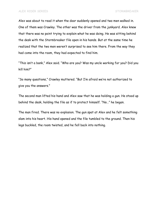Alex was about to read it when the door suddenly opened and two men walked in. One of them was Crawley. The other was the driver from the junkyard. Alex knew that there was no point trying to explain what he was doing. He was sitting behind the desk with the Stormbreaker file open in his hands. But at the same time he realized that the two men weren't surprised to see him there. From the way they had come into the room, they had expected to find him.

"This isn't a bank," Alex said. "Who are you? Was my uncle working for you? Did you kill him?"

"So many questions," Crawley muttered. "But I"m afraid we"re not authorized to give you the answers."

The second man lifted his hand and Alex saw that he was holding a gun. He stood up behind the desk, holding the file as if to protect himself. "No…" he began.

The man fired. There was no explosion. The gun spat at Alex and he felt something slam into his heart. His hand opened and the file tumbled to the ground. Then his legs buckled, the room twisted, and he fell back into nothing.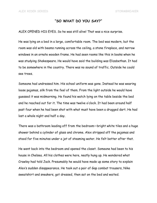## **"SO WHAT DO YOU SAY?"**

<span id="page-30-0"></span>ALEX OPENED HIS EYES. So he was still alive! That was a nice surprise.

He was lying on a bed in a large, comfortable room. The bed was modern, but the room was old with beams running across the ceiling, a stone fireplace, and narrow windows in an ornate wooden frame. He had seen rooms like this in books when he was studying Shakespeare. He would have said the building was Elizabethan. It had to be somewhere in the country. There was no sound of traffic. Outside he could see trees.

Someone had undressed him. His school uniform was gone. Instead he was wearing loose pajamas, silk from the feel of them. From the light outside he would have guessed it was midmorning. He found his watch lying on the table beside the bed and he reached out for it. The time was twelve o"clock. It had been around half past four when he had been shot with what must have been a drugged dart. He had lost a whole night and half a day.

There was a bathroom leading off from the bedroom—bright white tiles and a huge shower behind a cylinder of glass and chrome. Alex stripped off the pajamas and stood for five minutes under a jet of steaming water. He felt better after that.

He went back into the bedroom and opened the closet. Someone had been to his house in Chelsea. All his clothes were here, neatly hung up. He wondered what Crawley had told Jack. Presumably he would have made up some story to explain Alex"s sudden disappearance. He took out a pair of Gap combat trousers, Nike sweatshirt and sneakers, got dressed, then sat on the bed and waited.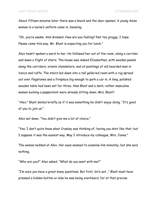About fifteen minutes later there was a knock and the door opened. A young Asian woman in a nurse"s uniform came in, beaming.

"Oh, you"re awake. And dressed. How are you feeling? Not too groggy, I hope. Please come this way. Mr. Blunt is expecting you for lunch."

Alex hadn"t spoken a word to her. He followed her out of the room, along a corridor and down a flight of stairs. The house was indeed Elizabethan, with wooden panels along the corridors, ornate chandeliers, and oil paintings of old bearded men in tunics and ruffs. The stairs led down into a tall galleried room with a rug spread out over flagstones and a fireplace big enough to park a car in. A long, polished wooden table had been set for three. Alan Blunt and a dark, rather masculine woman sucking a peppermint were already sitting down. Mrs. Blunt?

"Alex." Blunt smiled briefly as if it was something he didn"t enjoy doing. "It"s good of you to join us."

Alex sat down. "You didn"t give me a lot of choice."

"Yes. I don"t quite know what Crawley was thinking of, having you shot like that, but I suppose it was the easiest way. May I introduce my colleague, Mrs. Jones."

The woman nodded at Alex. Her eyes seemed to examine him minutely, but she said nothing.

"Who are you?" Alex asked. "What do you want with me?"

"I"m sure you have a great many questions. But first, let"s eat…" Blunt must have pressed a hidden button or else he was being overheard, for at that precise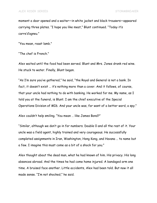moment a door opened and a waiter—in white jacket and black trousers—appeared carrying three plates. "I hope you like meat," Blunt continued. "Today it"s carre"d"agneu."

"You mean, roast lamb."

"The chef is French."

Alex waited until the food had been served. Blunt and Mrs. Jones drank red wine. He stuck to water. Finally, Blunt began.

"As I"m sure you"ve gathered," he said, "the Royal and General is not a bank. In fact, it doesn't exist ... it's nothing more than a cover. And it follows, of course, that your uncle had nothing to do with banking. He worked for me. My name, as I told you at the funeral, is Blunt. I am the chief executive of the Special Operations Division of MI6. And your uncle was, for want of a better word, a spy."

Alex couldn"t help smiling. "You mean … like James Bond?"

"Similar, although we don"t go in for numbers. Double 0 and all the rest of it. Your uncle was a field agent, highly trained and very courageous. He successfully completed assignments in Iran, Washington, Hong Kong, and Havana … to name but a few. I imagine this must come as a bit of a shock for you."

Alex thought about the dead man, what he had known of him. His privacy. His long absences abroad. And the times he had come home injured. A bandaged arm one time. A bruised face another. Little accidents, Alex had been told. But now it all made sense. "I"m not shocked," he said.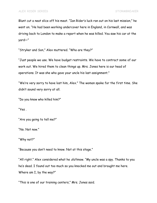Blunt cut a neat slice off his meat. "Ian Rider"s luck ran out on his last mission," he went on. "He had been working undercover here in England, in Cornwall, and was driving back to London to make a report when he was killed. You saw his car at the yard—"

"Stryker and Son," Alex muttered. "Who are they?"

"Just people we use. We have budget restraints. We have to contract some of our work out. We hired them to clean things up. Mrs. Jones here is our head of operations. It was she who gave your uncle his last assignment."

"We"re very sorry to have lost him, Alex." The woman spoke for the first time. She didn"t sound very sorry at all.

"Do you know who killed him?"

"Yes .

"Are you going to tell me?"

"No. Not now."

"Why not?"

"Because you don"t need to know. Not at this stage."

"All right." Alex considered what he did know. "My uncle was a spy. Thanks to you he"s dead. I found out too much so you knocked me out and brought me here. Where am I, by the way?"

"This is one of our training centers," Mrs. Jones said.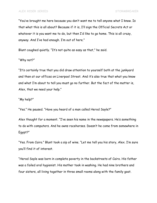"You"ve brought me here because you don"t want me to tell anyone what I know. Is that what this is all about? Because if it is, I"ll sign the Official Secrets Act or whatever it is you want me to do, but then I"d like to go home. This is all crazy, anyway. And I've had enough. I'm out of here."

Blunt coughed quietly. "It"s not quite as easy as that," he said.

"Why not?"

"It"s certainly true that you did draw attention to yourself both at the junkyard and then at our offices on Liverpool Street. And it"s also true that what you know and what I"m about to tell you must go no further. But the fact of the matter is, Alex, that we need your help."

## "My help?"

"Yes." He paused. "Have you heard of a man called Herod Sayle?"

Alex thought for a moment. "I"ve seen his name in the newspapers. He"s something to do with computers. And he owns racehorses. Doesn"t he come from somewhere in Egypt?"

"Yes. From Cairo." Blunt took a sip of wine. "Let me tell you his story, Alex. I"m sure you"ll find it of interest.

"Herod Sayle was born in complete poverty in the backstreets of Cairo. His father was a failed oral hygienist. His mother took in washing. He had nine brothers and four sisters, all living together in three small rooms along with the family goat.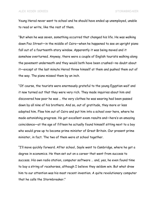Young Herod never went to school and he should have ended up unemployed, unable to read or write, like the rest of them.

"But when he was seven, something occurred that changed his life. He was walking down Fez Street—in the middle of Cairo—when he happened to see an upright piano fall out of a fourteenth-story window. Apparently it was being moved and it somehow overturned. Anyway, there were a couple of English tourists walking along the pavement underneath and they would both have been crushed—no doubt about it—except at the last minute Herod threw himself at them and pushed them out of the way. The piano missed them by an inch.

"Of course, the tourists were enormously grateful to the young Egyptian waif and it now turned out that they were very rich. They made inquiries about him and discovered how poor he was … the very clothes he was wearing had been passed down by all nine of his brothers. And so, out of gratitude, they more or less adopted him. Flew him out of Cairo and put him into a school over here, where he made astonishing progress. He got excellent exam results and—here's an amazing coincidence—at the age of fifteen he actually found himself sitting next to a boy who would grow up to become prime minister of Great Britain. Our present prime minister, in fact. The two of them were at school together.

"I"ll move quickly forward. After school, Sayle went to Cambridge, where he got a degree in economics. He then set out on a career that went from success to success. His own radio station, computer software … and, yes, he even found time to buy a string of racehorses, although I believe they seldom win. But what drew him to our attention was his most recent invention. A quite revolutionary computer that he calls the Stormbreaker."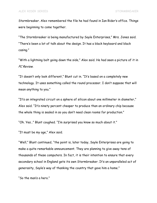Stormbreaker. Alex remembered the file he had found in Ian Rider"s office. Things were beginning to come together.

"The Stormbreaker is being manufactured by Sayle Enterprises," Mrs. Jones said. "There"s been a lot of talk about the design. It has a black keyboard and black casing."

"With a lightning bolt going down the side," Alex said. He had seen a picture of it in PC Review.

"It doesn't only look different," Blunt cut in. "It's based on a completely new technology. It uses something called the round processor. I don"t suppose that will mean anything to you."

"It"s an integrated circuit on a sphere of silicon about one millimeter in diameter," Alex said. "It's ninety percent cheaper to produce than an ordinary chip because the whole thing is sealed in so you don"t need clean rooms for production."

"Oh. Yes…" Blunt coughed. "I"m surprised you know so much about it."

"It must be my age," Alex said.

"Well," Blunt continued, "the point is, later today, Sayle Enterprises are going to make a quite remarkable announcement. They are planning to give away tens of thousands of these computers. In fact, it is their intention to ensure that every secondary school in England gets its own Stormbreaker. It"s an unparalleled act of generosity, Sayle's way of thanking the country that gave him a home."

"So the man"s a hero."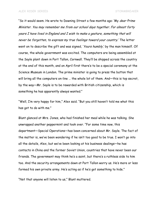"So it would seem. He wrote to Downing Street a few months ago: 'My *dear Prime* Minister. You may remember me from our school days together. For almost forty years I have lived in England and I wish to make a gesture, something that will never be forgotten, to express my true feelings toward your country.' The letter went on to describe the gift and was signed, 'Yours humbly,' by the man himself. Of course, the whole government was excited. The computers are being assembled at the Sayle plant down in Port Tallon, Cornwall. They"ll be shipped across the country at the end of this month, and on April first there"s to be a special ceremony at the Science Museum in London. The prime minister is going to press the button that will bring all the computers on-line … the whole lot of them. And—this is top secret, by the way—Mr. Sayle is to be rewarded with British citizenship, which is something he has apparently always wanted."

"Well, I"m very happy for him," Alex said. "But you still haven"t told me what this has got to do with me."

Blunt glanced at Mrs. Jones, who had finished her meal while he was talking. She unwrapped another peppermint and took over. "For some time now, this department—Special Operations—has been concerned about Mr. Sayle. The fact of the matter is, we've been wondering if he isn't too good to be true. I won't go into all the details, Alex, but we"ve been looking at his business dealings—he has contacts in China and the former Soviet Union, countries that have never been our friends. The government may think he"s a saint, but there"s a ruthless side to him too. And the security arrangements down at Port Tallon worry us. He"s more or less formed his own private army. He's acting as if he's got something to hide."

"Not that anyone will listen to us," Blunt muttered.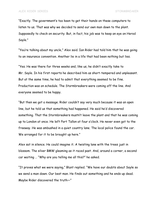"Exactly. The government"s too keen to get their hands on these computers to listen to us. That was why we decided to send our own man down to the plant. Supposedly to check on security. But, in fact, his job was to keep an eye on Herod Sayle."

"You"re talking about my uncle," Alex said. Ian Rider had told him that he was going to an insurance convention. Another lie in a life that had been nothing but lies.

"Yes. He was there for three weeks and, like us, he didn"t exactly take to Mr. Sayle. In his first reports he described him as short-tempered and unpleasant. But at the same time, he had to admit that everything seemed to be fine. Production was on schedule. The Stormbreakers were coming off the line. And everyone seemed to be happy.

"But then we got a message. Rider couldn"t say very much because it was an open line, but he told us that something had happened. He said he"d discovered something. That the Stormbreakers mustn"t leave the plant and that he was coming up to London at once. He left Port Tallon at four o"clock. He never even got to the freeway. He was ambushed in a quiet country lane. The local police found the car. We arranged for it to be brought up here."

Alex sat in silence. He could imagine it. A twisting lane with the trees just in blossom. The silver BMW gleaming as it raced past. And, around a corner, a second car waiting … "Why are you telling me all this?" he asked.

"It proves what we were saying," Blunt replied. "We have our doubts about Sayle so we send a man down. Our best man. He finds out something and he ends up dead. Maybe Rider discovered the truth—"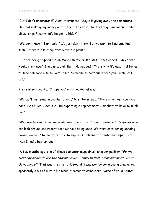"But I don"t understand!" Alex interrupted. "Sayle is giving away the computers. He"s not making any money out of them. In return, he"s getting a medal and British citizenship. Fine—what"s he got to hide?"

"We don"t know," Blunt said. "We just don"t know. But we want to find out. And soon. Before these computers leave the plant."

"They"re being shipped out on March thirty-first," Mrs. Jones added. "Only three weeks from now." She glanced at Blunt. He nodded. "That's why it's essential for us to send someone else to Port Tallon. Someone to continue where your uncle left off."

Alex smiled queasily. "I hope you"re not looking at me."

"We can"t just send in another agent," Mrs. Jones said. "The enemy has shown his hand. He's killed Rider. He'll be expecting a replacement. Somehow we have to trick him."

"We have to send someone in who won"t be noticed," Blunt continued. "Someone who can look around and report back without being seen. We were considering sending down a woman. She might be able to slip in as a cleaner or a kitchen helper. But then I had a better idea.

"A few months ago, one of these computer magazines ran a competition. 'Be the first boy or girl to use the Stormbreaker. Travel to Port Tallon and meet Herod Sayle himself That was the first prize—and it was won by some young chap who's apparently a bit of a whiz kid when it comes to computers. Name of Felix Lester.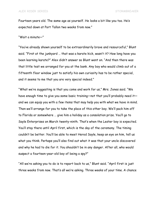Fourteen years old. The same age as yourself. He looks a bit like you too. He"s expected down at Port Tallon two weeks from now."

"Wait a minute—"

"You"ve already shown yourself to be extraordinarily brave and resourceful," Blunt said. "First at the junkyard … that was a karate kick, wasn"t it? How long have you been learning karate?" Alex didn"t answer so Blunt went on. "And then there was that little test we arranged for you at the bank. Any boy who would climb out of a fifteenth floor window just to satisfy his own curiosity has to be rather special, and it seems to me that you are very special indeed."

"What we're suggesting is that you come and work for us," Mrs. Jones said. "We have enough time to give you some basic training—not that you"ll probably need it and we can equip you with a few items that may help you with what we have in mind. Then we"ll arrange for you to take the place of this other boy. We"ll pack him off to Florida or somewhere … give him a holiday as a consolation prize. You"ll go to Sayle Enterprises on March twenty-ninth. That"s when the Lester boy is expected. You"ll stay there until April first, which is the day of the ceremony. The timing couldn"t be better. You"ll be able to meet Herod Sayle, keep an eye on him, tell us what you think. Perhaps you"ll also find out what it was that your uncle discovered and why he had to die for it. You shouldn"t be in any danger. After all, who would suspect a fourteen-year-old boy of being a spy?"

"All we"re asking you to do is to report back to us," Blunt said. "April first is just three weeks from now. That"s all we"re asking. Three weeks of your time. A chance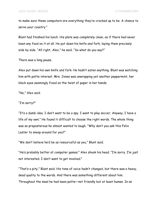to make sure these computers are everything they"re cracked up to be. A chance to serve your country."

Blunt had finished his lunch. His plate was completely clean, as if there had never been any food on it at all. He put down his knife and fork, laying them precisely side by side. "All right, Alex," he said. "So what do you say?"

There was a long pause.

Alex put down his own knife and fork. He hadn"t eaten anything. Blunt was watching him with polite interest. Mrs. Jones was unwrapping yet another peppermint, her black eyes seemingly fixed on the twist of paper in her hands.

"No," Alex said.

"I"m sorry?"

"It"s a dumb idea. I don"t want to be a spy. I want to play soccer. Anyway, I have a life of my own." He found it difficult to choose the right words. The whole thing was so preposterous he almost wanted to laugh. "Why don"t you ask this Felix Lester to snoop around for you?"

"We don"t believe he"d be as resourceful as you," Blunt said.

"He"s probably better at computer games." Alex shook his head. "I"m sorry. I"m just not interested. I don"t want to get involved."

"That"s a pity," Blunt said. His tone of voice hadn"t changed, but there was a heavy, dead quality to the words. And there was something different about him. Throughout the meal he had been polite—not friendly but at least human. In an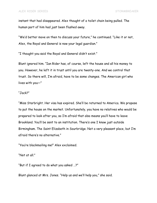instant that had disappeared. Alex thought of a toilet chain being pulled. The human part of him had just been flushed away.

"We"d better move on then to discuss your future," he continued. "Like it or not, Alex, the Royal and General is now your legal guardian."

"I thought you said the Royal and General didn"t exist."

Blunt ignored him. "Ian Rider has, of course, left the house and all his money to you. However, he left it in trust until you are twenty-one. And we control that trust. So there will, I"m afraid, have to be some changes. The American girl who lives with you—"

## "Jack?"

"Miss Starbright. Her visa has expired. She"ll be returned to America. We propose to put the house on the market. Unfortunately, you have no relatives who would be prepared to look after you, so I"m afraid that also means you"ll have to leave Brookland. You"ll be sent to an institution. There"s one I know just outside Birmingham. The Saint Elizabeth in Sourbridge. Not a very pleasant place, but I"m afraid there"s no alternative."

"You"re blackmailing me!" Alex exclaimed.

"Not at all."

"But if I agreed to do what you asked …?"

Blunt glanced at Mrs. Jones. "Help us and we"ll help you," she said.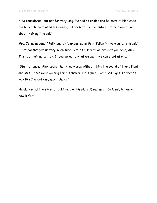Alex considered, but not for very long. He had no choice and he knew it. Not when these people controlled his money, his present life, his entire future. "You talked about training," he said.

Mrs. Jones nodded. "Felix Lester is expected at Port Tallon in two weeks," she said. "That doesn't give us very much time. But it's also why we brought you here, Alex. This is a training center. If you agree to what we want, we can start at once."

"Start at once." Alex spoke the three words without liking the sound of them. Blunt and Mrs. Jones were waiting for his answer. He sighed. "Yeah. All right. It doesn"t look like I've got very much choice."

He glanced at the slices of cold lamb on his plate. Dead meat. Suddenly he knew how it felt.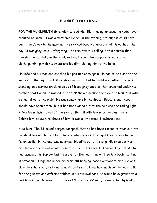## **DOUBLE 0 NOTHING**

FOR THE HUNDREDTH time, Alex cursed Alan Blunt, using language he hadn"t even realized he knew. It was almost five o"clock in the evening, although it could have been five o"clock in the morning; the sky had barely changed at all throughout the day. It was gray, cold, unforgiving. The rain was still falling, a thin drizzle that traveled horizontally in the wind, soaking through his supposedly waterproof clothing, mixing with his sweat and his dirt, chilling him to the bone.

He unfolded his map and checked his position once again. He had to be close to the last RV of the day—the last rendezvous point—but he could see nothing. He was standing on a narrow track made up of loose gray pebbles that crunched under his combat boots when he walked. The track snaked around the side of a mountain with a sheer drop to the right. He was somewhere in the Brecon Beacons and there should have been a view, but it had been wiped out by the rain and the fading light. A few trees twisted out of the side of the hill with leaves as hard as thorns. Behind him, below him, ahead of him, it was all the same. Nowhere Land.

Alex hurt. The 22-pound bergen backpack that he had been forced to wear cut into his shoulders and had rubbed blisters into his back. His right knee, where he had fallen earlier in the day, was no longer bleeding but still stung. His shoulder was bruised and there was a gash along the side of his neck. His camouflage outfit—he had swapped his Gap combat trousers for the real thing—fitted him badly, cutting in between his legs and under his arms but hanging loose everywhere else. He was close to exhaustion, he knew, almost too tired to know how much pain he was in. But for the glucose and caffeine tablets in his survival pack, he would have ground to a halt hours ago. He knew that if he didn"t find the RV soon, he would be physically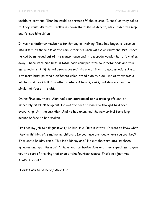unable to continue. Then he would be thrown off the course. "Binned" as they called it. They would like that. Swallowing down the taste of defeat, Alex folded the map and forced himself on.

It was his ninth—or maybe his tenth—day of training. Time had begun to dissolve into itself, as shapeless as the rain. After his lunch with Alan Blunt and Mrs. Jones, he had been moved out of the manor house and into a crude wooden hut a few miles away. There were nine huts in total, each equipped with four metal beds and four metal lockers. A fifth had been squeezed into one of them to accommodate Alex. Two more huts, painted a different color, stood side by side. One of these was a kitchen and mess hall. The other contained toilets, sinks, and showers—with not a single hot faucet in sight.

On his first day there, Alex had been introduced to his training officer, an incredibly fit black sergeant. He was the sort of man who thought he"d seen everything. Until he saw Alex. And he had examined the new arrival for a long minute before he had spoken.

"It"s not my job to ask questions," he had said. "But if it was, I"d want to know what they"re thinking of, sending me children. Do you have any idea where you are, boy? This isn't a holiday camp. This isn't Disneyland." He cut the word into its three syllables and spat them out. "I have you for twelve days and they expect me to give you the sort of training that should take fourteen weeks. That"s not just mad. That"s suicidal."

"I didn"t ask to be here," Alex said.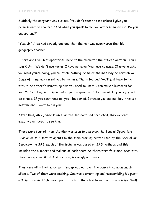Suddenly the sergeant was furious. "You don"t speak to me unless I give you permission," he shouted. "And when you speak to me, you address me as "sir." Do you understand?"

"Yes, sir." Alex had already decided that the man was even worse than his geography teacher.

"There are five units operational here at the moment," the officer went on. "You"ll join K Unit. We don"t use names. I have no name. You have no name. If anyone asks you what you"re doing, you tell them nothing. Some of the men may be hard on you. Some of them may resent you being here. That"s too bad. You"ll just have to live with it. And there's something else you need to know. I can make allowances for you. You"re a boy, not a man. But if you complain, you"ll be binned. If you cry, you"ll be binned. If you can"t keep up, you"ll be binned. Between you and me, boy, this is a mistake and I want to bin you."

After that, Alex joined K Unit. As the sergeant had predicted, they weren"t exactly overjoyed to see him.

There were four of them. As Alex was soon to discover, the Special Operations Division of M16 sent its agents to the same training center used by the Special Air Service—the SAS. Much of the training was based on SAS methods and this included the numbers and makeup of each team. So there were four men, each with their own special skills. And one boy, seemingly with none.

They were all in their mid-twenties, spread out over the bunks in companionable silence. Two of them were smoking. One was dismantling and reassembling his gun a 9mm Browning High Power pistol. Each of them had been given a code name: Wolf,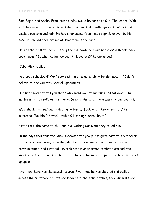Fox, Eagle, and Snake. From now on, Alex would be known as Cub. The leader, Wolf, was the one with the gun. He was short and muscular with square shoulders and black, close-cropped hair. He had a handsome face, made slightly uneven by his nose, which had been broken at some time in the past.

He was the first to speak. Putting the gun down, he examined Alex with cold dark brown eyes. "So who the hell do you think you are?" he demanded.

"Cub," Alex replied.

"A bloody schoolboy!" Wolf spoke with a strange, slightly foreign accent. "I don"t believe it. Are you with Special Operations?"

"I"m not allowed to tell you that." Alex went over to his bunk and sat down. The mattress felt as solid as the frame. Despite the cold, there was only one blanket.

Wolf shook his head and smiled humorlessly. "Look what they've sent us," he muttered. "Double 0 Seven? Double 0 Nothing"s more like it."

After that, the name stuck. Double 0 Nothing was what they called him.

In the days that followed, Alex shadowed the group, not quite part of it but never far away. Almost everything they did, he did. He learned map reading, radio communication, and first aid. He took part in an unarmed combat class and was knocked to the ground so often that it took all his nerve to persuade himself to get up again.

And then there was the assault course. Five times he was shouted and bullied across the nightmare of nets and ladders, tunnels and ditches, towering walls and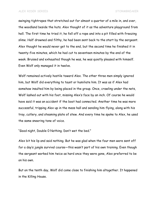swinging tightropes that stretched out for almost a quarter of a mile in, and over, the woodland beside the huts. Alex thought of it as the adventure playground from hell. The first time he tried it, he fell off a rope and into a pit filled with freezing slime. Half drowned and filthy, he had been sent back to the start by the sergeant. Alex thought he would never get to the end, but the second time he finished it in twenty-five minutes, which he had cut to seventeen minutes by the end of the week. Bruised and exhausted though he was, he was quietly pleased with himself. Even Wolf only managed it in twelve.

Wolf remained actively hostile toward Alex. The other three men simply ignored him, but Wolf did everything to taunt or humiliate him. It was as if Alex had somehow insulted him by being placed in the group. Once, crawling under the nets, Wolf lashed out with his foot, missing Alex"s face by an inch. Of course he would have said it was an accident if the boot had connected. Another time he was more successful, tripping Alex up in the mess hall and sending him flying, along with his tray, cutlery, and steaming plate of stew. And every time he spoke to Alex, he used the same sneering tone of voice.

"Good night, Double 0 Nothing. Don"t wet the bed."

Alex bit his lip and said nothing. But he was glad when the four men were sent off for a day"s jungle survival course—this wasn"t part of his own training. Even though the sergeant worked him twice as hard once they were gone, Alex preferred to be on his own.

But on the tenth day, Wolf did come close to finishing him altogether. It happened in the Killing House.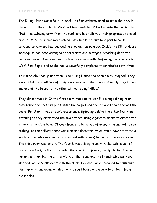The Killing House was a fake—a mock-up of an embassy used to train the SAS in the art of hostage release. Alex had twice watched K Unit go into the house, the first time swinging down from the roof, and had followed their progress on closedcircuit TV. All four men were armed. Alex himself didn"t take part because someone somewhere had decided he shouldn"t carry a gun. Inside the Killing House, mannequins had been arranged as terrorists and hostages. Smashing down the doors and using stun grenades to clear the rooms with deafening, multiple blasts, Wolf, Fox, Eagle, and Snake had successfully completed their mission both times.

This time Alex had joined them. The Killing House had been booby-trapped. They weren"t told how. All five of them were unarmed. Their job was simply to get from one end of the house to the other without being "killed."

They almost made it. In the first room, made up to look like a huge dining room, they found the pressure pads under the carpet and the infrared beams across the doors. For Alex it was an eerie experience, tiptoeing behind the other four men, watching as they dismantled the two devices, using cigarette smoke to expose the otherwise invisible beam. It was strange to be afraid of everything and yet to see nothing. In the hallway there was a motion detector, which would have activated a machine gun (Alex assumed it was loaded with blanks) behind a Japanese screen. The third room was empty. The fourth was a living room with the exit, a pair of French windows, on the other side. There was a trip wire, barely thicker than a human hair, running the entire width of the room, and the French windows were alarmed. While Snake dealt with the alarm, Fox and Eagle prepared to neutralize the trip wire, unclipping an electronic circuit board and a variety of tools from their belts.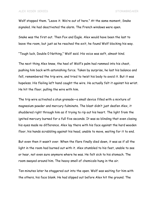Wolf stopped them. "Leave it. We"re out of here." At the same moment, Snake signaled. He had deactivated the alarm. The French windows were open.

Snake was the first out. Then Fox and Eagle. Alex would have been the last to leave the room, but just as he reached the exit, he found Wolf blocking his way.

"Tough luck, Double 0 Nothing," Wolf said. His voice was soft, almost kind.

The next thing Alex knew, the heel of Wolf"s palm had rammed into his chest, pushing him back with astonishing force. Taken by surprise, he lost his balance and fell, remembered the trip wire, and tried to twist his body to avoid it. But it was hopeless. His flailing left hand caught the wire. He actually felt it against his wrist. He hit the floor, pulling the wire with him.

The trip wire activated a stun grenade—a small device filled with a mixture of magnesium powder and mercury fulminate. The blast didn"t just deafen Alex, it shuddered right through him as if trying to rip out his heart. The light from the ignited mercury burned for a full five seconds. It was so blinding that even closing his eyes made no difference. Alex lay there with his face against the hard wooden floor, his hands scrabbling against his head, unable to move, waiting for it to end.

But even then it wasn't over. When the flare finally died down, it was as if all the light in the room had burned out with it. Alex stumbled to his feet, unable to see or hear, not even sure anymore where he was. He felt sick to his stomach. The room swayed around him. The heavy smell of chemicals hung in the air.

Ten minutes later he staggered out into the open. Wolf was waiting for him with the others, his face blank. He had slipped out before Alex hit the ground. The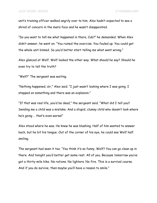unit"s training officer walked angrily over to him. Alex hadn"t expected to see a shred of concern in the man's face and he wasn't disappointed.

"Do you want to tell me what happened in there, Cub?" he demanded. When Alex didn"t answer, he went on. "You ruined the exercise. You fouled up. You could get the whole unit binned. So you"d better start telling me what went wrong."

Alex glanced at Wolf. Wolf looked the other way. What should he say? Should he even try to tell the truth?

"Well?" The sergeant was waiting.

"Nothing happened, sir," Alex said. "I just wasn"t looking where I was going. I stepped on something and there was an explosion."

"If that was real life, you"d be dead," the sergeant said. "What did I tell you? Sending me a child was a mistake. And a stupid, clumsy child who doesn"t look where he"s going … that"s even worse!"

Alex stood where he was. He knew he was blushing. Half of him wanted to answer back, but he bit his tongue. Out of the corner of his eye, he could see Wolf half smiling.

The sergeant had seen it too. "You think it"s so funny, Wolf? You can go clean up in there. And tonight you"d better get some rest. All of you. Because tomorrow you"ve got a thirty-mile hike. No rations. No lighters. No fire. This is a survival course. And if you do survive, then maybe you"ll have a reason to smile."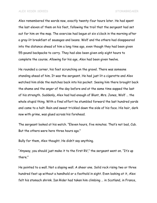Alex remembered the words now, exactly twenty-four hours later. He had spent the last eleven of them on his feet, following the trail that the sergeant had set out for him on the map. The exercise had begun at six o"clock in the morning after a gray-lit breakfast of sausages and beans. Wolf and the others had disappeared into the distance ahead of him a long time ago, even though they had been given 55-pound backpacks to carry. They had also been given only eight hours to complete the course. Allowing for his age, Alex had been given twelve.

He rounded a corner, his feet scrunching on the gravel. There was someone standing ahead of him. It was the sergeant. He had just lit a cigarette and Alex watched him slide the matches back into his pocket. Seeing him there brought back the shame and the anger of the day before and at the same time sapped the last of his strength. Suddenly, Alex had had enough of Blunt, Mrs. Jones, Wolf … the whole stupid thing. With a final effort he stumbled forward the last hundred yards and came to a halt. Rain and sweat trickled down the side of his face. His hair, dark now with grime, was glued across his forehead.

The sergeant looked at his watch. "Eleven hours, five minutes. That"s not bad, Cub. But the others were here three hours ago."

Bully for them, Alex thought. He didn"t say anything.

"Anyway, you should just make it to the first RV," the sergeant went on. "It"s up there."

He pointed to a wall. Not a sloping wall. A sheer one. Solid rock rising two or three hundred feet up without a handhold or a foothold in sight. Even looking at it, Alex felt his stomach shrink. Ian Rider had taken him climbing … in Scotland, in France,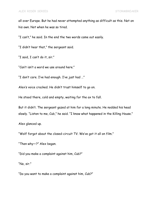all over Europe. But he had never attempted anything as difficult as this. Not on his own. Not when he was so tired.

"I can't," he said. In the end the two words came out easily.

"I didn"t hear that," the sergeant said.

"I said, I can"t do it, sir."

"Can"t isn"t a word we use around here."

"I don't care. I've had enough. I've just had ..."

Alex"s voice cracked. He didn"t trust himself to go on.

He stood there, cold and empty, waiting for the ax to fall.

But it didn"t. The sergeant gazed at him for a long minute. He nodded his head slowly. "Listen to me, Cub," he said. "I know what happened in the Killing House."

Alex glanced up.

"Wolf forgot about the closed-circuit TV. We've got it all on film."

"Then why—?" Alex began.

"Did you make a complaint against him, Cub?"

"No, sir."

"Do you want to make a complaint against him, Cub?"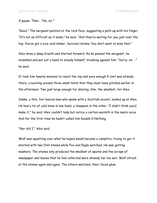A pause. Then… "No, sir."

"Good." The sergeant pointed at the rock face, suggesting a path up with his finger. "It"s not as difficult as it looks," he said. "And they"re waiting for you just over the top. You"ve got a nice cold dinner. Survival rations. You don"t want to miss that."

Alex drew a deep breath and started forward. As he passed the sergeant, he stumbled and put out a hand to steady himself, brushing against him. "Sorry, sir …" he said.

It took him twenty minutes to reach the top and sure enough K Unit was already there, crouching around three small tents that they must have pitched earlier in the afternoon. Two just large enough for sharing. One, the smallest, for Alex.

Snake, a thin, fair-haired man who spoke with a Scottish accent, looked up at Alex. He had a tin of cold stew in one hand, a teaspoon in the other. "I didn"t think you"d make it," he said. Alex couldn"t help but notice a certain warmth in the man"s voice. And for the first time he hadn"t called him Double 0 Nothing.

"Nor did I," Alex said.

Wolf was squatting over what he hoped would become a campfire, trying to get it started with two flint stones while Fox and Eagle watched. He was getting nowhere. The stones only produced the smallest of sparks and the scraps of newspaper and leaves that he had collected were already far too wet. Wolf struck at the stones again and again. The others watched, their faces glum.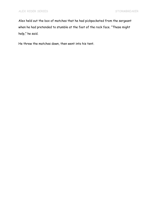Alex held out the box of matches that he had pickpocketed from the sergeant when he had pretended to stumble at the foot of the rock face. "These might help," he said.

He threw the matches down, then went into his tent.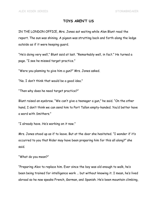# **TOYS AREN'T US**

IN THE LONDON OFFICE, Mrs. Jones sat waiting while Alan Blunt read the report. The sun was shining. A pigeon was strutting back and forth along the ledge outside as if it were keeping guard.

"He"s doing very well," Blunt said at last. "Remarkably well, in fact." He turned a page. "I see he missed target practice."

"Were you planning to give him a gun?" Mrs. Jones asked.

"No. I don't think that would be a good idea."

"Then why does he need target practice?"

Blunt raised an eyebrow. "We can"t give a teenager a gun," he said. "On the other hand, I don"t think we can send him to Port Tallon empty-handed. You"d better have a word with Smithers."

"I already have. He's working on it now."

Mrs. Jones stood up as if to leave. But at the door she hesitated. "I wonder if it"s occurred to you that Rider may have been preparing him for this all along?" she said.

"What do you mean?"

"Preparing Alex to replace him. Ever since the boy was old enough to walk, he"s been being trained for intelligence work … but without knowing it. I mean, he"s lived abroad so he now speaks French, German, and Spanish. He"s been mountain climbing,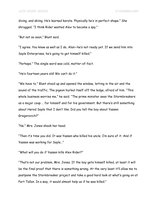diving, and skiing. He"s learned karate. Physically he"s in perfect shape." She shrugged. "I think Rider wanted Alex to become a spy."

"But not so soon," Blunt said.

"I agree. You know as well as I do, Alan—he"s not ready yet. If we send him into Sayle Enterprises, he's going to get himself killed."

"Perhaps." The single word was cold, matter-of-fact.

"He's fourteen years old! We can't do it."

"We have to." Blunt stood up and opened the window, letting in the air and the sound of the traffic. The pigeon hurled itself off the ledge, afraid of him. "This whole business worries me," he said. "The prime minister sees the Stormbreakers as a major coup … for himself and for his government. But there"s still something about Herod Sayle that I don"t like. Did you tell the boy about Yassen Gregorovich?"

"No." Mrs. Jones shook her head.

"Then it"s time you did. It was Yassen who killed his uncle. I"m sure of it. And if Yassen was working for Sayle…"

"What will you do if Yassen kills Alex Rider?"

"That"s not our problem, Mrs. Jones. If the boy gets himself killed, at least it will be the final proof that there is something wrong. At the very least it"ll allow me to postpone the Stormbreaker project and take a good hard look at what"s going on at Port Tallon. In a way, it would almost help us if he was killed."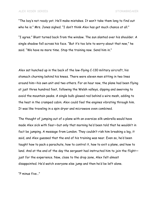"The boy"s not ready yet. He"ll make mistakes. It won"t take them long to find out who he is." Mrs. Jones sighed. "I don't think Alex has got much chance at all."

"I agree." Blunt turned back from the window. The sun slanted over his shoulder. A single shadow fell across his face. "But it"s too late to worry about that now," he said. "We have no more time. Stop the training now. Send him in."

Alex sat hunched up in the back of the low-flying C-130 military aircraft, his stomach churning behind his knees. There were eleven men sitting in two lines around him—his own unit and two others. For an hour now, the plane had been flying at just three hundred feet, following the Welsh valleys, dipping and swerving to avoid the mountain peaks. A single bulb glowed red behind a wire mesh, adding to the heat in the cramped cabin. Alex could feel the engines vibrating through him. It was like traveling in a spin dryer and microwave oven combined.

The thought of jumping out of a plane with an oversize silk umbrella would have made Alex sick with fear—but only that morning he"d been told that he wouldn"t in fact be jumping. A message from London. They couldn"t risk him breaking a leg, it said, and Alex guessed that the end of his training was near. Even so, he"d been taught how to pack a parachute, how to control it, how to exit a plane, and how to land. And at the end of the day the sergeant had instructed him to join the flight just for the experience. Now, close to the drop zone, Alex felt almost disappointed. He"d watch everyone else jump and then he"d be left alone.

"P minus five…"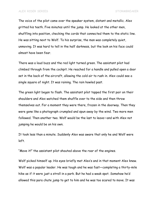The voice of the pilot came over the speaker system, distant and metallic. Alex gritted his teeth. Five minutes until the jump. He looked at the other men, shuffling into position, checking the cords that connected them to the static line. He was sitting next to Wolf. To his surprise, the man was completely quiet, unmoving. It was hard to tell in the half darkness, but the look on his face could almost have been fear.

There was a loud buzz and the red light turned green. The assistant pilot had climbed through from the cockpit. He reached for a handle and pulled open a door set in the back of the aircraft, allowing the cold air to rush in. Alex could see a single square of night. It was raining. The rain howled past.

The green light began to flash. The assistant pilot tapped the first pair on their shoulders and Alex watched them shuffle over to the side and then throw themselves out. For a moment they were there, frozen in the doorway. Then they were gone like a photograph crumpled and spun away by the wind. Two more men followed. Then another two. Wolf would be the last to leave—and with Alex not jumping he would be on his own.

It took less than a minute. Suddenly Alex was aware that only he and Wolf were left.

"Move it!" the assistant pilot shouted above the roar of the engines.

Wolf picked himself up. His eyes briefly met Alex"s and in that moment Alex knew. Wolf was a popular leader. He was tough and he was fast—completing a thirty-mile hike as if it were just a stroll in a park. But he had a weak spot. Somehow he"d allowed this para chute jump to get to him and he was too scared to move. It was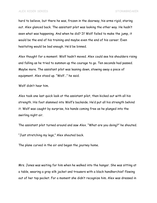hard to believe, but there he was, frozen in the doorway, his arms rigid, staring out. Alex glanced back. The assistant pilot was looking the other way. He hadn"t seen what was happening. And when he did? If Wolf failed to make the jump, it would be the end of his training and maybe even the end of his career. Even hesitating would be bad enough. He"d be binned.

Alex thought for a moment. Wolf hadn"t moved. Alex could see his shoulders rising and falling as he tried to summon up the courage to go. Ten seconds had passed. Maybe more. The assistant pilot was leaning down, stowing away a piece of equipment. Alex stood up. "Wolf…" he said.

Wolf didn"t hear him.

Alex took one last quick look at the assistant pilot, then kicked out with all his strength. His foot slammed into Wolf"s backside. He"d put all his strength behind it. Wolf was caught by surprise, his hands coming free as he plunged into the swirling night air.

The assistant pilot turned around and saw Alex. "What are you doing?" he shouted.

"Just stretching my legs," Alex shouted back.

The plane curved in the air and began the journey home.

Mrs. Jones was waiting for him when he walked into the hangar. She was sitting at a table, wearing a gray silk jacket and trousers with a black handkerchief flowing out of her top pocket. For a moment she didn"t recognize him. Alex was dressed in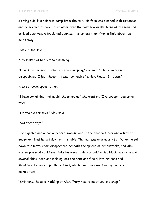a flying suit. His hair was damp from the rain. His face was pinched with tiredness, and he seemed to have grown older over the past two weeks. None of the men had arrived back yet. A truck had been sent to collect them from a field about two miles away.

"Alex…" she said.

Alex looked at her but said nothing.

"It was my decision to stop you from jumping," she said. "I hope you"re not disappointed. I just thought it was too much of a risk. Please. Sit down."

Alex sat down opposite her.

"I have something that might cheer you up," she went on. "I"ve brought you some toys."

"I"m too old for toys," Alex said.

"Not these toys."

She signaled and a man appeared, walking out of the shadows, carrying a tray of equipment that he set down on the table. The man was enormously fat. When he sat down, the metal chair disappeared beneath the spread of his buttocks, and Alex was surprised it could even take his weight. He was bald with a black mustache and several chins, each one melting into the next and finally into his neck and shoulders. He wore a pinstriped suit, which must have used enough material to make a tent.

"Smithers," he said, nodding at Alex. "Very nice to meet you, old chap."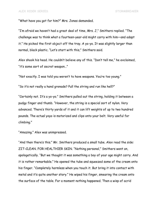"What have you got for him?" Mrs. Jones demanded.

"I"m afraid we haven"t had a great deal of time, Mrs. J," Smithers replied. "The challenge was to think what a fourteen-year-old might carry with him—and adapt it." He picked the first object off the tray. A yo-yo. It was slightly larger than normal, black plastic. "Let"s start with this," Smithers said.

Alex shook his head. He couldn"t believe any of this. "Don"t tell me," he exclaimed, "it"s some sort of secret weapon…"

"Not exactly. I was told you weren't to have weapons. You're too young."

"So it's not really a hand grenade? Pull the string and run like hell?"

"Certainly not. It"s a yo-yo." Smithers pulled out the string, holding it between a pudgy finger and thumb. "However, the string is a special sort of nylon. Very advanced. There"s thirty yards of it and it can lift weights of up to two hundred pounds. The actual yoyo is motorized and clips onto your belt. Very useful for climbing."

"Amazing." Alex was unimpressed.

"And then there's this." Mr. Smithers produced a small tube. Alex read the side: ZIT-CLEAN. FOR HEALTHIER SKIN. "Nothing personal," Smithers went on, apologetically. "But we thought it was something a boy of your age might carry. And it is rather remarkable." He opened the tube and squeezed some of the cream onto his finger. "Completely harmless when you touch it. But bring it into contact with metal and it"s quite another story." He wiped his finger, smearing the cream onto the surface of the table. For a moment nothing happened. Then a wisp of acrid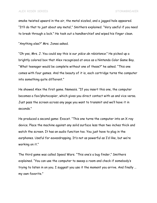smoke twisted upward in the air, the metal sizzled, and a jagged hole appeared. "It"ll do that to just about any metal," Smithers explained. "Very useful if you need to break through a lock." He took out a handkerchief and wiped his finger clean.

"Anything else?" Mrs. Jones asked.

"Oh yes, Mrs. J. You could say this is our *pièce de résistance*." He picked up a brightly colored box that Alex recognized at once as a Nintendo Color Game Boy. "What teenager would be complete without one of these?" he asked. "This one comes with four games. And the beauty of it is, each cartridge turns the computer into something quite different."

He showed Alex the first game. Nemesis. "If you insert this one, the computer becomes a fax/photocopier, which gives you direct contact with us and vice versa. Just pass the screen across any page you want to transmit and we"ll have it in seconds."

He produced a second game: Exocet. "This one turns the computer into an X-ray device. Place the machine against any solid surface less than two inches thick and watch the screen. It has an audio function too. You just have to plug in the earphones. Useful for eavesdropping. It's not as powerful as I'd like, but we're working on it."

The third game was called Speed Wars. "This one's a bug finder," Smithers explained. "You can use the computer to sweep a room and check if somebody"s trying to listen in on you. I suggest you use it the moment you arrive. And finally … my own favorite."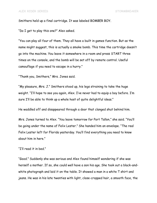Smithers held up a final cartridge. It was labeled BOMBER BOY.

"Do I get to play this one?" Alex asked.

"You can play all four of them. They all have a built in games function. But as the name might suggest, this is actually a smoke bomb. This time the cartridge doesn"t go into the machine. You leave it somewhere in a room and press START three times on the console, and the bomb will be set off by remote control. Useful camouflage if you need to escape in a hurry."

"Thank you, Smithers," Mrs. Jones said.

"My pleasure, Mrs. J." Smithers stood up, his legs straining to take the huge weight. "I"ll hope to see you again, Alex. I"ve never had to equip a boy before. I"m sure I"ll be able to think up a whole host of quite delightful ideas."

He waddled off and disappeared through a door that clanged shut behind him.

Mrs. Jones turned to Alex. "You leave tomorrow for Port Tallon," she said. "You"ll be going under the name of Felix Lester." She handed him an envelope. "The real Felix Lester left for Florida yesterday. You"ll find everything you need to know about him in here."

"I"ll read it in bed."

"Good." Suddenly she was serious and Alex found himself wondering if she was herself a mother. If so, she could well have a son his age. She took out a black-andwhite photograph and laid it on the table. It showed a man in a white T shirt and jeans. He was in his late twenties with light, close-cropped hair, a smooth face, the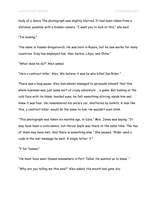body of a dance The photograph was slightly blurred. It had been taken from a distance, possibly with a hidden camera. "I want you to look at this," she said.

"I"m looking."

"His name is Yassen Gregorovich. He was born in Russia, but he now works for many countries. Iraq has employed him. Also Serbia, Libya, and China."

"What does he do?" Alex asked.

"He"s a contract killer, Alex. We believe it was he who killed Ian Rider."

There was a long pause. Alex had almost managed to persuade himself that this whole business was just some sort of crazy adventure … a game. But looking at the cold face with its blank, hooded eyes, he felt something stirring inside him and knew it was fear. He remembered his uncle"s car, shattered by bullets. A man like this, a contract killer, would do the same to him. He wouldn"t even blink.

"This photograph was taken six months ago, in Cuba," Mrs. Jones was saying. "It may have been a coincidence, but Herod Sayle was there at the same time. The two of them may have met. And there is something else." She paused. "Rider used a code in the last message he sent. A single letter. Y."

"Y for Yassen."

"He must have seen Yassen somewhere in Port Tallon. He wanted us to know…"

"Why are you telling me this now?" Alex asked. His mouth had gone dry.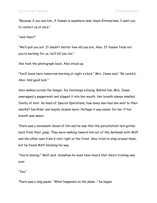"Because if you see him, if Yassen is anywhere near Sayle Enterprises, I want you to contact us at once."

"And then?"

"We"ll pull you out. It doesn"t matter how old you are, Alex. If Yassen finds out you"re working for us, he"ll kill you too."

She took the photograph back. Alex stood up.

"You"ll leave here tomorrow morning at eight o"clock," Mrs. Jones said. "Be careful, Alex. And good luck."

Alex walked across the hangar, his footsteps echoing. Behind him, Mrs. Jones unwrapped a peppermint and slipped it into her mouth. Her breath always smelled faintly of mint. As head of Special Operations, how many men had she sent to their deaths? Ian Rider and maybe dozens more. Perhaps it was easier for her if her breath was sweet.

There was a movement ahead of him and he saw that the parachutists had gotten back from their jump. They were walking toward him out of the darkness with Wolf and the other men from K Unit right at the front. Alex tried to step around them, but he found Wolf blocking his way.

"You"re leaving," Wolf said. Somehow he must have heard that Alex"s training was over.

"Yes."

There was a long pause. "What happened on the plane…" he began.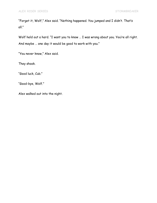"Forget it, Wolf," Alex said. "Nothing happened. You jumped and I didn"t. That"s all."

Wolf held out a hard. "I want you to know … I was wrong about you. You"re all right. And maybe … one day it would be good to work with you."

"You never know," Alex said.

They shook.

"Good luck, Cub."

"Good-bye, Wolf."

Alex walked out into the night.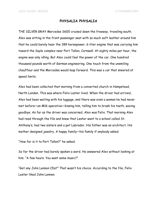## **PHYSALIA PHYSALIA**

THE SILVER GRAY Mercedes S600 cruised down the freeway, traveling south. Alex was sitting in the front passenger seat with so much soft leather around him that he could barely hear the 389 horsepower, 6-liter engine that was carrying him toward the Sayle complex near Port Tallon, Cornwall. At eighty miles per hour, the engine was only idling. But Alex could feel the power of the car. One hundred thousand pounds worth of German engineering. One touch from the unsmiling chauffeur and the Mercedes would leap forward. This was a car that sneered at speed limits.

Alex had been collected that morning from a converted church in Hampstead, North London. This was where Felix Lester lived. When the driver had arrived, Alex had been waiting with his luggage, and there was even a woman he had never met before—an M16 operative—kissing him, telling him to brush his teeth, waving goodbye. As far as the driver was concerned, Alex was Felix. That morning Alex had read through the file and knew that Lester went to a school called St. Anthony"s, had two sisters and a pet Labrador. His father was an architect. His mother designed jewelry. A happy family—his family if anybody asked.

"How far is it to Port Tallon?" he asked.

So far the driver had barely spoken a word. He answered Alex without looking at him. "A few hours. You want some music?"

"Got any John Lennon CDs?" That wasn"t his choice. According to the file, Felix Lester liked John Lennon.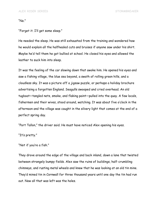"No."

"Forget it. I"ll get some sleep."

He needed the sleep. He was still exhausted from the training and wondered how he would explain all the halfhealed cuts and bruises if anyone saw under his shirt. Maybe he"d tell them he got bullied at school. He closed his eyes and allowed the leather to suck him into sleep.

It was the feeling of the car slowing down that awoke him. He opened his eyes and saw a fishing village, the blue sea beyond, a swath of rolling green hills, and a cloudless sky. It was a picture off a jigsaw puzzle, or perhaps a holiday brochure advertising a forgotten England. Seagulls swooped and cried overhead. An old tugboat—tangled nets, smoke, and flaking paint—pulled into the quay. A few locals, fishermen and their wives, stood around, watching. It was about five o"clock in the afternoon and the village was caught in the silvery light that comes at the end of a perfect spring day.

"Port Tallon," the driver said. He must have noticed Alex opening his eyes.

"It"s pretty."

"Not if you"re a fish."

They drove around the edge of the village and back inland, down a lane that twisted between strangely bumpy fields. Alex saw the ruins of buildings, half-crumbling chimneys, and rusting metal wheels and knew that he was looking at an old tin mine. They"d mined tin in Cornwall for three thousand years until one day the tin had run out. Now all that was left was the holes.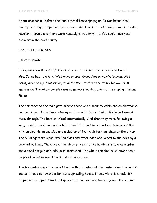About another mile down the lane a metal fence sprang up. It was brand-new, twenty feet high, topped with razor wire. Arc lamps on scaffolding towers stood at regular intervals and there were huge signs, red on white. You could have read them from the next county:

## SAYLE ENTERPRISES

## Strictly Private

"Trespassers will be shot," Alex muttered to himself. He remembered what Mrs. Jones had told him. "He's more or less formed his own private army. He's acting as if he's got something to hide." Well, that was certainly his own first impression. The whole complex was somehow shocking, alien to the sloping hills and fields.

The car reached the main gate, where there was a security cabin and an electronic barrier. A guard in a blue-and-gray uniform with SE printed on his jacket waved them through. The barrier lifted automatically. And then they were following a long, straight road over a stretch of land that had somehow been hammered flat with an airstrip on one side and a cluster of four high tech buildings on the other. The buildings were large, smoked glass and steel, each one joined to the next by a covered walkway. There were two aircraft next to the landing strip. A helicopter and a small cargo plane. Alex was impressed. The whole complex must have been a couple of miles square. It was quite an operation.

The Mercedes came to a roundabout with a fountain at the center, swept around it, and continued up toward a fantastic sprawling house. It was Victorian, redbrick topped with copper domes and spires that had long ago turned green. There must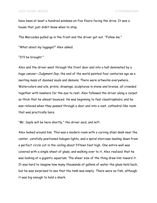have been at least a hundred windows on five floors facing the drive. It was a house that just didn"t know when to stop.

The Mercedes pulled up in the front and the driver got out. "Follow me."

"What about my luggage?" Alex asked.

"It"ll be brought."

Alex and the driver went through the front door and into a hall dominated by a huge canvas—Judgment Day, the end of the world painted four centuries ago as a swirling mass of doomed souls and demons. There were artworks everywhere. Watercolors and oils, prints, drawings, sculptures in stone and bronze, all crowded together with nowhere for the eye to rest. Alex followed the driver along a carpet so thick that he almost bounced. He was beginning to feel claustrophobic and he was relieved when they passed through a door and into a vast, cathedral-like room that was practically bare.

"Mr. Sayle will be here shortly," the driver said, and left.

Alex looked around him. This was a modern room with a curving steel desk near the center, carefully positioned halogen lights, and a spiral staircase leading down from a perfect circle cut in the ceiling about fifteen feet high. One entire wall was covered with a single sheet of glass, and walking over to it, Alex realized that he was looking at a gigantic aquarium. The sheer size of the thing drew him toward it. It was hard to imagine how many thousands of gallons of water the glass held back, but he was surprised to see that the tank was empty. There were no fish, although it was big enough to hold a shark.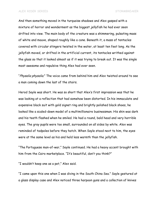And then something moved in the turquoise shadows and Alex gasped with a mixture of horror and wonderment as the biggest jellyfish he had ever seen drifted into view. The main body of the creature was a shimmering, pulsating mass of white and mauve, shaped roughly like a cone. Beneath it, a mass of tentacles covered with circular stingers twisted in the water, at least ten feet long. As the jellyfish moved, or drifted in the artificial current, its tentacles writhed against the glass so that it looked almost as if it was trying to break out. It was the single most awesome and repulsive thing Alex had ever seen.

"Physalia physalia." The voice came from behind him and Alex twisted around to see a man coming down the last of the stairs.

Herod Sayle was short. He was so short that Alex"s first impression was that he was looking at a reflection that had somehow been distorted. In his immaculate and expensive black suit with gold signet ring and brightly polished black shoes, he looked like a scaled-down model of a multimillionaire businessman. His skin was dark and his teeth flashed when he smiled. He had a round, bald head and very horrible eyes. The gray pupils were too small, surrounded on all sides by white. Alex was reminded of tadpoles before they hatch. When Sayle stood next to him, the eyes were at the same level as his and held less warmth than the jellyfish.

"The Portuguese man-of-war," Sayle continued. He had a heavy accent brought with him from the Cairo marketplace. "It's beautiful, don't you think?"

"I wouldn"t keep one as a pet," Alex said.

"I came upon this one when I was diving in the South China Sea." Sayle gestured at a glass display case and Alex noticed three harpoon guns and a collection of knives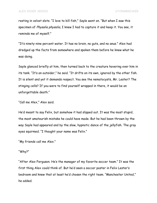resting in velvet slots. "I love to kill fish," Sayle went on. "But when I saw this specimen of *Physalia physalia*, I knew I had to capture it and keep it. You see, it reminds me of myself."

"It"s ninety-nine percent water. It has no brain, no guts, and no anus." Alex had dredged up the facts from somewhere and spoken them before he knew what he was doing.

Sayle glanced briefly at him, then turned back to the creature hovering over him in its tank. "It"s an outsider," he said. "It drifts on its own, ignored by the other fish. It is silent and yet it demands respect. You see the nematocysts, Mr. Lester? The stinging cells? If you were to find yourself wrapped in there, it would be an unforgettable death."

"Call me Alex," Alex said.

He"d meant to say Felix, but somehow it had slipped out. It was the most stupid, the most amateurish mistake he could have made. But he had been thrown by the way Sayle had appeared and by the slow, hypnotic dance of the jellyfish. The gray eyes squirmed. "I thought your name was Felix."

"My friends call me Alex."

"Why?"

"After Alex Ferguson. He's the manager of my favorite soccer team." It was the first thing Alex could think of. But he"d seen a soccer poster in Felix Lester"s bedroom and knew that at least he"d chosen the right team. "Manchester United," he added.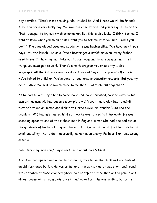Sayle smiled. "That"s most amusing. Alex it shall be. And I hope we will be friends, Alex. You are a very lucky boy. You won the competition and you are going to be the first teenager to try out my Stormbreaker. But this is also lucky, I think, for me. I want to know what you think of it! I want you to tell me what you like ... what you don"t." The eyes dipped away and suddenly he was businesslike. "We have only three days until the launch," he said. "We'd better get a *bliddy* move on, as my father used to say. I"ll have my man take you to our room and tomorrow morning, first thing, you must get to work. There's a math program you should try ... also languages. All the software was developed here at Sayle Enterprises. Of course we've talked to children. We've gone to teachers, to education experts. But you, my dear … Alex. You will be worth more to me than all of them put together."

As he had talked, Sayle had become more and more animated, carried away by his own enthusiasm. He had become a completely different man. Alex had to admit that he"d taken an immediate dislike to Herod Sayle. No wonder Blunt and the people at M16 had mistrusted him! But now he was forced to think again. He was standing opposite one of the richest men in England, a man who had decided out of the goodness of his heart to give a huge gift to English schools. Just because he as small and slimy, that didn"t necessarily make him an enemy. Perhaps Blunt was wrong after all.

"Ah! Here's my man now," Sayle said. "And about bliddy time!"

The door had opened and a man had come in, dressed in the black suit and tails of an old-fashioned butler. He was as tall and thin as his master was short and round, with a thatch of close-cropped ginger hair on top of a face that was so pale it was almost paper white From a distance it had looked as if he was smiling, but as he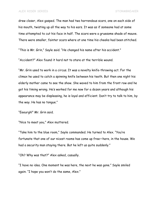drew closer, Alex gasped. The man had two horrendous scars, one on each side of his mouth, twisting up all the way to his ears. It was as if someone had at some time attempted to cut his face in half. The scars were a gruesome shade of mauve. There were smaller, fainter scars where at one time his cheeks had been stitched.

"This is Mr. Grin," Sayle said. "He changed his name after his accident."

"Accident?" Alex found it hard not to stare at the terrible wound.

"Mr. Grin used to work in a circus. It was a novelty knife-throwing act. For the climax he used to catch a spinning knife between his teeth. But then one night his elderly mother came to see the show. She waved to him from the front row and he got his timing wrong. He"s worked for me now for a dozen years and although his appearance may be displeasing, he is loyal and efficient. Don"t try to talk to him, by the way. He has no tongue."

"Eeeurgh!" Mr. Grin said.

"Nice to meet you," Alex muttered.

"Take him to the blue room," Sayle commanded. He turned to Alex. "You"re fortunate that one of our nicest rooms has come up free—here, in the house. We had a security man staying there. But he left us quite suddenly."

"Oh? Why was that?" Alex asked, casually.

"I have no idea. One moment he was here, the next he was gone." Sayle smiled again. "I hope you won"t do the same, Alex."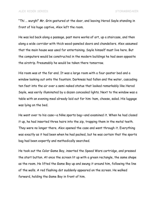"Thi … wurgh!" Mr. Grin gestured at the door, and leaving Herod Sayle standing in front of his huge captive, Alex left the room.

He was led back along a passage, past more works of art, up a staircase, and then along a wide corridor with thick wood-paneled doors and chandeliers. Alex assumed that the main house was used for entertaining. Sayle himself must live here. But the computers would be constructed in the modern buildings he had seen opposite the airstrip. Presumably he would be taken there tomorrow.

His room was at the far end. It was a large room with a four-poster bed and a window looking out onto the fountain. Darkness had fallen and the water, cascading ten feet into the air over a semi-naked statue that looked remarkably like Herod Sayle, was eerily illuminated by a dozen concealed lights. Next to the window was a table with an evening meal already laid out for him: ham, cheese, salad. His luggage was lying on the bed.

He went over to his case—a Nike sports bag—and examined it. When he had closed it up, he had inserted three hairs into the zip, trapping them in the metal teeth. They were no longer there. Alex opened the case and went through it. Everything was exactly as it had been when he had packed, but he was certain that the sports bag had been expertly and methodically searched.

He took out the Color Game Boy, inserted the Speed Wars cartridge, and pressed the start button. At once the screen lit up with a green rectangle, the same shape as the room. He lifted the Game Boy up and swung it around him, following the line of the walls. A red flashing dot suddenly appeared on the screen. He walked forward, holding the Game Boy in front of him.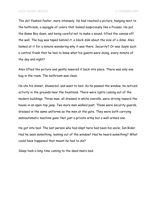The dot flashed faster, more intensely. He had reached a picture, hanging next to the bathroom, a squiggle of colors that looked suspiciously like a Picasso. He put the Game Boy down, and being careful not to make a sound, lifted the canvas off the wall. The bug was taped behind it, a black disk about the size of a dime. Alex looked at it for a minute wondering why it was there. Security? Or was Sayle such a control freak that he had to know what his guests were doing, every minute of the day and night?

Alex lifted the picture and gently lowered it back into place. There was only one bug in the room. The bathroom was clean.

He ate his dinner, showered, and went to bed. As he passed the window, he noticed activity in the grounds near the fountains. There were lights coming out of the modern buildings. Three men, all dressed in white overalls, were driving toward the house in an open-top jeep. Two more men walked past. These were security guards, dressed in the same uniforms as the men at the gate. They were both carrying semiautomatic machine guns. Not just a private army but a well-armed one.

He got into bed. The last person who had slept here had been his uncle, Ian Rider. Had he seen something, looking out of the window? Had he heard something? What could have happened that meant he had to die?

Sleep took a long time coming to the dead man"s bed.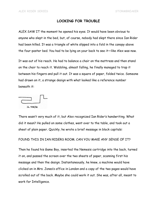# **LOOKING FOR TROUBLE**

ALEX SAW IT the moment he opened his eyes. It would have been obvious to anyone who slept in the bed, but, of course, nobody had slept there since Ian Rider had been killed. It was a triangle of white slipped into a fold in the canopy above the four-poster bed. You had to be lying on your back to see it—like Alex was now.

It was out of his reach. He had to balance a chair on the mattress and then stand on the chair to reach it. Wobbling, almost falling, he finally managed to trap it between his fingers and pull it out. It was a square of paper, folded twice. Someone had drawn on it, a strange design with what looked like a reference number beneath it:



There wasn"t very much of it, but Alex recognized Ian Rider"s handwriting. What did it mean? He pulled on some clothes, went over to the table, and took out a sheet of plain paper. Quickly, he wrote a brief message in block capitals:

FOUND THIS IN IAN RIDERS ROOM. CAN YOU MAKE ANY SENSE OF IT?

Then he found his Game Boy, inserted the Nemesis cartridge into the back, turned it on, and passed the screen over the two sheets of paper, scanning first his message and then the design. Instantaneously, he knew, a machine would have clicked on in Mrs. Jones"s office in London and a copy of the two pages would have scrolled out of the back. Maybe she could work it out. She was, after all, meant to work for Intelligence.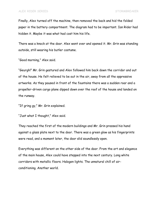Finally, Alex turned off the machine, then removed the back and hid the folded paper in the battery compartment. The diagram had to be important. Ian Rider had hidden it. Maybe it was what had cost him his life.

There was a knock at the door. Alex went over and opened it. Mr. Grin was standing outside, still wearing his butler costume.

"Good morning," Alex said.

"Geurgh!" Mr. Grin gestured and Alex followed him back down the corridor and out of the house. He felt relieved to be out in the air, away from all the oppressive artworks. As they paused in front of the fountains there was a sudden roar and a propeller-driven cargo plane dipped down over the roof of the house and landed on the runway.

"If gring gy," Mr. Grin explained.

"Just what I thought," Alex said.

They reached the first of the modern buildings and Mr. Grin pressed his hand against a glass plate next to the door. There was a green glow as his fingerprints were read, and a moment later, the door slid soundlessly open.

Everything was different on the other side of the door. From the art and elegance of the main house, Alex could have stepped into the next century. Long white corridors with metallic floors. Halogen lights. The unnatural chill of airconditioning. Another world.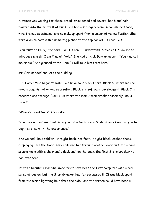A woman was waiting for them, broad- shouldered and severe, her blond hair twisted into the tightest of buns. She had a strangely blank, moon-shaped face, wire-framed spectacles, and no makeup apart from a smear of yellow lipstick. She wore a white coat with a name tag pinned to the top pocket. It read: VOLE.

"You must be Felix," she said. "Or is it now, I understand, Alex? Yes! Allow me to introduce myself. I am Fraulein Vole." She had a thick German accent. "You may call me Nadia." She glanced at Mr. Grin. "I will take him from here."

Mr. Grin nodded and left the building.

"This way." Vole began to walk. "We have four blocks here. Block A, where we are now, is administration and recreation. Block B is software development. Block C is research and storage. Block D is where the main Stormbreaker assembly line is found."

"Where"s breakfast?" Alex asked.

"You have not eaten? I will send you a sandwich. Herr Sayle is very keen for you to begin at once with the experience."

She walked like a soldier—straight back, her feet, in tight black leather shoes, rapping against the floor. Alex followed her through another door and into a bare square room with a chair and a desk and, on the desk, the first Stormbreaker he had ever seen.

It was a beautiful machine. iMac might have been the first computer with a real sense of design, but the Stormbreaker had far surpassed it. It was black apart from the white lightning bolt down the side—and the screen could have been a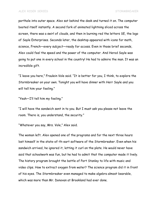porthole into outer space. Alex sat behind the desk and turned it on. The computer booted itself instantly. A second fork of animated lightning sliced across the screen, there was a swirl of clouds, and then in burning red the letters SE, the logo of Sayle Enterprises. Seconds later, the desktop appeared with icons for math, science, French—every subject—ready for access. Even in those brief seconds, Alex could feel the speed and the power of the computer. And Herod Sayle was going to put one in every school in the country! He had to admire the man. It was an incredible gift.

"I leave you here," Fraulein Vole said. "It is better for you, I think, to explore the Stormbreaker on your own. Tonight you will have dinner with Herr Sayle and you will tell him your feeling."

"Yeah—I"ll tell him my feeling."

"I will have the sandwich sent in to you. But I must ask you please not leave the room. There is, you understand, the security."

"Whatever you say, Mrs. Vole," Alex said.

The woman left. Alex opened one of the programs and for the next three hours lost himself in the state-of-th-eart software of the Stormbreaker. Even when his sandwich arrived, he ignored it, letting it curl on the plate. He would never have said that schoolwork was fun, but he had to admit that the computer made it lively. The history program brought the battle of Port Stanley to life with music and video clips. How to extract oxygen from water? The science program did it in front of his eyes. The Stormbreaker even managed to make algebra almost bearable, which was more than Mr. Donovan at Brookland had ever done.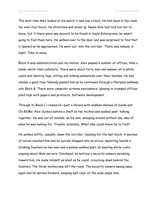The next time Alex looked at his watch it was one o"clock. He had been in the room for over four hours. He stretched and stood up. Nadia Vole had told him not to leave, but if there were any secrets to be found in Sayle Enterprises, he wasn"t going to find them here. He walked over to the door and was surprised to find that it opened as he approached. He went out, into the corridor. There was nobody in sight. Time to move.

Block A was administration and recreation. Alex passed a number of offices, then a blank, white-tiled cafeteria. There were about forty men and women, all in white coats and identity tags, sitting and talking animatedly over their lunches. He had chosen a good time. Nobody passed him as he continued through a Plexiglas walkway into Block B. There were computer screens everywhere, glowing in cramped offices piled high with papers and printouts. Software development.

Through to Block C—research—past a library with endless shelves of books and CD-ROMs. Alex ducked behind a shelf as two technicians walked past, talking together. He was out-of-bounds, on his own, snooping around without any idea of what he was looking for. Trouble, probably. What else could there be to find?

He walked softly, casually, down the corridor, heading for the last block. A murmur of voices reached him and he quickly stepped into an alcove, squatting beside a drinking fountain as two men and a woman walked past, all wearing white coats, arguing about Web servers. Overhead, he noticed a security camera swiveling toward him. He made himself as small as he could, crouching down behind the fountain. The three technicians left the room. The security camera swung away again and he darted forward, keeping well clear of the wide-angle lens.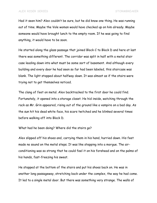Had it seen him? Alex couldn"t be sure, but he did know one thing. He was running out of time. Maybe the Vole woman would have checked up on him already. Maybe someone would have brought lunch to the empty room. If he was going to find anything, it would have to be soon.

He started along the glass passage that joined Block C to Block D and here at last there was something different. The corridor was split in half with a metal stair case leading down into what must be some sort of basement. And although every building and every door he had seen so far had been labeled, this staircase was blank. The light stopped about halfway down. It was almost as if the stairs were trying not to get themselves noticed.

The clang of feet on metal. Alex backtracked to the first door he could find. Fortunately, it opened into a storage closet. He hid inside, watching through the rack as Mr. Grin appeared, rising out of the ground like a vampire on a bad day. As the sun hit his dead white face, his scars twitched and he blinked several times before walking off into Block D.

# What had he been doing? Where did the stairs go?

Alex slipped off his shoes and, carrying them in his hand, hurried down. His feet made no sound on the metal steps. It was like stepping into a morgue. The airconditioning was so strong that he could feel it on his forehead and on the palms of his hands, fast-freezing his sweat.

He stopped at the bottom of the stairs and put his shoes back on. He was in another long passageway, stretching back under the complex, the way he had come. It led to a single metal door. But there was something very strange. The walls of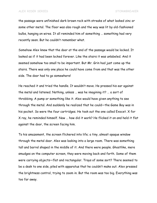the passage were unfinished dark brown rock with streaks of what looked zinc or some other metal. The floor was also rough and the way was lit by old-fashioned bulbs, hanging on wires. It all reminded him of something … something had very recently seen. But he couldn"t remember what.

Somehow Alex knew that the door at the end of the passage would be locked. It looked as if it had been locked forever. Like the stairs it was unlabeled. And it seemed somehow too small to be important. But Mr. Grin had just come up the stairs. There was only one place he could have come from and that was the other side. The door had to go somewhere!

He reached it and tried the handle. It wouldn"t move. He pressed his ear against the metal and listened. Nothing, unless … was he imagining it? … a sort of throbbing. A pump or something like it. Alex would have given anything to see through the metal. And suddenly he realized that he could—the Game Boy was in his pocket. So were the four cartridges. He took out the one called Exocet. X for X ray, he reminded himself. Now … how did it work? He flicked it on and held it flat against the door, the screen facing him.

To his amazement, the screen flickered into life; a tiny, almost opaque window through the metal door. Alex was looking into a large room. There was something tall and barrel shaped in the middle of it. And there were people. Ghostlike, mere smudges on the computer screen, they were moving back and forth. Some of them were carrying objects—flat and rectangular. Trays of some sort? There seemed to be a desk to one side, piled with apparatus that he couldn"t make out. Alex pressed the brightness control, trying to zoom in. But the room was too big. Everything was too far away.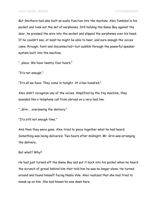But Smithers had also built an audio function into the machine. Alex fumbled in his pocket and took out the set of earphones. Still holding the Game Boy against the door, he pressed the wire into the socket and slipped the earphones over his head. If he couldn"t see, at least he might be able to hear, and sure enough the voices came through, faint and disconnected—but audible through the powerful speaker system built into the machine.

"…place. We have twenty-four hours."

"It's not enough."

"It's all we have. They come in tonight. At o'two hundred."

Alex didn"t recognize any of the voices. Amplified by the tiny machine, they sounded like a telephone call from abroad on a very bad line.

"…Grin … overseeing the delivery."

"It"s still not enough time."

And then they were gone. Alex tried to piece together what he had heard. Something was being delivered. Two hours after midnight. Mr. Grin was arranging the delivery.

# But what? Why?

He had just turned off the Game Boy and put it back into his pocket when he heard the scrunch of gravel behind him that told him he was no longer alone. He turned around and found himself facing Nadia Vole. Alex realized that she had tried to sneak up on him. She had known he was down here.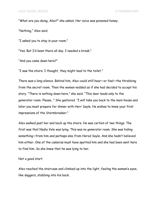"What are you doing, Alex?" she asked. Her voice was poisoned honey.

"Nothing," Alex said.

"I asked you to stay in your room."

"Yes. But I"d been there all day. I needed a break."

"And you came down here?"

"I saw the stairs. I thought, they might lead to the toilet."

There was a long silence. Behind him, Alex could still hear—or feel—the throbbing from the secret room. Then the woman nodded as if she had decided to accept his story. "There is nothing down here," she said. "This door leads only to the generator room. Please…" She gestured. "I will take you back to the main house and later you must prepare for dinner with Herr Sayle. He wishes to know your first impressions of the Stormbreaker."

Alex walked past her and back up the stairs. He was certain of two things. The first was that Nadia Vole was lying. This was no generator room. She was hiding something—from him and perhaps also from Herod Sayle. And she hadn"t believed him either. One of the cameras must have spotted him and she had been sent here to find him. So she knew that he was lying to her.

Not a good start.

Alex reached the staircase and climbed up into the light, feeling the woman's eyes, like daggers, stabbing into his back.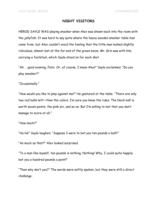# **NIGHT VISITORS**

HEROD SAYLE WAS playing snooker when Alex was shown back into the room with the jellyfish. It was hard to say quite where the heavy wooden snooker table had come from, but Alex couldn"t avoid the feeling that the little man looked slightly ridiculous, almost lost at the far end of the green baize. Mr. Grin was with him, carrying a footstool, which Sayle stood on for each shot.

"Ah … good evening, Felix. Or, of course, I mean Alex!" Sayle exclaimed. "Do you play snooker?"

"Occasionally."

"How would you like to play against me?" He gestured at the table. "There are only two red balls left—then the colors. I"m sure you know the rules. The black ball is worth seven points, the pink six, and so on. But I"m willing to bet that you don"t manage to score at all."

# "How much?"

"Ha ha!" Sayle laughed. "Suppose I were to bet you ten pounds a ball?"

"As much as that?" Alex looked surprised.

"To a man like myself, ten pounds is nothing. Nothing! Why, I could quite happily bet you a hundred pounds a point!"

"Then why don"t you?" The words were softly spoken, but they were still a direct challenge.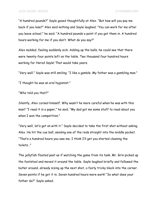"A hundred pounds?" Sayle gazed thoughtfully at Alex. "But how will you pay me back if you lose?" Alex said nothing and Sayle laughed. "You can work for me after you leave school," he said. "A hundred pounds a point if you get them in. A hundred hours working for me if you don"t. What do you say?"

Alex nodded, feeling suddenly sick. Adding up the balls, he could see that there were twenty-four points left on the table. Two thousand four hundred hours working for Herod Sayle! That would take years.

"Very well." Sayle was still smiling. "I like a gamble. My father was a gambling man."

"I thought he was an oral hygienist."

"Who told you that?"

Silently, Alex cursed himself. Why wasn"t he more careful when he was with this man? "I read it in a paper," he said. "My dad got me some stuff to read about you when I won the competition."

"Very well, let"s get on with it." Sayle decided to take the first shot without asking Alex. He hit the cue ball, sending one of the reds straight into the middle pocket. "That"s a hundred hours you owe me. I think I"ll get you started cleaning the toilets…"

The jellyfish floated past as if watching the game from its tank. Mr. Grin picked up the footstool and moved it around the table. Sayle laughed briefly and followed the butler around, already sizing up the next shot, a fairly tricky black into the corner. Seven points if he got it in. Seven hundred hours more work! "So what does your father do?" Sayle asked.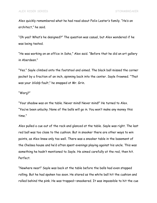Alex quickly remembered what he had read about Felix Lester"s family. "He"s an architect," he said.

"Oh yes? What"s he designed?" The question was casual, but Alex wondered if he was being tested.

"He was working on an office in Soho," Alex said. "Before that he did an art gallery in Aberdeen."

"Yes." Sayle climbed onto the footstool and aimed. The black ball missed the corner pocket by a fraction of an inch, spinning back into the center. Sayle frowned. "That was your *bliddy* fault," he snapped at Mr. Grin.

"Warg?"

"Your shadow was on the table. Never mind! Never mind!" He turned to Alex. "You"ve been unlucky. None of the balls will go in. You won"t make any money this time."

Alex pulled a cue out of the rack and glanced at the table. Sayle was right. The last red ball was too close to the cushion. But in snooker there are other ways to win points, as Alex knew only too well. There was a snooker table in the basement of the Chelsea house and he"d often spent evenings playing against his uncle. This was something he hadn"t mentioned to Sayle. He aimed carefully at the red, then hit. Perfect.

"Nowhere near!" Sayle was back at the table before the balls had even stopped rolling. But he had spoken too soon. He stared as the white ball hit the cushion and rolled behind the pink. He was trapped—snookered. It was impossible to hit the cue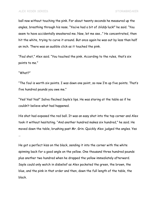ball now without touching the pink. For about twenty seconds he measured up the angles, breathing through his nose. "You've had a bit of *bliddy* luck!" he said. "You seem to have accidentally snookered me. Now, let me see…" He concentrated, then hit the white, trying to curve it around. But once again he was out by less than half an inch. There was an audible click as it touched the pink.

"Foul shot," Alex said. "You touched the pink. According to the rules, that"s six points to me."

# "What?"

"The foul is worth six points. I was down one point, so now I"m up five points. That"s five hundred pounds you owe me."

"Yes! Yes! Yes!" Saliva flecked Sayle"s lips. He was staring at the table as if he couldn"t believe what had happened.

His shot had exposed the red ball. It was an easy shot into the top corner and Alex took it without hesitating. "And another hundred makes six hundred," he said. He moved down the table, brushing past Mr. Grin. Quickly Alex judged the angles. Yes …

He got a perfect kiss on the black, sending it into the corner with the white spinning back for a good angle on the yellow. One thousand three hundred pounds plus another two hundred when he dropped the yellow immediately afterward. Sayle could only watch in disbelief as Alex pocketed the green, the brown, the blue, and the pink in that order and then, down the full length of the table, the black.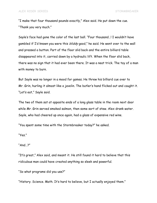"I make that four thousand pounds exactly," Alex said. He put down the cue. "Thank you very much."

Sayle"s face had gone the color of the last ball. "Four thousand…! I wouldn"t have gambled if I'd known you were this *bliddy* good," he said. He went over to the wall and pressed a button. Part of the floor slid back and the entire billiard table disappeared into it, carried down by a hydraulic lift. When the floor slid back, there was no sign that it had ever been there. It was a neat trick. The toy of a man with money to burn.

But Sayle was no longer in a mood for games. He threw his billiard cue over to Mr. Grin, hurling it almost like a javelin. The butler"s hand flicked out and caught it. "Let"s eat," Sayle said.

The two of them sat at opposite ends of a long glass table in the room next door while Mr. Grin served smoked salmon, then some sort of stew. Alex drank water. Sayle, who had cheered up once again, had a glass of expensive red wine.

"You spent some time with the Stormbreaker today?" he asked.

"Yes."

"And…?"

"It"s great," Alex said, and meant it. He still found it hard to believe that this ridiculous man could have created anything so sleek and powerful.

"So what programs did you use?"

"History. Science. Math. It's hard to believe, but I actually enjoyed them."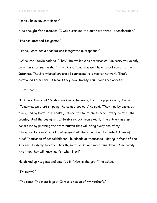"Do you have any criticisms?"

Alex thought for a moment. "I was surprised it didn"t have three-D acceleration."

"It's not intended for games."

"Did you consider a headset and integrated microphone?"

"Of course." Sayle nodded. "They"ll be available as accessories. I"m sorry you"ve only come here for such a short time, Alex. Tomorrow we"ll have to get you onto the Internet. The Stormbreakers are all connected to a master network. That"s controlled from here. It means they have twenty-four-hour free access."

"That"s cool."

"It"s more than cool." Sayle"s eyes were far away, the gray pupils small, dancing. "Tomorrow we start shipping the computers out," he said. "They"ll go by plane, by truck, and by boat. It will take just one day for them to reach every point of the country. And the day after, at twelve o"clock noon exactly, the prime minister honors me by pressing the start button that will bring every one of my Stormbreakers on-line. At that moment all the schools will be united. Think of it, Alex! Thousands of schoolchildren—hundreds of thousands—sitting in front of the screens, suddenly together. North, south, east, and west. One school. One family. And then they will know me for what I am!"

He picked up his glass and emptied it. "How is the goat?" he asked.

"I"m sorry?"

"The stew. The meat is goat. It was a recipe of my mother's."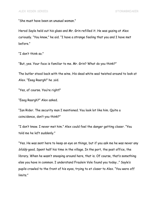"She must have been an unusual woman."

Herod Sayle held out his glass and Mr. Grin refilled it. He was gazing at Alex curiously. "You know," he aid. "I have a strange feeling that you and I have met before."

"I don"t think so."

"But, yes. Your face is familiar to me. Mr. Grin? What do you think?"

The butler stood back with the wine. His dead white wad twisted around to look at Alex. "Eeeg Raargh!" he ;aid.

"Yes, of course. You"re right!"

"Eeeg Raargh?" Alex asked.

"Ian Rider. The security man I mentioned. You look lot like him. Quite a coincidence, don"t you think?"

"I don"t know. I never met him." Alex could feel the danger getting closer. "You told me he left suddenly."

"Yes. He was sent here to keep an eye on things, but if you ask me he was never any bliddy good. Spent half his time in the village. In the port, the post office, the library. When he wasn't snooping around here, that is. Of course, that's something else you have in common. I understand Fraulein Vole found you today…" Sayle"s pupils crawled to the front of his eyes, trying to et closer to Alex. "You were off limits."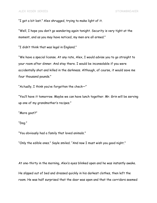"I got a bit lost." Alex shrugged, trying to make light of it.

"Well, I hope you don"t go wandering again tonight. Security is very tight at the moment, and as you may have noticed, my men are all armed."

"I didn"t think that was legal in England."

"We have a special license. At any rate, Alex, I would advise you to go straight to your room after dinner. And stay there. I would be inconsolable if you were accidentally shot and killed in the darkness. Although, of course, it would save me four thousand pounds."

"Actually, I think you"ve forgotten the check—"

"You"ll have it tomorrow. Maybe we can have lunch together. Mr. Grin will be serving up one of my grandmother"s recipes."

"More goat?"

"Dog."

"You obviously had a family that loved animals."

"Only the edible ones." Sayle smiled. "And now I must wish you good night."

At one-thirty in the morning, Alex"s eyes blinked open and he was instantly awake.

He slipped out of bed and dressed quickly in his darkest clothes, then left the room. He was half surprised that the door was open and that the corridors seemed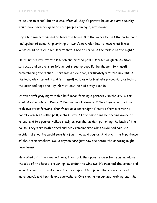to be unmonitored. But this was, after all, Sayle"s private house and any security would have been designed to stop people coming in, not leaving.

Sayle had warned him not to leave the house. But the voices behind the metal door had spoken of something arriving at two o"clock. Alex had to know what it was. What could be such a big secret that it had to arrive in the middle of the night?

He found his way into the kitchen and tiptoed past a stretch of gleaming silver surfaces and an oversize fridge. Let sleeping dogs lie, he thought to himself, remembering the dinner. There was a side door, fortunately with the key still in the lock. Alex turned it and let himself out. As a last-minute precaution, he locked the door and kept the key. Now at least he had a way back in.

It was a soft gray night with a half-moon forming a perfect  $D$  in the sky.  $D$  for what, Alex wondered. Danger? Discovery? Or disaster? Only time would tell. He took two steps forward, then froze as a searchlight directed from a tower he hadn"t even seen rolled past, inches away. At the same time he became aware of voices, and two guards walked slowly across the garden, patrolling the back of the house. They were both armed and Alex remembered what Sayle had said. An accidental shooting would save him four thousand pounds. And given the importance of the Stormbreakers, would anyone care just how accidental the shooting might have been?

He waited until the men had gone, then took the opposite direction, running along the side of the house, crouching low under the windows. He reached the corner and looked around. In the distance the airstrip was fit up and there were figures more guards and technicians everywhere. One man he recognized, walking past the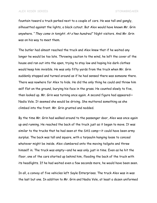fountain toward a truck parked next to a couple of cars. He was tall and gangly, silhouetted against the lights, a black cutout. But Alex would have known Mr. Grin anywhere. "They come in tonight. At o'two hundred." Night visitors. And Mr. Grin was on his way to meet them.

The butler had almost reached the truck and Alex knew that if he waited any longer he would be too late. Throwing caution to the wind, he left the cover of the house and ran out into the open, trying to stay low and hoping his dark clothes would keep him invisible. He was only fifty yards from the truck when Mr. Grin suddenly stopped and turned around as if he had sensed there was someone there. There was nowhere for Alex to hide. He did the only thing he could and threw him self flat on the ground, burying his face in the grass. He counted slowly to five, then looked up. Mr. Grin was turning once again. A second figure had appeared— Nadia Vole. It seemed she would be driving. She muttered something as she climbed into the front. Mr. Grin grunted and nodded.

By the time Mr. Grin had walked around to the passenger door, Alex was once again up and running. He reached the back of the truck just as it began to move. It was similar to the trucks that he had seen at the SAS camp—it could have been army surplus. The back was tall and square, with a tarpaulin hanging loose to conceal whatever might be inside. Alex clambered onto the moving tailgate and threw himself in. The truck was empty—and he was only just in time. Even as he hit the floor, one of the cars started up behind him, flooding the back of the truck with its headlights. If he had waited even a few seconds more, he would have been seen.

In all, a convoy of five vehicles left Sayle Enterprises. The truck Alex was in was the last but one. In addition to Mr. Grin and Nadia Vole, at least a dozen uniformed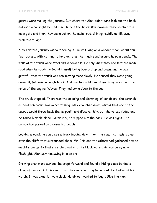guards were making the journey. But where to? Alex didn"t dare look out the back, not with a car right behind him. He felt the truck slow down as they reached the main gate and then they were out on the main road, driving rapidly uphill, away from the village.

Alex felt the journey without seeing it. He was lying on a wooden floor, about ten feet across, with nothing to hold on to as the truck sped around hairpin bends. The walls of the truck were steel and windowless. He only knew they had left the main road when he suddenly found himself being bounced up and down, and he was grateful that the truck was now moving more slowly. He sensed they were going downhill, following a rough track. And now he could hear something, even over the noise of the engine. Waves. They had come down to the sea.

The truck stopped. There was the opening and slamming of car doors, the scrunch of boots on rocks, low voices talking. Alex crouched down, afraid that one of the guards would throw back the tarpaulin and discover him, but the voices faded and he found himself alone. Cautiously, he slipped out the back. He was right. The convoy had parked on a deserted beach.

Looking around, he could see a track leading down from the road that twisted up over the cliffs that surrounded them. Mr. Grin and the others had gathered beside an old stone jetty that stretched out into the black water. He was carrying a flashlight. Alex saw him swing it in an arc.

Growing ever more curious, he crept forward and found a hiding place behind a clump of boulders. It seemed that they were waiting for a boat. He looked at his watch. It was exactly two o"clock. He almost wanted to laugh. Give the men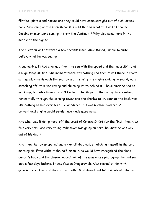flintlock pistols and horses and they could have come straight out of a children"s book. Smuggling on the Cornish coast. Could that be what this was all about? Cocaine or marijuana coming in from the Continent? Why else come here in the middle of the night?

The question was answered a few seconds later. Alex stared, unable to quite believe what he was seeing.

A submarine. It had emerged from the sea with the speed and the impossibility of a huge stage illusion. One moment there was nothing and then it was there in front of him, plowing through the sea toward the jetty, its engine making no sound, water streaking off its silver casing and churning white behind it. The submarine had no markings, but Alex knew it wasn"t English. The shape of the diving plane slashing horizontally through the conning tower and the shark"s tail rudder at the back was like nothing he had ever seen. He wondered if it was nuclear powered. A conventional engine would surely have made more noise.

And what was it doing here, off the coast of Cornwall? Not for the first time, Alex felt very small and very young. Whatever was going on here, he knew he was way out of his depth.

And then the tower opened and a man climbed out, stretching himself in the cold morning air. Even without the half-moon, Alex would have recognized the sleek dancer"s body and the close-cropped hair of the man whose photograph he had seen only a few days before. It was Yassen Gregorovich. Alex stared at him with growing fear. This was the contract killer Mrs. Jones had told him about. The man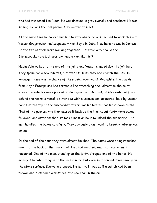who had murdered Ian Rider. He was dressed in gray overalls and sneakers. He was smiling. He was the last person Alex wanted to meet.

At the same time he forced himself to stay where he was. He had to work this out. Yassen Gregorovich had supposedly met Sayle in Cuba. Now here he was in Cornwall. So the two of them were working together. But why? Why should the Stormbreaker project possibly need a man like him?

Nadia Vole walked to the end of the jetty and Yassen climbed down to join her. They spoke for a few minutes, but even assuming they had chosen the English language, there was no chance of their being overheard. Meanwhile, the guards from Sayle Enterprises had formed a line stretching back almost to the point where the vehicles were parked. Yassen gave an order and, as Alex watched from behind the rocks, a metallic silver box with a vacuum seal appeared, held by unseen hands, at the top of the submarine's tower. Yassen himself passed it down to the first of the guards, who then passed it back up the line. About forty more boxes followed, one after another. It took almost an hour to unload the submarine. The men handled the boxes carefully. They obviously didn"t want to break whatever was inside.

By the end of the hour they were almost finished. The boxes were being repacked now into the back of the truck that Alex had vacated. And that was when it happened. One of the men, standing on the jetty, dropped one of the boxes. He managed to catch it again at the last minute, but even so it banged down heavily on the stone surface. Everyone stopped. Instantly. It was as if a switch had been thrown and Alex could almost feel the raw fear in the air.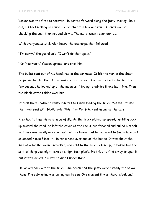Yassen was the first to recover. He darted forward along the jetty, moving like a cat, his feet making no sound. He reached the box and ran his hands over it, checking the seal, then nodded slowly. The metal wasn"t even dented.

With everyone so still, Alex heard the exchange that followed.

"I"m sorry," the guard said. "I won"t do that again."

"No. You won"t," Yassen agreed, and shot him.

The bullet spat out of his hand, red in the darkness. It hit the man in the chest, propelling him backward in an awkward cartwheel. The man fell into the sea. For a few seconds he looked up at the moon as if trying to admire it one last time. Then the black water folded over him.

It took them another twenty minutes to finish loading the truck. Yassen got into the front seat with Nadia Vole. This time Mr. Grin went in one of the cars.

Alex had to time his return carefully. As the truck picked up speed, rumbling back up toward the road, he left the cover of the rocks, ran forward and pulled him self in. There was hardly any room with all the boxes, but he managed to find a hole and squeezed himself into it. He ran a hand over one of the boxes. It was about the size of a toaster oven, unmarked, and cold to the touch. Close up, it looked like the sort of thing you might take on a high-tech picnic. He tried to find a way to open it, but it was locked in a way he didn"t understand.

He looked back out of the truck. The beach and the jetty were already far below them. The submarine was pulling out to sea. One moment it was there, sleek and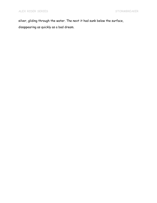silver, gliding through the water. The next it had sunk below the surface, disappearing as quickly as a bad dream.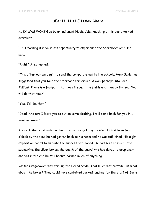# **DEATH IN THE LONG GRASS**

ALEX WAS WOKEN up by an indignant Nadia Vole, knocking at his door. He had overslept.

"This morning it is your last opportunity to experience the Stormbreaker," she said.

"Right," Alex replied.

"This afternoon we begin to send the computers out to the schools. Herr Sayle has suggested that you take the afternoon for leisure. A walk perhaps into Port TalIon? There is a footpath that goes through the fields and then by the sea. You will do that, yes?"

"Yes, I"d like that."

"Good. And now I leave you to put on some clothing. I will come back for you in … zehn minuten. "

Alex splashed cold water on his face before getting dressed. It had been four o"clock by the time he had gotten back to his room and he was still tired. His night expedition hadn"t been quite the success he"d hoped. He had seen so much—the submarine, the silver boxes, the death of the guard who had dared to drop one and yet in the end he still hadn"t learned much of anything.

Yassen Gregorovich was working for Herod Sayle. That much was certain. But what about the boxes? They could have contained packed lunches for the staff of Sayle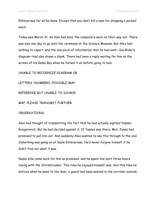Enterprises for all he knew. Except that you don"t kill a man for dropping a packed lunch.

Today was March 31. As Vole had said, the computers were on their way out. There was only one day to go until the ceremony at the Science Museum. But Alex had nothing to report, and the one piece of information that he had sent—Ian Rider"s diagram—had also drawn a blank. There had been a reply waiting for him on the screen of his Game Boy when he turned it on before going to bed.

UNABLE TO RECOGNIZE DIAGRAM OR

LETTERS /NUMBERS. POSSIBLE MAP

REFERENCE BUT UNABLE TO SOURCE

MAP. PLEASE TRANSMIT FURTHER

OBSERVATIONS.

Alex had thought of transmitting the fact that he had actually sighted Yassen Gregorovich. But he had decided against it. If Yassen was there, Mrs. Jones had promised to pull him out. And suddenly Alex wanted to see this through to the end. Something was going on at Sayle Enterprises. He"d never forgive himself if he didn"t find out what it was.

Nadia Vole came back for him as promised, and he spent the next three hours toying with the Stormbreaker. This time he enjoyed himself less. And this time he noticed when he went to the door, a guard had been posted in the corridor outside.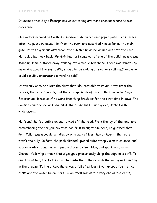It seemed that Sayle Enterprises wasn"t taking any more chances where he was concerned.

One o"clock arrived and with it a sandwich, delivered on a paper plate. Ten minutes later the guard released him from the room and escorted him as far as the main gate. It was a glorious afternoon, the sun shining as he walked out onto the road. He took a last look back. Mr. Grin had just come out of one of the buildings and was standing some distance away, talking into a mobile telephone. There was something unnerving about the sight. Why should he be making a telephone call now? And who could possibly understand a word he said?

It was only once he"d left the plant that Alex was able to relax. Away from the fences, the armed guards, and the strange sense of threat that pervaded Sayle Enterprises, it was as if he were breathing fresh air for the first time in days. The Cornish countryside was beautiful, the rolling hills a lush green, dotted with wildflowers.

He found the footpath sign and turned off the road. From the lay of the land, and remembering the car journey that had first brought him here, he guessed that Port Tallon was a couple of miles away, a walk of less than an hour if the route wasn"t too hilly. In fact, the path climbed upward quite steeply almost at once, and suddenly Alex found himself perched over a clear, blue, and sparkling English Channel, following a track that zigzagged precariously along the edge of a cliff. To one side of him, the fields stretched into the distance with the long grass bending in the breeze. To the other, there was a fall of at least five hundred feet to the rocks and the water below. Port Tallon itself was at the very end of the cliffs,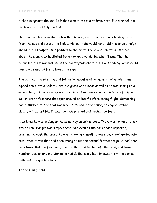tucked in against the sea. It looked almost too quaint from here, like a model in a black-and-white Hollywood film.

He came to a break in the path with a second, much tougher track leading away from the sea and across the fields. His instincts would have told him to go straight ahead, but a footpath sign pointed to the right. There was something strange about the sign. Alex hesitated for a moment, wondering what it was. Then he dismissed it. He was walking in the countryside and the sun was shining. What could possibly be wrong? He followed the sign.

The path continued rising and falling for about another quarter of a mile, then dipped down into a hollow. Here the grass was almost as tall as he was, rising up all around him, a shimmering green cage. A bird suddenly erupted in front of him, a ball of brown feathers that spun around on itself before taking flight. Something had disturbed it. And that was when Alex heard the sound, an engine getting closer. A tractor? No. It was too high-pitched and moving too fast.

Alex knew he was in danger the same way an animal does. There was no need to ask why or how. Danger was simply there. And even as the dark shape appeared, crashing through the grass, he was throwing himself to one side, knowing—too late now—what it was that had been wrong about the second footpath sign. It had been brand-new. But the first sign, the one that had led him off the road, had been weather-beaten and old. Someone had deliberately led him away from the correct path and brought him here.

To the killing field.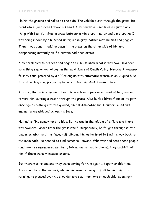He hit the ground and rolled to one side. The vehicle burst through the grass, its front wheel just inches above his head. Alex caught a glimpse of a squat black thing with four fat tires, a cross between a miniature tractor and a motorbike. It was being ridden by a hunched-up figure in gray leather with helmet and goggles. Then it was gone, thudding down in the grass on the other side of him and disappearing instantly as if a curtain had been drawn.

Alex scrambled to his feet and began to run. He knew what it was now. He"d seen something similar on holiday, in the sand dunes of Death Valley, Nevada. A Kawasaki four by four, powered by a 400cc engine with automatic transmission. A quad bike. It was circling now, preparing to come after him. And it wasn't alone.

A drone, then a scream, and then a second bike appeared in front of him, roaring toward him, cutting a swath through the grass. Alex hurled himself out of its path, once again crashing into the ground, almost dislocating his shoulder. Wind and engine fumes whipped across his face.

He had to find somewhere to hide. But he was in the middle of a field and there was nowhere—apart from the grass itself. Desperately, he fought through it, the blades scratching at his face, half blinding him as he tried to find his way back to the main path. He needed to find someone—anyone. Whoever had sent these people (and now he remembered Mr. Grin, talking on his mobile phone), they couldn"t kill him if there were witnesses around.

But there was no one and they were coming for him again … together this time. Alex could hear the engines, whining in unison, coming up fast behind him. Still running, he glanced over his shoulder and saw them, one on each side, seemingly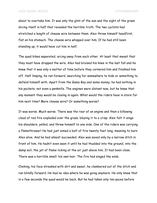about to overtake him. It was only the glint of the sun and the sight of the grass slicing itself in half that revealed the horrible truth. The two cyclists had stretched a length of cheese wire between them. Alex threw himself headfirst, flat on his stomach. The cheese wire whipped over him. If he had still been standing up, it would have cut him in half.

The quad bikes separated, arcing away from each other. At least that meant that they must have dropped the wire. Alex had bruised his knee in the last fall and he knew that it was only a matter of time before they cornered him and finished him off. Half limping, he ran forward, searching for somewhere to hide or something to defend himself with. Apart from the Game Boy and some money, he had nothing in his pockets, not even a penknife. The engines were distant now, but he knew that any moment they would be closing in again. What would the riders have in store for him next time? More cheese wire? Or something worse?

It was worse. Much worse. There was the roar of an engine and then a billowing cloud of red fire exploded over the grass, blazing it to a crisp. Alex felt it singe his shoulders, yelled, and threw himself to one side. One of the riders was carrying a flamethrower! He had just aimed a bolt of fire twenty feet long, meaning to burn Alex alive. And he had almost succeeded. Alex was saved only by a narrow ditch in front of him. He hadn"t even seen it until he had thudded into the ground, into the damp soil, the jet of flame licking at the air just above him. It had been close. There was a horrible smell: his own hair. The fire had singed the ends.

Choking, his face streaked with dirt and sweat, he clambered out of the ditch and ran blindly forward. He had no idea where he was going anymore. He only knew that in a few seconds the quad would be back. But he had taken only ten paces before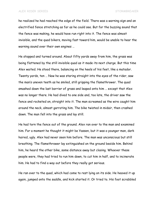he realized he had reached the edge of the field. There was a warning sign and an electrified fence stretching as far as he could see. But for the buzzing sound that the fence was making, he would have run right into it. The fence was almost invisible, and the quad bikers, moving fast toward him, would be unable to hear the warning sound over their own engines …

He stopped and turned around. About fifty yards away from him, the grass was being flattened by the still invisible quad as it made its next charge. But this time Alex waited. He stood there, balancing on the heels of his feet, like a matador. Twenty yards, ten … Now he was staring straight into the eyes of the rider, saw the man"s uneven teeth as he smiled, still gripping the flamethrower. The quad smashed down the last barrier of grass and leaped onto him … except that Alex was no longer there. He had dived to one side and, too late, the driver saw the fence and rocketed on, straight into it. The man screamed as the wire caught him around the neck, almost garroting him. The bike twisted in midair, then crashed down. The man fell into the grass and lay still.

He had torn the fence out of the ground. Alex ran over to the man and examined him. For a moment he thought it might be Yassen, but it was a younger man, dark haired, ugly. Alex had never seen him before. The man was unconscious but still breathing. The flamethrower lay extinguished on the ground beside him. Behind him, he heard the other bike, some distance away but closing. Whoever these people were, they had tried to run him down, to cut him in half, and to incinerate him. He had to find a way out before they really got serious.

He ran over to the quad, which had come to rest lying on its side. He heaved it up again, jumped onto the saddle, and kick started it. Or tried to. His foot scrabbled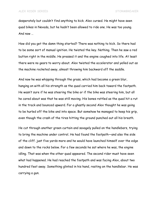desperately but couldn"t find anything to kick. Alex cursed. He might have seen quad bikes in Nevada, but he hadn"t been allowed to ride one. He was too young. And now …

How did you get the damn thing started? There was nothing to kick. So there had to be some sort of manual ignition. He twisted the key. Nothing. Then he saw a red button right in the middle. He pressed it and the engine coughed into life. At least there were no gears to worry about. Alex twisted the accelerator and yelled out as the machine rocketed away, almost throwing him backward off the saddle.

And now he was whipping through the grass, which had become a green blur, hanging on with all his strength as the quad carried him back toward the footpath. He wasn"t sure if he was steering the bike or if the bike was steering him, but all he cared about was that he was still moving. His bones rattled as the quad hit a rut in the track and bounced upward. For a ghastly second Alex thought he was going to be hurled off the bike and into space. But somehow he managed to keep his grip, even though the crash of the tires hitting the ground punched out all his breath.

He cut through another green curtain and savagely pulled on the handlebars, trying to bring the machine under control. He had found the footpath—and also the side of the cliff. just five yards more and he would have launched himself over the edge and down to the rocks below. For a few seconds he sat where he was, the engine idling. That was when the other quad appeared. The second rider must have seen what had happened. He had reached the footpath and was facing Alex, about two hundred feet away. Something glinted in his hand, resting on the handlebar. He was carrying a gun.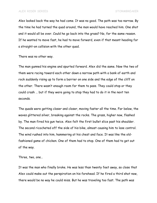Alex looked back the way he had come. It was no good. The path was too narrow. By the time he had turned the quad around, the man would have reached him. One shot and it would all be over. Could he go back into the grass? No, for the same reason. If he wanted to move fast, he had to move forward, even if that meant heading for a straight-on collision with the other quad.

There was no other way.

The man gunned his engine and spurted forward. Alex did the same. Now the two of them were racing toward each other down a narrow path with a bank of earth and rock suddenly rising up to form a barrier on one side and the edge of the cliff on the other. There wasn"t enough room for them to pass. They could stop or they could crash … but if they were going to stop they had to do it in the next ten seconds.

The quads were getting closer and closer, moving faster all the time. Far below, the waves glittered silver, breaking against the rocks. The grass, higher now, flashed by. The man fired his gun twice. Alex felt the first bullet slice past his shoulder. The second ricocheted off the side of his bike, almost causing him to lose control. The wind rushed into him, hammering at his chest and face. It was like the oldfashioned game of chicken. One of them had to stop. One of them had to get out of the way.

Three, two, one…

It was the man who finally broke. He was less than twenty feet away, so close that Alex could make out the perspiration on his forehead. If he fired a third shot now, there would be no way he could miss. But he was traveling too fast. The path was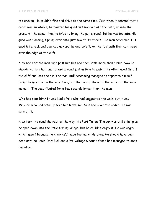too uneven. He couldn"t fire and drive at the same time. Just when it seemed that a crash was inevitable, he twisted his quad and swerved off the path, up into the grass. At the same time, he tried to bring the gun around. But he was too late. His quad was slanting, tipping over onto just two of its wheels. The man screamed. His quad hit a rock and bounced upward, landed briefly on the footpath then continued over the edge of the cliff.

Alex had felt the man rush past him but had seen little more than a blur. Now he shuddered to a halt and turned around just in time to watch the other quad fly off the cliff and into the air. The man, still screaming managed to separate himself from the machine on the way down, but the two of them hit the water at the same moment. The quad floated for a few seconds longer than the man.

Who had sent him? It was Nadia Vole who had suggested the walk, but it was Mr. Grin who had actually seen him leave. Mr. Grin had given the order—he was sure of it.

Alex took the quad the rest of the way into Port Tallon. The sun was still shining as he sped down into the little fishing village, but he couldn"t enjoy it. He was angry with himself because he knew he"d made too many mistakes. He should have been dead now, he knew. Only luck and a low-voltage electric fence had managed to keep him alive.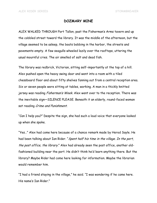# **DOZMARY MINE**

ALEX WALKED THROUGH Port Tallon, past the Fisherman"s Arms tavern and up the cobbled street toward the library. It was the middle of the afternoon, but the village seemed to be asleep, the boats bobbing in the harbor, the streets and pavements empty. A few seagulls wheeled lazily over the rooftops, uttering the usual mournful cries. The air smelled of salt and dead fish.

The library was redbrick, Victorian, sitting self-importantly at the top of a hill. Alex pushed open the heavy swing door and went into a room with a tiled chessboard floor and about fifty shelves fanning out from a central reception area. Six or seven people were sitting at tables, working. A man in a thickly knitted jersey was reading *Fisherman's Week*. Alex went over to the reception. There was the inevitable sign—SILENCE PLEASE. Beneath it an elderly, round-faced woman sat reading Crime and Punishment.

"Can I help you?" Despite the sign, she had such a loud voice that everyone looked up when she spoke.

"Yes…" Alex had come here because of a chance remark made by Herod Sayle. He had been talking about Ian Rider. "Spent half his time in the village. In the port, the post office, the library." Alex had already seen the post office, another oldfashioned building near the port. He didn"t think he"d learn anything there. But the library? Maybe Rider had come here looking for information. Maybe the librarian would remember him.

"I had a friend staying in the village," he said. "I was wondering if he came here. His name's Ian Rider."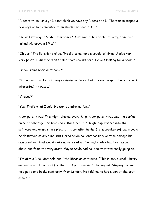"Rider with an i or a y? I don"t think we have any Riders at all." The woman tapped a few keys on her computer, then shook her head. "No…"

"He was staying at Sayle Enterprises," Alex said. "He was about forty, thin, fair haired. He drove a BMW."

"Oh yes." The librarian smiled. "He did come here a couple of times. A nice man. Very polite. I knew he didn"t come from around here. He was looking for a book…"

"Do you remember what book?"

"Of course I do. I can"t always remember faces, but I never forget a book. He was interested in viruses."

# "Viruses?"

"Yes. That"s what I said. He wanted information…"

A computer virus! This might change everything. A computer virus was the perfect piece of sabotage: invisible and instantaneous. A single blip written into the software and every single piece of information in the Stormbreaker software could be destroyed at any time. But Herod Sayle couldn"t possibly want to damage his own creation. That would make no sense at all. So maybe Alex had been wrong about him from the very start. Maybe Sayle had no idea what was really going on.

"I"m afraid I couldn"t help him," the librarian continued. "This is only a small library and our grant"s been cut for the third year running." She sighed. "Anyway, he said he"d get some books sent down from London. He told me he had a box at the post office…"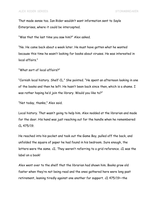That made sense too. Ian Rider wouldn"t want information sent to Sayle Enterprises, where it could be intercepted.

"Was that the last time you saw him?" Alex asked.

"No. He came back about a week later. He must have gotten what he wanted because this time he wasn"t looking for books about viruses. He was interested in local affairs."

"What sort of local affairs?"

"Cornish local history. Shelf CL." She pointed. "He spent an afternoon looking in one of the books and then he left. He hasn"t been back since then, which is a shame. I was rather hoping he'd join the library. Would you like to?"

"Not today, thanks," Alex said.

Local history. That wasn't going to help him. Alex nodded at the librarian and made for the door. His hand was just reaching out for the handle when he remembered: CL 475/19.

He reached into his pocket and took out the Game Boy, pulled off the back, and unfolded the square of paper he had found in his bedroom. Sure enough, the letters were the same. CL. They weren't referring to a grid reference. CL was the label on a book!

Alex went over to the shelf that the librarian had shown him. Books grow old faster when they"re not being read and the ones gathered here were long past retirement, leaning tiredly against one another for support. CL 475/19—the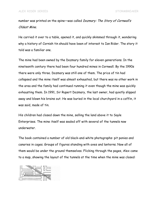number was printed on the spine-was called Dozmary: The Story of Cornwall's Oldest Mine.

He carried it over to a table, opened it, and quickly skimmed through it, wondering why a history of Cornish tin should have been of interest to Ian Rider. The story it told was a familiar one.

The mine had been owned by the Dozmary family for eleven generations. In the nineteenth century there had been four hundred mines in Cornwall. By the 1990s there were only three. Dozmary was still one of them. The price of tin had collapsed and the mine itself was almost exhausted, but there was no other work in the area and the family had continued running it even though the mine was quickly exhausting them. In 1991, Sir Rupert Dozmary, the last owner, had quietly slipped away and blown his brains out. He was buried in the local churchyard in a coffin, it was said, made of tin.

His children had closed down the mine, selling the land above it to Sayle Enterprises. The mine itself was sealed off with several of the tunnels now underwater.

The book contained a number of old black-and-white photographs: pit ponies and canaries in cages. Groups of figures standing with axes and lanterns. Now all of them would be under the ground themselves. Flicking through the pages, Alex came to a map, showing the layout of the tunnels at the time when the mine was closed:

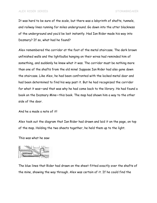It was hard to be sure of the scale, but there was a labyrinth of shafts, tunnels, and railway lines running for miles underground. Go down into the utter blackness of the underground and you"d be lost instantly. Had Ian Rider made his way into Dozmary? If so, what had he found?

Alex remembered the corridor at the foot of the metal staircase. The dark brown unfinished walls and the lightbulbs hanging on their wires had reminded him of something, and suddenly he knew what it was. The corridor must be nothing more than one of the shafts from the old mine! Suppose Ian Rider had also gone down the staircase. Like Alex, he had been confronted with the locked metal door and had been determined to find his way past it. But he had recognized the corridor for what it was—and that was why he had come back to the library. He had found a book on the Dozmary Mine—this book. The map had shown him a way to the other side of the door.

And he a made a note of it!

Alex took out the diagram that Ian Rider had drawn and laid it on the page, on top of the map. Holding the two sheets together, he held them up to the light.

This was what he saw:



The blue lines that Rider had drawn on the sheet fitted exactly over the shafts of the mine, showing the way through. Alex was certain of it. If he could find the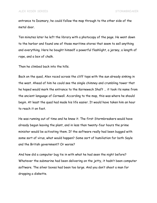entrance to Dozmary, he could follow the map through to the other side of the metal door.

Ten minutes later he left the library with a photocopy of the page. He went down to the harbor and found one of those maritime stores that seem to sell anything and everything. Here he bought himself a powerful flashlight, a jersey, a length of rope, and a box of chalk.

Then he climbed back into the hills.

Back on the quad, Alex raced across the cliff tops with the sun already sinking in the west. Ahead of him he could see the single chimney and crumbling tower that he hoped would mark the entrance to the Kerneweck Shaft … it took its name from the ancient language of Cornwall. According to the map, this was where he should begin. At least the quad had made his life easier. It would have taken him an hour to reach it on foot.

He was running out of time and he knew it. The first Stormbreakers would have already begun leaving the plant, and in less than twenty-four hours the prime minister would be activating them. If the software really had been bugged with some sort of virus, what would happen? Some sort of humiliation for both Sayle and the British government? Or worse?

And how did a computer bug tie in with what he had seen the night before? Whatever the submarine had been delivering on the jetty, it hadn"t been computer software. The silver boxes had been too large. And you don"t shoot a man for dropping a diskette.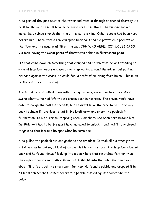Alex parked the quad next to the tower and went in through an arched doorway. At first he thought he must have made some sort of mistake. The building looked more like a ruined church than the entrance to a mine. Other people had been here before him. There were a few crumpled beer cans and old potato chip packets on the floor and the usual graffiti on the wall. JRH WAS HERE. NICK LOVES CASS. Visitors leaving the worst parts of themselves behind in fluorescent paint.

His foot came down on something that clanged and he saw that he was standing on a metal trapdoor. Grass and weeds were sprouting around the edges, but putting his hand against the crack, he could feel a draft of air rising from below. This must be the entrance to the shaft.

The trapdoor was bolted down with a heavy padlock, several inches thick. Alex swore silently. He had left the zit cream back in his room. The cream would have eaten through the bolts in seconds, but he didn"t have the time to go all the way back to Sayle Enterprises to get it. He knelt down and shook the padlock in frustration. To his surprise, it sprang open. Somebody had been here before him. Ian Rider—it had to be. He must have managed to unlock it and hadn"t fully closed it again so that it would be open when he came back.

Alex pulled the padlock out and grabbed the trapdoor. It took all his strength to lift it, and as he did so, a blast of cold air hit him in the face. The trapdoor clanged back and he found himself looking into a black hole that stretched farther than the daylight could reach. Alex shone his flashlight into the hole. The beam went about fifty feet, but the shaft went farther. He found a pebble and dropped it in. At least ten seconds passed before the pebble rattled against something far below.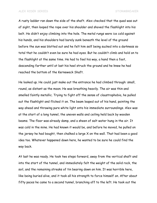A rusty ladder ran down the side of the shaft. Alex checked that the quad was out of sight, then looped the rope over his shoulder and shoved the flashlight into his belt. He didn"t enjoy climbing into the hole. The metal rungs were ice cold against his hands, and his shoulders had barely sunk beneath the level of the ground before the sun was blotted out and he felt him self being sucked into a darkness so total that he couldn"t even be sure he had eyes. But he couldn"t climb and hold on to the flashlight at the same time. He had to feel his way, a hand then a foot, descending farther until at last his heel struck the ground and he knew he had reached the bottom of the Kerneweck Shaft.

He looked up. He could just make out the entrance he had climbed through: small, round, as distant as the moon. He was breathing heavily. The air was thin and smelled faintly metallic. Trying to fight off the sense of claustrophobia, he pulled out the flashlight and flicked it on. The beam leaped out of his hand, pointing the way ahead and throwing pure white light onto his immediate surroundings. Alex was at the start of a long tunnel, the uneven walls and ceiling held back by wooden beams. The floor was already damp, and a sheen of salt water hung in the air. It was cold in the mine. He had known it would be, and before he moved, he pulled on the jersey he had bought, then chalked a large X on the wall. That had been a good idea too. Whatever happened down here, he wanted to be sure he could find the way back.

At last he was ready. He took two steps forward, away from the vertical shaft and into the start of the tunnel, and immediately felt the weight of the solid rock, the soil, and the remaining streaks of tin bearing down on him. It was horrible here, like being buried alive, and it took all his strength to force himself on. After about fifty paces he came to a second tunnel, branching off to the left. He took out the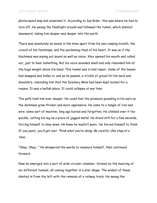photocopied map and examined it. According to Ian Rider, this was where he had to turn off. He swung the flashlight around and followed the tunnel, which slanted downward, taking him deeper and deeper into the earth.

There was absolutely no sound in the mine apart from his own rasping breath, the crunch of his footsteps, and the quickening thud of his heart. It was as if the blackness was wiping out sound as well as vision. Alex opened his mouth and called out, just to hear something. But his voice sounded small and only reminded him of the huge weight above his head. This tunnel was in bad repair. Some of the beams had snapped and fallen in, and as he passed, a trickle of gravel hit his neck and shoulders, reminding him that the Dozmary Mine had been kept locked for a reason. It was a hellish place. It could collapse at any time.

The path took him ever deeper. He could feel the pressure pounding in his ears as the darkness grew thicker and more oppressive. He came to a tangle of iron and wire: some sort of machine, long ago buried and forgotten. He climbed over it too quickly, cutting his leg on a piece of jagged metal. He stood still for a few seconds, forcing himself to slow down. He knew he mustn"t panic. He forced himself to think. If you panic, you"ll get lost. Think what you"re doing. Be careful. One step at a time…

"Okay. Okay…" He whispered the words to reassure himself, then continued forward.

Now he emerged into a sort of wide circular chamber, formed by the meeting of six different tunnels, all coming together in a star shape. The widest of these slanted in from the left with the remains of a railway track. He swung the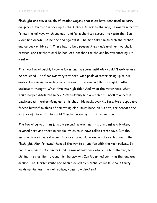flashlight and saw a couple of wooden wagons that must have been used to carry equipment down or tin back up to the surface. Checking the map, he was tempted to follow the railway, which seemed to offer a shortcut across the route that Ian Rider had drawn. But he decided against it. The map told him to turn the corner and go back on himself. There had to be a reason. Alex made another two chalk crosses, one for the tunnel he had left, another for the one he was entering. He went on.

This new tunnel quickly became lower and narrower until Alex couldn"t walk unless he crouched. The floor was very wet here, with pools of water rising up to his ankles. He remembered how near he was to the sea and that brought another unpleasant thought. What time was high tide? And when the water rose, what would happen inside the mine? Alex suddenly had a vision of himself trapped in blackness with water rising up to his chest, his neck, over his face. He stopped and forced himself to think of something else. Down here, on his own, far beneath the surface of the earth, he couldn't make an enemy of his imagination.

The tunnel curved then joined a second railway line, this one bent and broken, covered here and there in rubble, which must have fallen from above. But the metallic tracks made it easier to move forward, picking up the reflection of the flashlight. Alex followed them all the way to a junction with the main railway. It had taken him thirty minutes and he was almost back where he had started, but shining the flashlight around him, he saw why Ian Rider had sent him the long way around. The shorter route had been blocked by a tunnel collapse. About thirty yards up the line, the main railway came to a dead end.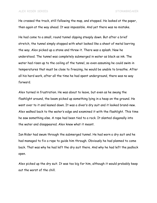He crossed the track, still following the map, and stopped. He looked at the paper, then again at the way ahead. It was impossible. And yet there was no mistake.

He had come to a small, round tunnel dipping steeply down. But after a brief stretch, the tunnel simply stopped with what looked like a sheet of metal barring the way. Alex picked up a stone and threw it. There was a splash. Now he understood. The tunnel was completely submerged in water as black as ink. The water had risen up to the ceiling of the tunnel, so even assuming he could swim in temperatures that must be close to freezing, he would be unable to breathe. After all his hard work, after all the time he had spent underground, there was no way forward.

Alex turned in frustration. He was about to leave, but even as he swung the flashlight around, the beam picked up something lying in a heap on the ground. He went over to it and leaned down. It was a diver"s dry suit and it looked brand-new. Alex walked back to the water"s edge and examined it with the flashlight. This time he saw something else. A rope had been tied to a rock. It slanted diagonally into the water and disappeared. Alex knew what it meant.

Ian Rider had swum through the submerged tunnel. He had worn a dry suit and he had managed to fix a rope to guide him through. Obviously he had planned to come back. That was why he had left the dry suit there. And why he had left the padlock open.

Alex picked up the dry suit. It was too big for him, although it would probably keep out the worst of the chill.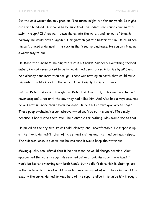But the cold wasn"t the only problem. The tunnel might run for ten yards. It might run for a hundred. How could he be sure that Ian hadn"t used scuba equipment to swim through? If Alex went down there, into the water, and ran out of breath halfway, he would drown. Again his imagination got the better of him. He could see himself, pinned underneath the rock in the freezing blackness. He couldn"t imagine a worse way to die.

He stood for a moment, holding the suit in his hands. Suddenly everything seemed unfair. He had never asked to be here. He had been forced into this by M16 and he"d already done more than enough. There was nothing on earth that would make him enter the blackness of the water. It was simply too much to ask.

But Ian Rider had swum through. Ian Rider had done it all, on his own, and he had never stopped … not until the day they had killed him. And Alex had always assumed he was nothing more than a bank manager! He felt his resolve give way to anger. These people—Sayle, Yassen, whoever—had snuffed out his uncle"s life simply because it had suited them. Well, he didn"t die for nothing. Alex would see to that.

He pulled on the dry suit. It was cold, clammy, and uncomfortable. He zipped it up at the front. He hadn"t taken off his street clothes and that had perhaps helped. The suit was loose in places, but he was sure it would keep the water out.

Moving quickly now, afraid that if he hesitated he would change his mind, Alex approached the water"s edge. He reached out and took the rope in one hand. It would be faster swimming with both hands, but he didn"t dare risk it. Getting lost in the underwater tunnel would be as bad as running out of air. The result would be exactly the same. He had to keep hold of the rope to allow it to guide him through.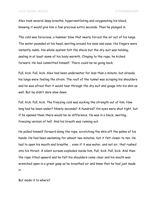Alex took several deep breaths, hyperventilating and oxygenating his blood, knowing it would give him a few precious extra seconds. Then he plunged in.

The cold was ferocious, a hammer blow that nearly forced the air out of his lungs. The water pounded at his head, swirling around his nose and eyes. His fingers were instantly numb. His whole system felt the shock but the dry suit was holding, sealing in at least some of his body warmth. Clinging to the rope, he kicked forward. He had committed himself. There could be no going back.

Pull, kick. Pull, kick. Alex had been underwater for less than a minute, but already his lungs were feeling the strain. The roof of the tunnel was scraping his shoulders and he was afraid that it would tear through the dry suit and gouge into his skin as well. But he didn"t dare slow down.

Pull, kick. Pull, kick. The freezing cold was sucking the strength out of him. How long had he been under? Ninety seconds? A hundred? His eyes were shut tight, but if he opened them there would be no difference. He was in a black, swirling, freezing version of hell. And his breath was running out.

He pulled himself forward along the rope, scratching the skin off the palms of his hands. He had been swimming for almost two minutes, but it felt closer to ten. He had to open his mouth and breathe … even if it was water, and not air, that rushed into his throat. A silent scream exploded inside him. Pull, kick. Pull, kick. And then the rope tilted upward and he felt his shoulders come clear and his mouth was wrenched open in a great gasp as he breathed air and knew that he had just made it.

But made it to where?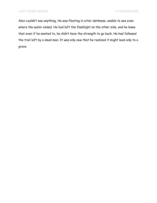Alex couldn"t see anything. He was floating in utter darkness, unable to see even where the water ended. He had left the flashlight on the other side, and he knew that even if he wanted to, he didn"t have the strength to go back. He had followed the trail left by a dead man. It was only now that he realized it might lead only to a grave.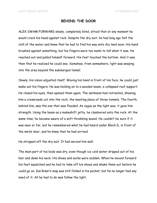# **BEHIND THE DOOR**

ALEX SWAM FORWARD slowly, completely blind, afraid that at any moment he would crack his head against rock. Despite the dry suit, he had long ago felt the chill of the water and knew that he had to find his way onto dry land soon. His hand brushed against something, but his fingers were too numb to tell what it was. He reached out and pulled himself forward. His feet touched the bottom. And it was then that he realized he could see. Somehow, from somewhere, light was seeping into the area beyond the submerged tunnel.

Slowly, his vision adjusted itself. Waving his hand in front of his face, he could just make out his fingers. He was holding on to a wooden beam, a collapsed roof support. He closed his eyes, then opened them again. The darkness had retreated, showing him a crossroads cut into the rock, the meeting place of three tunnels. The fourth, behind him, was the one that was flooded. As vague as the light was, it gave him strength. Using the beam as a makeshift jetty, he clambered onto the rock. At the same time, he became aware of a soft throbbing sound. He couldn"t be sure if it was near or far, but he remembered what he had heard under Block D, in front of the metal door, and he knew that he had arrived.

He stripped off the dry suit. It had served him well.

The main part of his body was dry, even though ice cold water dripped out of his hair and down his neck. His shoes and socks were sodden. When he moved forward his feet squelched and he had to take off his shoes and shake them out before he could go on. Ian Rider"s map was still folded in his pocket, but he no longer had any need of it. All he had to do was follow the light.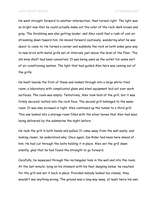He went straight forward to another intersection, then turned right. The light was so bright now that he could actually make out the color of the rock-dark brown and gray. The throbbing was also getting louder, and Alex could feel a rush of cool air streaming down toward him. He moved forward cautiously, wondering what he was about to come to. He turned a corner and suddenly the rock on both sides gave way to new brick with metal grills set at intervals just above the level of the floor. The old mine shaft had been converted. It was being used as the outlet for some sort of air-conditioning system. The light that had guided Alex here was coming out of the grills.

He knelt beside the first of these and looked through into a large white-tiled room, a laboratory with complicated glass and steel equipment laid out over work surfaces. The room was empty. Tentatively, Alex took hold of the grill, but it was firmly secured, bolted into the rock face. The second grill belonged to the same room. It was also screwed in tight. Alex continued up the tunnel to a third grill. This one looked into a storage room filled with the silver boxes that Alex had seen being delivered by the submarine the night before.

He took the grill in both hands and pulled. It came away from the wall easily, and looking closer, he understood why. Once again, Ian Rider had been here ahead of him. He had cut through the bolts holding it in place. Alex set the grill down silently, glad that he had found the strength to go forward.

Carefully, he squeezed through the rectangular hole in the wall and into the room. At the last minute, lying on his stomach with his feet dangling below, he reached for the grill and set it back in place. Provided nobody looked too closely, they wouldn"t see anything wrong. The ground was a long way away, at least twice his own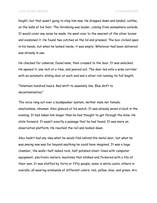height, but that wasn"t going to stop him now. He dropped down and landed, catlike, on the balls of his feet. The throbbing was louder, coming from somewhere outside. It would cover any noise he made. He went over to the nearest of the silver boxes and examined it. He found two catches on the lid and pressed. The box clicked open in his hands, but when he looked inside, it was empty. Whatever had been delivered was already in use.

He checked for cameras, found none, then crossed to the door. It was unlocked. He opened it, one inch at a time, and peered out. The door led onto a wide corridor with an automatic sliding door at each end and a silver rail running its full length.

"Nineteen hundred hours. Red shift to assembly line. Blue shift to decontamination."

The voice rang out over a loudspeaker system, neither male nor female; emotionless, inhuman. Alex glanced at his watch. It was already seven o"clock in the evening. It had taken him longer than he had thought to get through the mine. He stole forward. It wasn"t exactly a passage that he had found. It was more an observation platform. He reached the rail and looked down.

Alex hadn"t had any idea what he would find behind the metal door, but what he was seeing now was far beyond anything he could have imagined. It was a huge chamber, the walls—half naked rock, half polished steel—lined with computer equipment, electronic meters, machines that blinked and flickered with a life of their own. It was staffed by forty or fifty people, some in white coats, others in overalls, all wearing armbands of different colors: red, yellow, blue, and green. Arc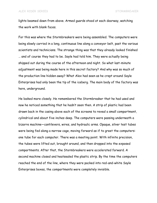lights beamed down from above. Armed guards stood at each doorway, watching the work with blank faces.

For this was where the Stormbreakers were being assembled. The computers were being slowly carried in a long, continuous line along a conveyor belt, past the various scientists and technicians. The strange thing was that they already looked finished … and of course they had to be. Sayle had told him. They were actually being shipped out during the course of the afternoon and night. So what last-minute adjustment was being made here in this secret factory? And why was so much of the production line hidden away? What Alex had seen as he crept around Sayle Enterprises had only been the tip of the iceberg. The main body of the factory was here, underground.

He looked more closely. He remembered the Stormbreaker that he had used and now he noticed something that he hadn"t seen then. A strip of plastic had been drawn back in the casing above each of the screens to reveal a small compartment, cylindrical and about five inches deep. The computers were passing underneath a bizarre machine—cantilevers, wires, and hydraulic arms. Opaque, silver test tubes were being fed along a narrow cage, moving forward as if to greet the computers: one tube for each computer. There was a meeting point. With infinite precision, the tubes were lifted out, brought around, and then dropped into the exposed compartments. After that, the Stormbreakers were accelerated forward. A second machine closed and heatsealed the plastic strip. By the time the computers reached the end of the line, where they were packed into red-and-white Sayle Enterprises boxes, the compartments were completely invisible.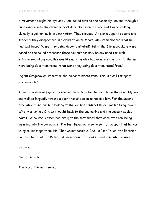A movement caught his eye and Alex looked beyond the assembly line and through a huge window into the chamber next door. Two men in space suits were walking clumsily together, as if in slow motion. They stopped. An alarm began to sound and suddenly they disappeared in a cloud of white steam. Alex remembered what he had just heard. Were they being decontaminated? But if the Stormbreakers were based on the round processor there couldn"t possibly be any need for such extremes—and anyway, this was like nothing Alex had ever seen before. If the men were being decontaminated, what were they being decontaminated from?

"Agent Gregorovich, report to the biocontainment zone. This is a call for agent Gregorovich."

A lean, fair-haired figure dressed in black detached himself from the assembly line and walked languidly toward a door that slid open to receive him. For the second time Alex found himself looking at the Russian contract killer, Yassen Gregorovich. What was going on? Alex thought back to the submarine and the vacuum-sealed boxes. Of course. Yassen had brought the test tubes that were even now being inserted into the computers. The test tubes were some sort of weapon that he was using to sabotage them. No. That wasn"t possible. Back in Port Tallon, the librarian had told him that Ian Rider had been asking for books about computer viruses.

Viruses.

Decontamination.

The biocontainment zone …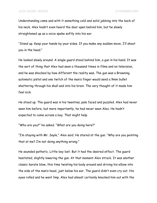Understanding came and with it something cold and solid jabbing into the back of his neck. Alex hadn"t even heard the door open behind him, but he slowly straightened up as a voice spoke softly into his ear.

"Stand up. Keep your hands by your sides. If you make any sudden move, I"ll shoot you in the head."

He looked slowly around. A single guard stood behind him, a gun in his hand. It was the sort of thing that Alex had seen a thousand times in films and on television, and he was shocked by how different the reality was. The gun was a Browning automatic pistol and one twitch of the man"s finger would send a 9mm bullet shattering through his skull and into his brain. The very thought of it made him feel sick.

He stood up. The guard was in his twenties, pale faced and puzzled. Alex had never seen him before, but more importantly, he had never seen Alex. He hadn"t expected to come across a boy. That might help.

"Who are you?" he asked. "What are you doing here?"

"I"m staying with Mr. Sayle," Alex said. He stared at the gun. "Why are you pointing that at me? I"m not doing anything wrong."

He sounded pathetic. Little boy lost. But it had the desired effect. The guard hesitated, slightly lowering the gun. At that moment Alex struck. It was another classic karate blow, this time twisting his body around and driving his elbow into the side of the man"s head, just below his ear. The guard didn"t even cry out. His eyes rolled and he went limp. Alex had almost certainly knocked him out with the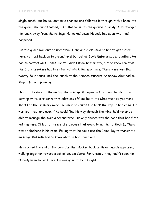single punch, but he couldn"t take chances and followed it through with a knee into the groin. The guard folded, his pistol falling to the ground. Quickly, Alex dragged him back, away from the railings. He looked down. Nobody had seen what had happened.

But the guard wouldn"t be unconscious long and Alex knew he had to get out of here, not just back up to ground level but out of Sayle Enterprises altogether. He had to contact Mrs. Jones. He still didn"t know how or why, but he knew now that the Stormbreakers had been turned into killing machines. There were less than twenty-four hours until the launch at the Science Museum. Somehow Alex had to stop it from happening.

He ran. The door at the end of the passage slid open and he found himself in a curving white corridor with windowless offices built into what must be yet more shafts of the Dozmary Mine. He knew he couldn"t go back the way he had come. He was too tired, and even if he could find his way through the mine, he"d never be able to manage the swim a second time. His only chance was the door that had first led him here. It led to the metal staircase that would bring him to Block D. There was a telephone in his room. Failing that, he could use the Game Boy to transmit a message. But M16 had to know what he had found out.

He reached the end of the corridor then ducked back as three guards appeared, walking together toward a set of double doors. Fortunately, they hadn"t seen him. Nobody knew he was here. He was going to be all right.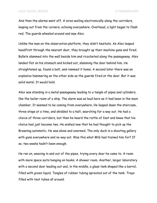And then the alarms went off. A siren wailing electronically along the corridors, leaping out from the corners, echoing everywhere. Overhead, a light began to flash red. The guards wheeled around and saw Alex.

Unlike the man on the observation platform, they didn"t hesitate. As Alex leaped headfirst through the nearest door, they brought up their machine guns and fired. Bullets slammed into the wall beside him and ricocheted along the passageway. Alex landed flat on his stomach and kicked out, slamming the door behind him. He straightened up, found a bolt, and rammed it home. A second later there was an explosive hammering on the other side as the guards fired at the door. But it was solid metal. It would hold.

Alex was standing in a metal passageway leading to a tangle of pipes and cylinders, like the boiler room of a ship. The alarm was as loud here as it had been in the main chamber. It seemed to be coming from everywhere. He leaped down the staircase, three steps at a time, and skidded to a halt, searching for a way out. He had a choice of three corridors, but then he heard the rattle of feet and knew that his choice had just become two. He wished now that he had thought to pick up the Browning automatic. He was alone and unarmed. The only duck in a shooting gallery with guns everywhere and no way out. Was this what M16 had trained him for? If so, two weeks hadn"t been enough.

He ran on, weaving in and out of the pipes, trying every door he came to. A room with more space suits hanging on hooks. A shower room. Another, larger laboratory with a second door leading out and, in the middle, a glass tank shaped like a barrel, filled with green liquid. Tangles of rubber tubing sprouted out of the tank. Trays filled with test tubes all around.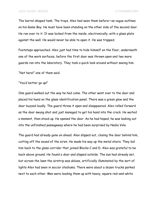The barrel-shaped tank. The trays. Alex had seen them before—as vague outlines on his Game Boy. He must have been standing on the other side of the second door. He ran over to it. It was locked from the inside, electronically, with a glass plate against the wall. He would never be able to open it. He was trapped.

Footsteps approached. Alex just had time to hide himself on the floor, underneath one of the work surfaces, before the first door was thrown open and two more guards ran into the laboratory. They took a quick look around without seeing him.

"Not here!" one of them said.

"You"d better go up!"

One guard walked out the way he had come. The other went over to the door and placed his hand on the glass identification panel. There was a green glow and the door buzzed loudly. The guard threw it open and disappeared. Alex rolled forward as the door swung shut and just managed to get his hand into the crack. He waited a moment, then stood up. He opened the door. As he had hoped, he was looking out into the unfinished passageway where he had been surprised by Nadia Vole.

The guard had already gone on ahead. Alex slipped out, closing the door behind him, cutting off the sound of the siren. He made his way up the metal stairs. They led him back to the glass corridor that joined Blocks C and D. Alex was grateful to be back above ground. He found a door and slipped outside. The sun had already set, but across the lawn the airstrip was ablaze, artificially illuminated by the sort of lights Alex had seen in soccer stadiums. There were about a dozen trucks parked next to each other. Men were loading them up with heavy, square red-and-white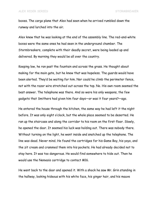boxes. The cargo plane that Alex had seen when he arrived rumbled down the runway and lurched into the air.

Alex knew that he was looking at the end of the assembly line. The red-and-white boxes were the same ones he had seen in the underground chamber. The Stormbreakers, complete with their deadly secret, were being loaded up and delivered. By morning they would be all over the country.

Keeping low, he ran past the fountain and across the grass. He thought about making for the main gate, but he knew that was hopeless. The guards would have been alerted. They"d be waiting for him. Nor could he climb the perimeter fence, not with the razor wire stretched out across the top. No. His own room seemed the best answer. The telephone was there. And so were his only weapons, the few gadgets that Smithers had given him four days—or was it four years?—ago.

He entered the house through the kitchen, the same way he had left it the night before. It was only eight o"clock, but the whole place seemed to be deserted. He ran up the staircase and along the corridor to his room on the first floor. Slowly, he opened the door. It seemed his luck was holding out. There was nobody there. Without turning on the light, he went inside and snatched up the telephone. The line was dead. Never mind. He found the cartridges for his Game Boy, his yoyo, and the zit cream and crammed them into his pockets. He had already decided not to stay here. It was too dangerous. He would find somewhere to hide out. Then he would use the Nemesis cartridge to contact M16.

He went back to the door and opened it. With a shock he saw Mr. Grin standing in the hallway, looking hideous with his white face, his ginger hair, and his mauve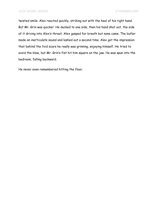twisted smile. Alex reacted quickly, striking out with the heel of his right hand. But Mr. Grin was quicker. He ducked to one side, then his hand shot out, the side of it driving into Alex"s throat. Alex gasped for breath but none came. The butler made an inarticulate sound and lashed out a second time. Alex got the impression that behind the livid scars he really was grinning, enjoying himself. He tried to avoid the blow, but Mr. Grin"s fist hit him square on the jaw. He was spun into the bedroom, falling backward.

He never even remembered hitting the floor.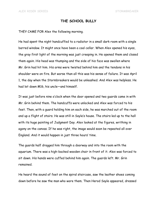# **THE SCHOOL BULLY**

THEY CAME FOR Alex the following morning.

He had spent the night handcuffed to a radiator in a small dark room with a single barred window. It might once have been a coal cellar. When Alex opened his eyes, the gray first light of the morning was just creeping in. He opened them and closed them again. His head was thumping and the side of his face was swollen where Mr. Grin had hit him. His arms were twisted behind him and the tendons in his shoulder were on fire. But worse than all this was his sense of failure. It was April 1, the day when the Stormbreakers would be unleashed. And Alex was helpless. He had let down M16, his uncle—and himself.

It was just before nine o"clock when the door opened and two guards came in with Mr. Grin behind them. The handcuffs were unlocked and Alex was forced to his feet. Then, with a guard holding him on each side, he was marched out of the room and up a flight of stairs. He was still in Sayle"s house. The stairs led up to the hall with its huge painting of Judgment Day. Alex looked at the figures, writhing in agony on the canvas. If he was right, the image would soon be repeated all over England. And it would happen in just three hours" time.

The guards half dragged him through a doorway and into the room with the aquarium. There was a high-backed wooden chair in front of it. Alex was forced to sit down. His hands were cuffed behind him again. The guards left. Mr. Grin remained.

He heard the sound of feet on the spiral staircase, saw the leather shoes coming down before he saw the man who wore them. Then Herod Sayle appeared, dressed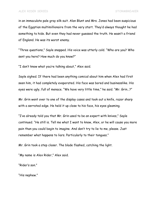in an immaculate pale gray silk suit. Alan Blunt and Mrs. Jones had been suspicious of the Egyptian multimillionaire from the very start. They"d always thought he had something to hide. But even they had never guessed the truth. He wasn't a friend of England. He was its worst enemy.

"Three questions," Sayle snapped. His voice was utterly cold. "Who are you? Who sent you here? How much do you know?"

"I don"t know what you"re talking about," Alex said.

Sayle sighed. If there had been anything comical about him when Alex had first seen him, it had completely evaporated. His face was bored and businesslike. His eyes were ugly, full of menace. "We have very little time," he said. "Mr. Grin…?"

Mr. Grin went over to one of the display cases and took out a knife, razor sharp with a serrated edge. He held it up close to his face, his eyes gleaming.

"I"ve already told you that Mr. Grin used to be an expert with knives," Sayle continued. "He still is. Tell me what I want to know, Alex, or he will cause you more pain than you could begin to imagine. And don"t try to lie to me, please. Just remember what happens to liars. Particularly to their tongues."

Mr. Grin took a step closer. The blade flashed, catching the light.

"My name is Alex Rider," Alex said.

"Rider"s son."

"His nephew."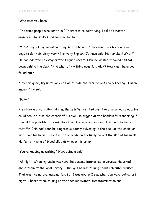# "Who sent you here?"

"The same people who sent him." There was no point lying. It didn"t matter anymore. The stakes had become too high.

"M16?" Sayle laughed without any sign of humor. "They send fourteen-year-old boys to do their dirty work? Not very English, I"d have said. Not cricket! What?" He had adopted an exaggerated English accent. Now he walked forward and sat down behind the desk. "And what of my third question, Alex? How much have you found out?"

Alex shrugged, trying to look casual, to hide the fear he was really feeling. "I know enough," he said.

# "Go on."

Alex took a breath. Behind him, the jellyfish drifted past like a poisonous cloud. He could see it out of the corner of his eye. He tugged at the handcuffs, wondering if it would be possible to break the chair. There was a sudden flash and the knife that Mr. Grin had been holding was suddenly quivering in the back of the chair, an inch from his head. The edge of the blade had actually nicked the skin of his neck. He felt a trickle of blood slide down over his collar.

"You"re keeping us waiting," Herod Sayle said.

"All right. When my uncle was here, he became interested in viruses. He asked about them at the local library. I thought he was talking about computer viruses. That was the natural assumption. But I was wrong. I saw what you were doing, last night. I heard them talking on the speaker system. Decontamination and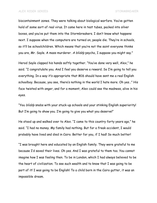biocontainment zones. They were talking about biological warfare. You"ve gotten hold of some sort of real virus. It came here in test tubes, packed into silver boxes, and you"ve put them into the Stormbreakers. I don"t know what happens next. I suppose when the computers are turned on, people die. They"re in schools, so it"ll be schoolchildren. Which means that you"re not the saint everyone thinks you are, Mr. Sayle. A mass murderer. A bliddy psycho, I suppose you might say."

Herod Sayle clapped his hands softly together. "You"ve done very well, Alex," he said. "I congratulate you. And I feel you deserve a reward. So I"m going to tell you everything. In a way it's appropriate that M16 should have sent me a real English schoolboy. Because, you see, there's nothing in the world I hate more. Oh yes..." His face twisted with anger, and for a moment, Alex could see the madness, alive in his eyes.

"You *bliddy* snobs with your stuck-up schools and your stinking English superiority! But I"m going to show you. I"m going to give you what you deserve!"

He stood up and walked over to Alex. "I came to this country forty years ago," he said. "I had no money. My family had nothing. But for a freak accident, I would probably have lived and died in Cairo. Better for you, if I had! So much better!

"I was brought here and educated by an English family. They were grateful to me because I"d saved their lives. Oh yes. And I was grateful to them too. You cannot imagine how I was feeling then. To be in London, which I had always believed to be the heart of civilization. To see such wealth and to know that I was going to be part of it! I was going to be English! To a child born in the Cairo gutter, it was an impossible dream.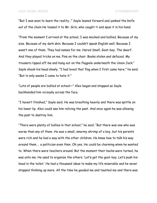"But I was soon to learn the reality…" Sayle leaned forward and yanked the knife out of the chain He tossed it to Mr. Grin, who caught it and spun it in his hand.

"From the moment I arrived at the school, I was mocked and bullied. Because of my size. Because of my dark skin. Because I couldn"t speak English well. Because I wasn"t one of them. They had names for me. Herod Smell. Goat-boy. The dwarf. And they played tricks on me. Pins on the chair. Books stolen and defaced. My trousers ripped off me and hung out on the flagpole underneath the Union Jack." Sayle shook his head slowly. "I had loved that flag when I first came here," he said. "But in only weeks I came to hate it."

"Lots of people are bullied at school—" Alex began and stopped as Sayle backhanded him viciously across the face.

"I haven"t finished," Sayle said. He was breathing heavily and there was spittle on his lower lip. Alex could see him reliving the past. And once again he was allowing the past to destroy him.

"There were plenty of bullies in that school," he said. "But there was one who was worse than any of them. He was a small, smarmy shrimp of a boy, but his parents were rich and he had a way with the other children. He knew how to talk his way around them … a politician even then. Oh yes. He could be charming when he wanted to. When there were teachers around. But the moment their backs were turned, he was onto me. He used to organize the others. "Let"s get the goat-boy. Let"s push his head in the toilet." He had a thousand ideas to make my life miserable and he never stopped thinking up more. All the time he goaded me and taunted me and there was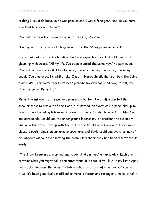nothing I could do because he was popular and I was a foreigner. And do you know who that boy grew up to be?"

"No, but I have a feeling you"re going to tell me," Alex said.

"I am going to tell you. Yes. He grew up to be the *bliddy* prime minister!"

Sayle took out a white silk handkerchief and wiped his face. His bald head was gleaming with sweat. "All my life I"ve been treated the same way," he continued. "No matter how successful I"ve become, how much money I"ve made, how many people I"ve employed. I"m still a joke. I"m still Herod Smell, the goat-boy, the Cairo tramp. Well, for forty years I"ve been planning my revenge. And now, at last, my time has come. Mr. Grin…"

Mr. Grin went over to the wall and pressed a button. Alex half expected the snooker table to rise out of the floor, but instead, on every wall, a panel slid up to reveal floor-to-ceiling television screens that immediately flickered into life. On one screen Alex could see the underground laboratory, on another the assembly line, on a third the airstrip with the last of the trucks on its way out. There were closed-circuit television cameras everywhere, and Sayle could see every corner of his kingdom without even leaving the room. No wonder Alex had been discovered so easily.

"The Stormbreakers are armed and ready. And yes, you"re right, Alex. Each one contains what you might call a computer virus. But that, if you like, is my little April Fools" joke. Because the virus I"m talking about is a form of smallpox. Of course, Alex, it"s been genetically modified to make it faster and stronger … more lethal. A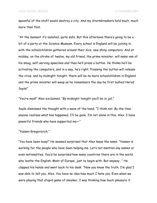spoonful of the stuff would destroy a city. And my Stormbreakers hold much, much more than that.

"At the moment it"s isolated, quite safe. But this afternoon there"s going to be a bit of a party at the Science Museum. Every school in England will be joining in, with the schoolchildren gathered around their nice, new shiny computers. And at midday, on the stroke of twelve, my old friend, the prime minister, will make one of his smug, self-serving speeches and then he"ll press a button. He thinks he"ll be activating the computers, and in a way, he"s right. Pressing the button will release the virus, and by midnight tonight, there will be no more schoolchildren in England and the prime minister will weep as he remembers the day he first bullied Herod Sayle!"

"You"re mad!" Alex exclaimed. "By midnight tonight you"ll be in jail."

Sayle dismissed the thought with a wave of the hand. "I think not. By the time anyone realizes what has happened, I"ll be gone. I"m not alone in this, Alex. I have powerful friends who have supported me—"

"Yassen Gregorovich."

"You have been busy!" He seemed surprised that Alex knew the name. "Yassen is working for the people who have been helping me. Let"s not mention any names or even nationalities. You"d be surprised how many countries there are in the world who loathe the English. Most of Europe, just to begin with. But anyway…" He clapped his hands and went back to his desk. "Now you know the truth. I"m glad I was able to tell you, Alex. You have no idea how much I hate you. Even when we were playing that stupid game of snooker, I was thinking how much pleasure it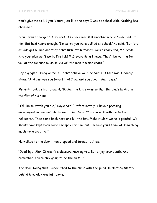would give me to kill you. You"re just like the boys I was at school with. Nothing has changed."

"You haven"t changed," Alex said. His cheek was still smarting where Sayle had hit him. But he"d heard enough. "I"m sorry you were bullied at school," he said. "But lots of kids get bullied and they don"t turn into nutcases. You"re really sad, Mr. Sayle. And your plan won"t work. I"ve told M16 everything I know. They"ll be waiting for you at the Science Museum. So will the men in white coats."

Sayle giggled. "Forgive me if I don"t believe you," he said. His face was suddenly stone. "And perhaps you forget that I warned you about lying to me."

Mr. Grin took a step forward, flipping the knife over so that the blade landed in the flat of his hand.

"I"d like to watch you die," Sayle said. "Unfortunately, I have a pressing engagement in London." He turned to Mr. Grin. "You can walk with me to the helicopter. Then come back here and kill the boy. Make it slow. Make it painful. We should have kept back some smallpox for him, but I"m sure you"ll think of something much more creative."

He walked to the door, then stopped and turned to Alex.

"Good-bye, Alex. It wasn't a pleasure knowing you. But enjoy your death. And remember. You're only going to be the first..."

The door swung shut. Handcuffed to the chair with the jellyfish floating silently behind him, Alex was left alone.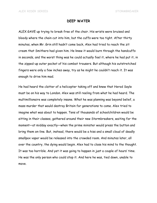# **DEEP WATER**

ALEX GAVE up trying to break free of the chair. His wrists were bruised and bloody where the chain cut into him, but the cuffs were too tight. After thirty minutes, when Mr. Grin still hadn"t come back, Alex had tried to reach the zit cream that Smithers had given him. He knew it would burn through the handcuffs in seconds, and the worst thing was he could actually feel it, where he had put it, in the zipped-up outer pocket of his combat trousers. But although his outstretched fingers were only a few inches away, try as he might he couldn"t reach it. It was enough to drive him mad.

He had heard the clatter of a helicopter taking off and knew that Herod Sayle must be on his way to London. Alex was still reeling from what he had heard. The multimillionaire was completely insane. What he was planning was beyond belief, a mass murder that would destroy Britain for generations to come. Alex tried to imagine what was about to happen. Tens of thousands of schoolchildren would be sitting in their classes, gathered around their new Stormbreakers, waiting for the moment—at midday exactly—when the prime minister would press the button and bring them on-line. But, instead, there would be a hiss and a small cloud of deadly smallpox vapor would be released into the crowded room. And minutes later, all over the country, the dying would begin. Alex had to close his mind to the thought. It was too horrible. And yet it was going to happen in just a couple of hours" time. He was the only person who could stop it. And here he was, tied down, unable to move.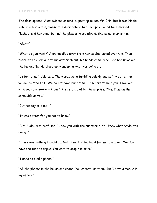The door opened. Alex twisted around, expecting to see Mr. Grin, but it was Nadia Vole who hurried in, closing the door behind her. Her pale round face seemed flushed, and her eyes, behind the glasses, were afraid. She came over to him.

"Alex—"

"What do you want?" Alex recoiled away from her as she leaned over him. Then there was a click, and to his astonishment, his hands came free. She had unlocked the handcuffs! He stood up, wondering what was going on.

"Listen to me," Vole said. The words were tumbling quickly and softly out of her yellow-painted lips. "We do not have much time. I am here to help you. I worked with your uncle—Herr Rider." Alex stared at her in surprise. "Yes. I am on the same side as you."

"But nobody told me—"

"It was better for you not to know."

"But…" Alex was confused. "I saw you with the submarine. You knew what Sayle was doing…"

"There was nothing I could do. Not then. It's too hard for me to explain. We don't have the time to argue. You want to stop him or no?"

"I need to find a phone."

"All the phones in the house are coded. You cannot use them. But I have a mobile in my office."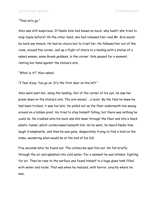# "Then let's go."

Alex was still suspicious. If Nadia Vole had known so much, why hadn"t she tried to stop Sayle before? On the other hand, she had released him—and Mr. Grin would be back any minute. He had no choice but to trust her. He followed her out of the room, around the corner, and up a flight of stairs to a landing with a statue of a naked woman, some Greek goddess, in the corner. Vole paused for a moment, resting her hand against the statue's arm.

"What is it?" Alex asked.

"I feel dizzy. You go on. It"s the first door on the left."

Alex went past her, along the landing. Out of the corner of his eye, he saw her press down on the statue"s arm. The arm moved … a lever. By the time he knew he had been tricked, it was too late. He yelled out as the floor underneath him swung around on a hidden pivot. He tried to stop himself falling, but there was nothing he could do. He crashed onto his back and slid down through the floor and into a black plastic tunnel, which corkscrewed beneath him. As he went, he heard Nadia Vole laugh triumphantly, and then he was gone, desperately trying to find a hold on the sides, wondering what would be at the end of his fall.

Five seconds later he found out. The corkscrew spat him out. He fell briefly through the air and splashed into cold water. For a moment he was blinded, fighting for air. Then he rose to the surface and found himself in a huge glass tank filled with water and rocks. That was when he realized, with horror, exactly where he was.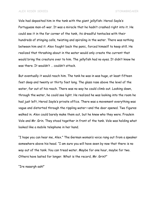Vole had deposited him in the tank with the giant jellyfish: Herod Sayle"s Portuguese man-of-war. It was a miracle that he hadn"t crashed right into it. He could see it in the far corner of the tank, its dreadful tentacles with their hundreds of stinging cells, twisting and spiraling in the water. There was nothing between him and it. Alex fought back the panic, forced himself to keep still. He realized that thrashing about in the water would only create the current that would bring the creature over to him. The jellyfish had no eyes. It didn"t know he was there. It wouldn"t … couldn"t attack.

But eventually it would reach him. The tank he was in was huge, at least fifteen feet deep and twenty or thirty feet long. The glass rose above the level of the water, far out of his reach. There was no way he could climb out. Looking down, through the water, he could see light. He realized he was looking into the room he had just left, Herod Sayle"s private office. There was a movement everything was vague and distorted through the rippling water—and the door opened. Two figures walked in. Alex could barely make them out, but he knew who they were. Fraulein Vole and Mr. Grin. They stood together in front of the tank. Vole was holding what looked like a mobile telephone in her hand.

"I hope you can hear me, Alex." The German woman"s voice rang out from a speaker somewhere above his head. "I am sure you will have seen by now that there is no way out of the tank. You can tread water. Maybe for one hour, maybe for two. Others have lasted for longer. What is the record, Mr. Grin?"

"Ire naaargh aah!"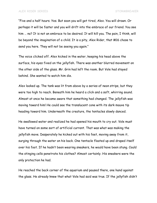"Five and a half hours. Yes. But soon you will get tired, Alex. You will drown. Or perhaps it will be faster and you will drift into the embrace of our friend. You see him … no? It is not an embrace to be desired. It will kill you. The pain, I think, will be beyond the imagination of a child. It is a pity, Alex Rider, that M16 chose to send you here. They will not be seeing you again."

The voice clicked off. Alex kicked in the water, keeping his head above the surface, his eyes fixed on the jellyfish. There was another blurred movement on the other side of the glass. Mr. Grin had left the room. But Vole had stayed behind. She wanted to watch him die.

Alex looked up. The tank was lit from above by a series of neon strips, but they were too high to reach. Beneath him he heard a click and a soft, whirring sound. Almost at once he became aware that something had changed. The jellyfish was moving toward him! He could see the translucent cone with its dark mauve tip heading toward him. Underneath the creature, the tentacles slowly danced.

He swallowed water and realized he had opened his mouth to cry out. Vole must have turned on some sort of artificial current. That was what was making the jellyfish move. Desperately he kicked out with his feet, moving away from it, surging through the water on his back. One tentacle floated up and draped itself over his foot. If he hadn"t been wearing sneakers, he would have been stung. Could the stinging cells penetrate his clothes? Almost certainly. His sneakers were the only protection he had.

He reached the back corner of the aquarium and paused there, one hand against the glass. He already knew that what Vole had said was true. If the jellyfish didn"t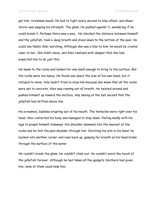get him, tiredness would. He had to fight every second to stay afloat, and sheer terror was sapping his strength. The glass. He pushed against it, wondering if he could break it. Perhaps there was a way… He checked the distance between himself and the jellyfish, took a deep breath and dived down to the bottom of the pool. He could see Nadia Vole, watching. Although she was a blur to him, he would be crystal clear to her. She didn"t move, and Alex realized with despair that she had expected him to do just this.

He swam to the rocks and looked for one small enough to bring to the surface. But the rocks were too heavy. He found one about the size of his own head, but it refused to move. Vole hadn"t tried to stop him because she knew that all the rocks were set in concrete. Alex was running out of breath. He twisted around and pushed himself up toward the surface, only seeing at the last second that the jellyfish had drifted above him.

He screamed, bubbles erupting out of his mouth. The tentacles were right over his head. Alex contorted his body and managed to stay down, flailing madly with his legs to propel himself sideways. His shoulder slammed into the nearest of the rocks and he felt the pain shudder through him. Clutching his arm in his hand, he backed into another corner and rose back up, gasping for breath as his head broke through the surface of the water.

He couldn"t break the glass. He couldn"t climb out. He couldn"t avoid the touch of the jellyfish forever. Although he had taken all the gadgets Smithers had given him, none of them could help him.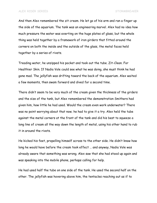And then Alex remembered the zit cream. He let go of his arm and ran a finger up the side of the aquarium. The tank was an engineering marvel. Alex had no idea how much pressure the water was exerting on the huge plates of glass, but the whole thing was held together by a framework of iron girders that fitted around the corners on both the inside and the outside of the glass, the metal faces held together by a series of rivets.

Treading water, he unzipped his pocket and took out the tube. Zit-Clean. For Healthier Skin. If Nadia Vole could see what he was doing, she must think he had gone mad. The jellyfish was drifting toward the back of the aquarium. Alex waited a few moments, then swam forward and dived for a second time.

There didn"t seem to be very much of the cream given the thickness of the girders and the size of the tank, but Alex remembered the demonstration Smithers had given him, how little he had used. Would the cream even work underwater? There was no point worrying about that now; he had to give it a try. Alex held the tube against the metal corners at the front of the tank and did his best to squeeze a long line of cream all the way down the length of metal, using his other hand to rub it in around the rivets.

He kicked his feet, propelling himself across to the other side. He didn"t know how long he would have before the cream took effect … and anyway, Nadia Vole was already aware that something was wrong. Alex saw that she had stood up again and was speaking into the mobile phone, perhaps calling for help.

He had used half the tube on one side of the tank. He used the second half on the other. The jellyfish was hovering above him, the tentacles reaching out as if to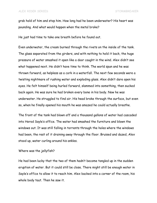grab hold of him and stop him. How long had he been underwater? His heart was pounding. And what would happen when the metal broke?

He just had time to take one breath before he found out.

Even underwater, the cream burned through the rivets on the inside of the tank. The glass separated from the girders, and with nothing to hold it back, the huge pressure of water smashed it open like a door caught in the wind. Alex didn"t see what happened next. He didn"t have time to think. The world spun and he was thrown forward, as helpless as a cork in a waterfall. The next few seconds were a twisting nightmare of rushing water and exploding glass. Alex didn"t dare open his eyes. He felt himself being hurled forward, slammed into something, then sucked back again. He was sure he had broken every bone in his body. Now he was underwater. He struggled to find air. His head broke through the surface, but even so, when he finally opened his mouth he was amazed he could actually breathe.

The front of the tank had blown off and a thousand gallons of water had cascaded into Herod Sayle"s office. The water had smashed the furniture and blown the windows out. It was still falling in torrents through the holes where the windows had been, the rest of it draining away through the floor. Bruised and dazed, Alex stood up, water curling around his ankles.

# Where was the jellyfish?

He had been lucky that the two of them hadn"t become tangled up in the sudden eruption of water. But it could still be close. There might still be enough water in Sayle"s office to allow it to reach him. Alex backed into a corner of the room, his whole body taut. Then he saw it.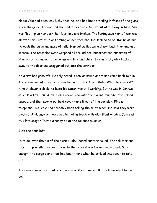Nadia Vole had been less lucky than he. She had been standing in front of the glass when the girders broke and she hadn"t been able to get out of the way in time. She was floating on her back, her legs limp and broken. The Portuguese man-of-war was all over her. Part of it was sitting on her face and she seemed to be staring at him through the quivering mass of jelly. Her yellow lips were drawn back in an endless scream. The tentacles were wrapped all around her, hundreds and hundreds of stinging cells clinging to her arms and legs and chest. Feeling sick, Alex backed away to the door and staggered out into the corridor.

An alarm had gone off. He only heard it now as sound and vision came back to him. The screaming of the siren shook him out of his dazed state. What time was it? Almost eleven o"clock. At least his watch was still working. But he was in Cornwall, at least a five-hour drive from London, and with the alarms sounding, the armed guards, and the razor wire, he"d never make it out of the complex. Find a telephone? No. Vole had probably been telling the truth when she said they were blocked. And, anyway, how could he get in touch with Alan Blunt or Mrs. Jones at this late stage? They"d already be at the Science Museum.

Just one hour left.

Outside, over the din of the alarms, Alex heard another sound. The splutter and roar of a propeller. He went over to the nearest window and looked out. Sure enough, the cargo plane that had been there when he arrived was about to take off.

Alex was soaking wet, battered, and almost exhausted. But he knew what he had to do.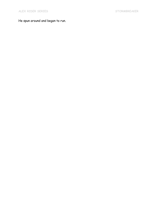# He spun around and began to run.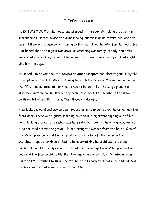# **ELEVEN O'CLOCK**

ALEX BURST OUT of the house and stopped in the open air, taking stock of his surroundings. He was aware of alarms ringing, guards running toward him, and two cars, still some distance away, tearing up the main drive, heading for the house. He just hoped that although it was obvious something was wrong, nobody would yet know what it was. They shouldn"t be looking for him—at least, not yet. That might give him the edge.

It looked like he was too late. Sayle"s private helicopter had already gone. Only the cargo plane was left. If Alex was going to reach the Science Museum in London in the fifty-nine minutes left to him, he had to be on it. But the cargo plane was already in motion, rolling slowly away from its chocks. In a minute or two it would go through the preflight tests. Then it would take off.

Alex looked around and saw an open-topped army jeep parked on the drive near the front door. There was a guard standing next to it, a cigarette slipping out of his hand, looking around to see what was happening but looking the wrong way. Perfect. Alex sprinted across the gravel. He had brought a weapon from the house. One of Sayle"s harpoon guns had floated past him just as he left the room and he"d snatched it up, determined at last to have something he could use to defend himself. It would be easy enough to shoot the guard right now. A harpoon in the back and the jeep would be his. But Alex knew he couldn"t do it. Whatever Alan Blunt and M16 wanted to turn him into, he wasn"t ready to shoot in cold blood. Not for his country. Not even to save his own life.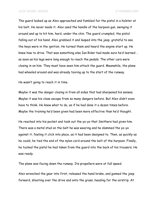The guard looked up as Alex approached and fumbled for the pistol in a holster at his belt. He never made it. Alex used the handle of the harpoon gun, swinging it around and up to hit him, hard, under the chin. The guard crumpled, the pistol falling out of his hand. Alex grabbed it and leaped into the jeep, grateful to see the keys were in the ignition. He turned them and heard the engine start up. He knew how to drive. That was something else Ian Rider had made sure he"d learned … as soon as his legs were long enough to reach the pedals. The other cars were closing in on him. They must have seen him attack the guard. Meanwhile, the plane had wheeled around and was already taxiing up to the start of the runway.

He wasn"t going to reach it in time.

Maybe it was the danger closing in from all sides that had sharpened his senses. Maybe it was his close escape from so many dangers before. But Alex didn"t even have to think. He knew what to do, as if he had done it a dozen times before. Maybe the training he"d been given had been more effective than he"d thought.

He reached into his pocket and took out the yo-yo that Smithers had given him. There was a metal stud on the belt he was wearing and he slammed the yo-yo against it, feeling it click into place, as it had been designed to. Then, as quickly as he could, he tied the end of the nylon cord around the bolt of the harpoon. Finally, he tucked the pistol he had taken from the guard into the back of his trousers. He was ready.

The plane was facing down the runway. Its propellers were at full speed.

Alex wrenched the gear into first, released the hand brake, and gunned the jeep forward, shooting over the drive and onto the grass, heading for the airstrip. At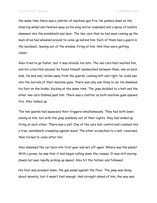the same time there was a chatter of machine-gun fire. He yanked down on the steering wheel and twisted away as his wing mirror exploded and a spray of bullets slammed into the windshield and door. The two cars that he had seen coming up the main drive had wheeled around to come up behind him. Each of them had a guard in the backseat, leaning out of the window, firing at him. And they were getting closer.

Alex tried to go faster, but it was already too late. The two cars had reached him, and for a horrible second, he found himself sandwiched between them, one on each side. He was only inches away from the guards. Looking left and right, he could see into the barrels of their machine guns. There was only one thing to do. He slammed his foot on the brake, ducking at the same time. The jeep skidded to a halt and the other two cars flashed past him. There was a chatter as both machine guns opened fire. Alex looked up.

The two guards had squeezed their triggers simultaneously. They had both been aiming at him, but with the jeep suddenly out of their sights, they had ended up firing at each other. There was a yell. One of the cars lost control and crashed into a tree, metalwork crumpling against wood. The other screeched to a halt, reversed, then turned to come after him.

Alex slammed the car back into first gear and set off again. Where was the plane? With a groan, he saw that it had begun rolling down the runway. It was still moving slowly but was rapidly picking up speed. Alex hit the tarmac and followed.

His foot was pressed down, the gas pedal against the floor. The jeep was doing about seventy, but it wasn"t fast enough. And straight ahead of him, the way was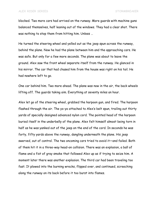blocked. Two more cars had arrived on the runway. More guards with machine guns balanced themselves, half leaning out of the windows. They had a clear shot. There was nothing to stop them from hitting him. Unless …

He turned the steering wheel and yelled out as the jeep spun across the runway, behind the plane. Now he had the plane between him and the approaching cars. He was safe. But only for a few more seconds. The plane was about to leave the ground. Alex saw the front wheel separate itself from the runway. He glanced in his mirror. The car that had chased him from the house was right on his tail. He had nowhere left to go.

One car behind him. Two more ahead. The plane was now in the air, the back wheels lifting off. The guards taking aim. Everything at seventy miles an hour.

Alex let go of the steering wheel, grabbed the harpoon gun, and fired. The harpoon flashed through the air. The yo-yo attached to Alex"s belt spun, trailing out thirty yards of specially designed advanced nylon cord. The pointed head of the harpoon buried itself in the underbelly of the plane. Alex felt himself almost being torn in half as he was yanked out of the jeep on the end of the cord. In seconds he was forty, fifty yards above the runway, dangling underneath the plane. His jeep swerved, out of control. The two oncoming cars tried to avoid it—and failed. Both of them hit it in a three-way head-on collision. There was an explosion, a ball of flame and a fist of gray smoke that followed Alex up as if trying to seize him. A moment later there was another explosion. The third car had been traveling too fast. It plowed into the burning wrecks, flipped over, and continued, screeching along the runway on its back before it too burst into flames.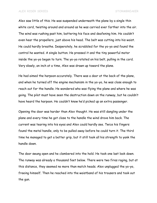Alex saw little of this. He was suspended underneath the plane by a single thin white cord, twisting around and around as he was carried ever farther into the air. The wind was rushing past him, battering his face and deafening him. He couldn"t even hear the propellers, just above his head. The belt was cutting into his waist. He could hardly breathe. Desperately, he scrabbled for the yo-yo and found the control he wanted. A single button. He pressed it and the tiny powerful motor inside the yo-yo began to turn. The yo-yo rotated on his belt, pulling in the cord. Very slowly, an inch at a time, Alex was drawn up toward the plane.

He had aimed the harpoon accurately. There was a door at the back of the plane, and when he turned off the engine mechanism in the yo-yo, he was close enough to reach out for the handle. He wondered who was flying the plane and where he was going. The pilot must have seen the destruction down on the runway, but he couldn"t have heard the harpoon. He couldn"t know he"d picked up an extra passenger.

Opening the door was harder than Alex thought. He was still dangling under the plane and every time he got close to the handle the wind drove him back. The current was tearing into his eyes and Alex could hardly see. Twice his fingers found the metal handle, only to be pulled away before he could turn it. The third time he managed to get a better grip, but it still took all his strength to yank the handle down.

The door swung open and he clambered into the hold. He took one last look down. The runway was already a thousand feet below. There were two fires raging, but at this distance, they seemed no more than match heads. Alex unplugged the yo-yo, freeing himself. Then he reached into the waistband of his trousers and took out the gun.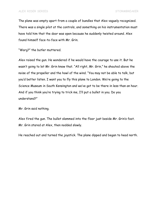The plane was empty apart from a couple of bundles that Alex vaguely recognized. There was a single pilot at the controls, and something on his instrumentation must have told him that the door was open because he suddenly twisted around. Alex found himself face-to-face with Mr. Grin.

"Warg?" the butler muttered.

Alex raised the gun. He wondered if he would have the courage to use it. But he wasn"t going to let Mr. Grin know that. "All right, Mr. Grin," he shouted above the noise of the propeller and the howl of the wind. "You may not be able to talk, but you"d better listen. I want you to fly this plane to London. We"re going to the Science Museum in South Kensington and we"ve got to be there in less than an hour. And if you think you"re trying to trick me, I"ll put a bullet in you. Do you understand?"

Mr. Grin said nothing.

Alex fired the gun. The bullet slammed into the floor just beside Mr. Grin"s foot. Mr. Grin stared at Alex, then nodded slowly.

He reached out and turned the joystick. The plane dipped and began to head north.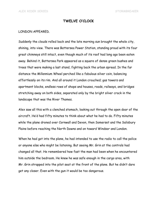# **TWELVE O'CLOCK**

# LONDON APPEARED.

Suddenly the clouds rolled back and the late morning sun brought the whole city, shining, into view. There was Battersea Power Station, standing proud with its four great chimneys still intact, even though much of its roof had long ago been eaten away. Behind it, Battersea Park appeared as a square of dense green bushes and trees that were making a last stand, fighting back the urban spread. In the far distance the Millennium Wheel perched like a fabulous silver coin, balancing effortlessly on its rim. And all around it London crouched; gas towers and apartment blocks, endless rows of shops and houses, roads, railways, and bridges stretching away on both sides, separated only by the bright silver crack in the landscape that was the River Thames.

Alex saw all this with a clenched stomach, looking out through the open door of the aircraft. He"d had fifty minutes to think about what he had to do. Fifty minutes while the plane droned over Cornwall and Devon, then Somerset and the Salisbury Plains before reaching the North Downs and on toward Windsor and London.

When he had got into the plane, he had intended to use the radio to call the police or anyone else who might be listening. But seeing Mr. Grin at the controls had changed all that. He remembered how fast the man had been when he encountered him outside the bedroom. He knew he was safe enough in the cargo area, with Mr. Grin strapped into the pilot seat at the front of the plane. But he didn"t dare get any closer. Even with the gun it would be too dangerous.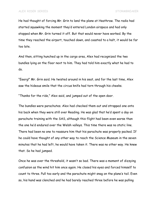He had thought of forcing Mr. Grin to land the plane at Heathrow. The radio had started squawking the moment they"d entered London airspace and had only stopped when Mr. Grin turned it off. But that would never have worked. By the time they reached the airport, touched down, and coasted to a halt, it would be far too late.

And then, sitting hunched up in the cargo area, Alex had recognized the two bundles lying on the floor next to him. They had told him exactly what he had to do.

"Eeerg!" Mr. Grin said. He twisted around in his seat, and for the last time, Alex saw the hideous smile that the circus knife had torn through his cheeks.

"Thanks for the ride," Alex said, and jumped out of the open door.

The bundles were parachutes. Alex had checked them out and strapped one onto his back when they were still over Reading. He was glad that he"d spent a day on parachute training with the SAS, although this flight had been even worse than the one he"d endured over the Welsh valleys. This time there was no static line. There had been no one to reassure him that his parachute was properly packed. If he could have thought of any other way to reach the Science Museum in the seven minutes that he had left, he would have taken it. There was no other way. He knew that. So he had jumped.

Once he was over the threshold, it wasn"t so bad. There was a moment of dizzying confusion as the wind hit him once again. He closed his eyes and forced himself to count to three. Pull too early and the parachute might snag on the plane"s tail. Even so, his hand was clenched and he had barely reached three before he was pulling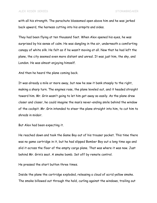with all his strength. The parachute blossomed open above him and he was jerked back upward, the harness cutting into his armpits and sides.

They had been flying at ten thousand feet. When Alex opened his eyes, he was surprised by his sense of calm. He was dangling in the air, underneath a comforting canopy of white silk. He felt as if he wasn"t moving at all. Now that he had left the plane, the city seemed even more distant and unreal. It was just him, the sky, and London. He was almost enjoying himself.

And then he heard the plane coming back.

It was already a mile or more away, but now he saw it bank steeply to the right, making a sharp turn. The engines rose, the plane leveled out, and it headed straight toward him. Mr. Grin wasn"t going to let him get away so easily. As the plane drew closer and closer, he could imagine the man"s never-ending smile behind the window of the cockpit. Mr. Grin intended to steer the plane straight into him, to cut him to shreds in midair.

But Alex had been expecting it.

He reached down and took the Game Boy out of his trouser pocket. This time there was no game cartridge in it, but he had slipped Bomber Boy out a long time ago and slid it across the floor of the empty cargo plane. That was where it was now. Just behind Mr. Grin"s seat. A smoke bomb. Set off by remote control.

He pressed the start button three times.

Inside the plane the cartridge exploded, releasing a cloud of acrid yellow smoke. The smoke billowed out through the hold, curling against the windows, trailing out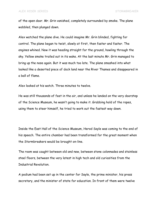of the open door. Mr. Grin vanished, completely surrounded by smoke. The plane wobbled, then plunged down.

Alex watched the plane dive. He could imagine Mr. Grin blinded, fighting for control. The plane began to twist, slowly at first, then faster and faster. The engines whined. Now it was heading straight for the ground, howling through the sky. Yellow smoke trailed out in its wake. At the last minute Mr. Grin managed to bring up the nose again. But it was much too late. The plane smashed into what looked like a deserted piece of dock land near the River Thames and disappeared in a ball of flame.

Alex looked at his watch. Three minutes to twelve.

He was still thousands of feet in the air, and unless he landed on the very doorstep of the Science Museum, he wasn"t going to make it. Grabbing hold of the ropes, using them to steer himself, he tried to work out the fastest way down.

Inside the East Hall of the Science Museum, Herod Sayle was coming to the end of his speech. The entire chamber had been transformed for the great moment when the Stormbreakers would be brought on-line.

The room was caught between old and new, between stone colonnades and stainless steel floors, between the very latest in high tech and old curiosities from the Industrial Revolution.

A podium had been set up in the center for Sayle, the prime minister, his press secretary, and the minister of state for education. In front of them were twelve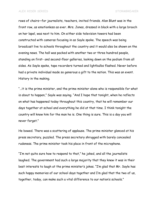rows of chairs—for journalists, teachers, invited friends. Alan Blunt was in the front row, as emotionless as ever. Mrs. Jones, dressed in black with a large brooch on her lapel, was next to him. On either side television towers had been constructed with cameras focusing in as Sayle spoke. The speech was being broadcast live to schools throughout the country and it would also be shown on the evening news. The hall was packed with another two or three hundred people, standing on first- and second-floor galleries, looking down on the podium from all sides. As Sayle spoke, tape recorders turned and lightbulbs flashed. Never before had a private individual made so generous a gift to the nation. This was an event. History in the making.

"…it is the prime minister, and the prime minister alone who is responsible for what is about to happen," Sayle was saying. "And I hope that tonight, when he reflects on what has happened today throughout this country, that he will remember our days together at school and everything he did at that time. I think tonight the country will know him for the man he is. One thing is sure. This is a day you will never forget."

He bowed. There was a scattering of applause. The prime minister glanced at his press secretary, puzzled. The press secretary shrugged with barely concealed rudeness. The prime minister took his place in front of the microphone.

"I"m not quite sure how to respond to that," he joked, and all the journalists laughed. The government had such a large majority that they knew it was in their best interests to laugh at the prime minister"s jokes. "I"m glad that Mr. Sayle has such happy memories of our school days together and I"m glad that the two of us, together, today, can make such a vital difference to our nation"s schools."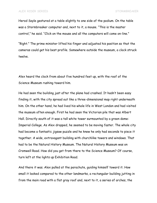Herod Sayle gestured at a table slightly to one side of the podium. On the table was a Stormbreaker computer and, next to it, a mouse. "This is the master control," he said. "Click on the mouse and all the computers will come on-line."

"Right." The prime minister lifted his finger and adjusted his position so that the cameras could get his best profile. Somewhere outside the museum, a clock struck twelve.

Alex heard the clock from about five hundred feet up, with the roof of the Science Museum rushing toward him.

He had seen the building just after the plane had crashed. It hadn"t been easy finding it, with the city spread out like a three-dimensional map right underneath him. On the other hand, he had lived his whole life in West London and had visited the museum often enough. First he had seen the Victorian pile that was Albert Hall. Directly south of it was a tall white tower surmounted by a green dome: Imperial College. As Alex dropped, he seemed to be moving faster. The whole city had become a fantastic jigsaw puzzle and he knew he only had seconds to piece it together. A wide, extravagant building with churchlike towers and windows. That had to be the Natural History Museum. The Natural History Museum was on Cromwell Road. How did you get from there to the Science Museum? Of course, turn left at the lights up Exhibition Road.

And there it was. Alex pulled at the parachute, guiding himself toward it. How small it looked compared to the other landmarks, a rectangular building jutting in from the main road with a flat gray roof and, next to it, a series of arches, the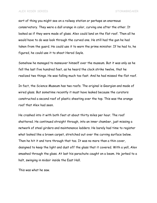sort of thing you might see on a railway station or perhaps an enormous conservatory. They were a dull orange in color, curving one after the other. It looked as if they were made of glass. Alex could land on the flat roof. Then all he would have to do was look through the curved one. He still had the gun he had taken from the guard. He could use it to warn the prime minister. If he had to, he figured, he could use it to shoot Herod Sayle.

Somehow he managed to maneuver himself over the museum. But it was only as he fell the last five hundred feet, as he heard the clock strike twelve, that he realized two things. He was falling much too fast. And he had missed the flat roof.

In fact, the Science Museum has two roofs. The original is Georgian and made of wired glass. But sometime recently it must have leaked because the curators constructed a second roof of plastic sheeting over the top. This was the orange roof that Alex had seen.

He crashed into it with both feet at about thirty miles per hour. The roof shattered. He continued straight through, into an inner chamber, just missing a network of steel girders and maintenance ladders. He barely had time to register what looked like a brown carpet, stretched out over the curving surface below. Then he hit it and tore through that too. It was no more than a thin cover, designed to keep the light and dust off the glass that it covered. With a yell, Alex smashed through the glass. At last his parachute caught on a beam. He jerked to a halt, swinging in midair inside the East Hall.

This was what he saw.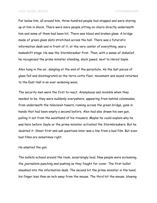Far below him, all around him, three hundred people had stopped and were staring up at him in shock. There were more people sitting on chairs directly underneath him and some of them had been hit. There was blood and broken glass. A bridge made of green glass slats stretched across the hall. There was a futuristic information desk and in front of it, at the very center of everything, was a makeshift stage. He saw the Stormbreaker first. Then, with a sense of disbelief, he recognized the prime minister standing, slack jawed, next to Herod Sayle.

Alex hung in the air, dangling at the end of the parachute. As the last pieces of glass fell and disintegrated on the terra-cotta floor, movement and sound returned to the East Hall in an ever-widening wave.

The security men were the first to react. Anonymous and invisible when they needed to be, they were suddenly everywhere, appearing from behind colonnades, from underneath the television towers, running across the green bridge, guns in hands that had been empty a second before. Alex had also drawn his own gun, pulling it out from the waistband of his trousers. Maybe he could explain why he was here before Sayle or the prime minister activated the Stormbreakers. But he doubted it. Shoot first and ask questions later was a line from a bad film. But even bad films are sometimes right.

## He emptied the gun.

The bullets echoed around the room, surprisingly loud. Now people were screaming, the journalists punching and pushing as they fought for cover. The first bullet smashed into the information desk. The second hit the prime minister in the hand, his finger less than an inch away from the mouse. The third hit the mouse, blowing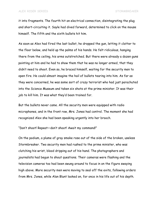it into fragments. The fourth hit an electrical connection, disintegrating the plug and short-circuiting it. Sayle had dived forward, determined to click on the mouse himself. The fifth and the sixth bullets hit him.

As soon as Alex had fired the last bullet, he dropped the gun, letting it clatter to the floor below, and held up the palms of his hands. He felt ridiculous, hanging there from the ceiling, his arms outstretched. But there were already a dozen guns pointing at him and he had to show them that he was no longer armed, that they didn"t need to shoot. Even so, he braced himself, waiting for the security men to open fire. He could almost imagine the hail of bullets tearing into him. As far as they were concerned, he was some sort of crazy terrorist who had just parachuted into the Science Museum and taken six shots at the prime minister. It was their job to kill him. It was what they"d been trained for.

But the bullets never came. All the security men were equipped with radio microphones, and in the front row, Mrs. Jones had control. The moment she had recognized Alex she had been speaking urgently into her brooch.

"Don"t shoot! Repeat—don"t shoot! Await my command!"

On the podium, a plume of gray smoke rose out of the side of the broken, useless Stormbreaker. Two security men had rushed to the prime minister, who was clutching his wrist, blood dripping out of his hand. The photographers and journalists had begun to shout questions. Their cameras were flashing and the television cameras too had been swung around to focus in on the figure swaying high above. More security men were moving to seal off the exits, following orders from Mrs. Jones, while Alan Blunt looked on, for once in his life out of his depth.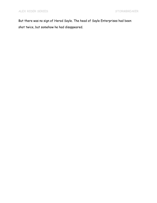But there was no sign of Herod Sayle. The head of Sayle Enterprises had been shot twice, but somehow he had disappeared.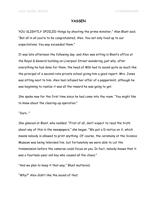# **YASSEN**

YOU SLIGHTLY SPOILED things by shooting the prime minister," Alan Blunt said. "But all in all you"re to be congratulated, Alex. You not only lived up to our expectations. You way exceeded them."

It was late afternoon the following day, and Alex was sitting in Blunt"s office at the Royal & General building on Liverpool Street wondering just why, after everything he had done for them, the head of M16 had to sound quite so much like the principal of a second-rate private school giving him a good report. Mrs. Jones was sitting next to him. Alex had refused her offer of a peppermint, although he was beginning to realize it was all the reward he was going to get.

She spoke now for the first time since he had come into the room. "You might like to know about the clearing-up operation."

"Sure…"

She glanced at Blunt, who nodded. "First of all, don"t expect to read the truth about any of this in the newspapers," she began. "We put a D-notice on it, which means nobody is allowed to print anything. Of course, the ceremony at the Science Museum was being televised live, but fortunately we were able to cut the transmission before the cameras could focus on you. In fact, nobody knows that it was a fourteen-year-old boy who caused all the chaos."

"And we plan to keep it that way," Blunt muttered.

"Why?" Alex didn"t like the sound of that.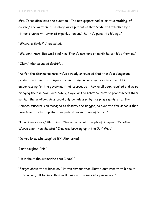Mrs. Jones dismissed the question. "The newspapers had to print something, of course," she went on. "The story we"ve put out is that Sayle was attacked by a hitherto unknown terrorist organization and that he"s gone into hiding…"

"Where is Sayle?" Alex asked.

"We don"t know. But we"ll find him. There"s nowhere on earth he can hide from us."

"Okay." Alex sounded doubtful.

"As for the Stormbreakers, we've already announced that there's a dangerous product fault and that anyone turning them on could get electrocuted. It"s embarrassing for the government, of course, but they"ve all been recalled and we"re bringing them in now. Fortunately, Sayle was so fanatical that he programmed them so that the smallpox virus could only be released by the prime minister at the Science Museum. You managed to destroy the trigger, so even the few schools that have tried to start up their computers haven't been affected."

"It was very close," Blunt said. "We"ve analyzed a couple of samples. It"s lethal. Worse even than the stuff Iraq was brewing up in the Gulf War."

"Do you know who supplied it?" Alex asked.

Blunt coughed. "No."

"How about the submarine that I saw?"

"Forget about the submarine." It was obvious that Blunt didn"t want to talk about it. "You can just be sure that we"ll make all the necessary inquiries…"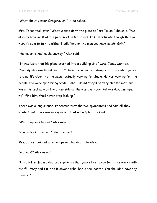"What about Yassen Gregorovich?" Alex asked.

Mrs. Jones took over. "We"ve closed down the plant at Port Tallon," she said. "We already have most of the personnel under arrest. It"s unfortunate though that we weren"t able to talk to either Nadia Vole or the man you knew as Mr. Grin."

"He never talked much, anyway," Alex said.

"It was lucky that his plane crashed into a building site," Mrs. Jones went on. "Nobody else was killed. As for Yassen, I imagine he"ll disappear. From what you"ve told us, it"s clear that he wasn"t actually working for Sayle. He was working for the people who were sponsoring Sayle … and I doubt they"ll be very pleased with him. Yassen is probably on the other side of the world already. But one day, perhaps, we"ll find him. We"ll never stop looking."

There was a long silence. It seemed that the two spymasters had said all they wanted. But there was one question that nobody had tackled.

"What happens to me?" Alex asked.

"You go back to school," Blunt replied.

Mrs. Jones took out an envelope and handed it to Alex.

"A check?" Alex asked.

"It"s a letter from a doctor, explaining that you"ve been away for three weeks with the flu. Very bad flu. And if anyone asks, he"s a real doctor. You shouldn"t have any trouble."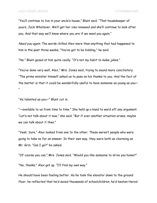"You"ll continue to live in your uncle"s house," Blunt said. "That housekeeper of yours, Jack Whatever. We"ll get her visa renewed and she"ll continue to look after you. And that way we"ll know where you are if we need you again."

Need you again. The words chilled Alex more than anything that had happened to him in the past three weeks. "You"ve got to be kidding," he said.

"No." Blunt gazed at him quite coolly. "It"s not my habit to make jokes."

"You"ve done very well, Alex," Mrs. Jones said, trying to sound more conciliatory. "The prime minister himself asked us to pass on his thanks to you. And the fact of the matter is that it could be wonderfully useful to have someone as young as you— "

"As talented as you—" Blunt cut in.

"—available to us from time to time." She held up a hand to ward off any argument. "Let's not talk about it now," she said. "But if ever another situation arises, maybe we can talk about it then."

"Yeah. Sure." Alex looked from one to the other. These weren"t people who were going to take no for an answer. In their own way, they were both as charming as Mr. Grin. "Can I go?" he asked.

"Of course you can," Mrs. Jones said. "Would you like someone to drive you home?"

"No, thanks." Alex got up. "I"ll find my own way."

He should have been feeling better. As he took the elevator down to the ground floor, he reflected that he"d saved thousands of schoolchildren, he"d beaten Herod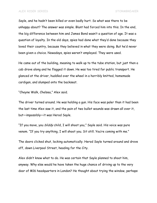Sayle, and he hadn"t been killed or even badly hurt. So what was there to be unhappy about? The answer was simple. Blunt had forced him into this. In the end, the big difference between him and James Bond wasn"t a question of age. It was a question of loyalty. In the old days, spies had done what they"d done because they loved their country, because they believed in what they were doing. But he"d never been given a choice. Nowadays, spies weren"t employed. They were used.

He came out of the building, meaning to walk up to the tube station, but just then a cab drove along and he flagged it down. He was too tired for public transport. He glanced at the driver, huddled over the wheel in a horribly knitted, homemade cardigan, and slumped onto the backseat.

"Cheyne Walk, Chelsea," Alex said.

The driver turned around. He was holding a gun. His face was paler than it had been the last time Alex saw it, and the pain of two bullet wounds was drawn all over it, but—impossibly—it was Herod Sayle.

"If you move, you *bliddy* child, I will shoot you," Sayle said. His voice was pure venom. "If you try anything, I will shoot you. Sit still. You"re coming with me."

The doors clicked shut, locking automatically. Herod Sayle turned around and drove off, down Liverpool Street, heading for the City.

Alex didn"t know what to do. He was certain that Sayle planned to shoot him, anyway. Why else would he have taken the huge chance of driving up to the very door of M16 headquarters in London? He thought about trying the window, perhaps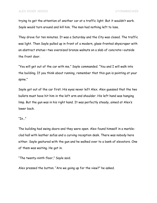trying to get the attention of another car at a traffic light. But it wouldn"t work. Sayle would turn around and kill him. The man had nothing left to lose.

They drove for ten minutes. It was a Saturday and the City was closed. The traffic was light. Then Sayle pulled up in front of a modern, glass-fronted skyscraper with an abstract statue—two oversized bronze walnuts on a slab of concrete—outside the front door.

"You will get out of the car with me," Sayle commanded. "You and I will walk into the building. If you think about running, remember that this gun is pointing at your spine."

Sayle got out of the car first. His eyes never left Alex. Alex guessed that the two bullets must have hit him in the left arm and shoulder. His left hand was hanging limp. But the gun was in his right hand. It was perfectly steady, aimed at Alex"s lower back.

# "In…"

The building had swing doors and they were open. Alex found himself in a marbleclad hall with leather sofas and a curving reception desk. There was nobody here either. Sayle gestured with the gun and he walked over to a bank of elevators. One of them was waiting. He got in.

"The twenty-ninth floor," Sayle said.

Alex pressed the button. "Are we going up for the view?" he asked.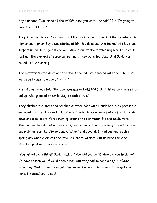Sayle nodded. "You make all the *bliddy* jokes you want," he said. "But I'm going to have the last laugh."

They stood in silence. Alex could feel the pressure in his ears as the elevator rose higher and higher. Sayle was staring at him, his damaged arm tucked into his side, supporting himself against one wall. Alex thought about attacking him. If he could just get the element of surprise. But, no … they were too close. And Sayle was coiled up like a spring.

The elevator slowed down and the doors opened. Sayle waved with the gun. "Turn left. You"ll come to a door. Open it."

Alex did as he was told. The door was marked HELIPAD. A flight of concrete steps led up. Alex glanced at Sayle. Sayle nodded. "Up."

They climbed the steps and reached another door with a push bar. Alex pressed it and went through. He was back outside, thirty floors up on a flat roof with a radio mast and a tall metal fence running around the perimeter. He and Sayle were standing on the edge of a huge cross, painted in red paint. Looking around, he could see right across the city to Canary Wharf and beyond. It had seemed a quiet spring day when Alex left the Royal & General offices. But up here the wind streaked past and the clouds boiled.

"You ruined everything!" Sayle howled. "How did you do it? How did you trick me? I'd have beaten you if you'd been a man! But they had to send a boy! A *bliddy* schoolboy! Well, it isn't over yet! I'm leaving England. That's why I brought you here. I wanted you to see!"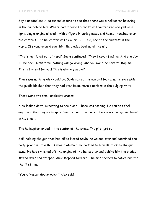Sayle nodded and Alex turned around to see that there was a helicopter hovering in the air behind him. Where had it come from? It was painted red and yellow, a light, single-engine aircraft with a figure in dark glasses and helmet hunched over the controls. The helicopter was a Colibri EC 1 20B, one of the quietest in the world. It swung around over him, its blades beating at the air.

"That"s my ticket out of here!" Sayle continued. "They"ll never find me! And one day I"ll be back. Next time, nothing will go wrong. And you won"t be here to stop me. This is the end for you! This is where you die!"

There was nothing Alex could do. Sayle raised the gun and took aim, his eyes wide, the pupils blacker than they had ever been, mere pinpricks in the bulging white.

There were two small explosive cracks.

Alex looked down, expecting to see blood. There was nothing. He couldn"t feel anything. Then Sayle staggered and fell onto his back. There were two gaping holes in his chest.

The helicopter landed in the center of the cross. The pilot got out.

Still holding the gun that had killed Herod Sayle, he walked over and examined the body, prodding it with his shoe. Satisfied, he nodded to himself, tucking the gun away. He had switched off the engine of the helicopter and behind him the blades slowed down and stopped. Alex stepped forward. The man seemed to notice him for the first time.

"You"re Yassen Gregorovich," Alex said.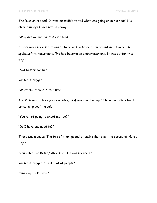The Russian nodded. It was impossible to tell what was going on in his head. His clear blue eyes gave nothing away.

"Why did you kill him?" Alex asked.

"Those were my instructions." There was no trace of an accent in his voice. He spoke softly, reasonably. "He had become an embarrassment. It was better this way."

"Not better for him."

Yassen shrugged.

"What about me?" Alex asked.

The Russian ran his eyes over Alex, as if weighing him up. "I have no instructions concerning you," he said.

"You"re not going to shoot me too?"

"Do I have any need to?"

There was a pause. The two of them gazed at each other over the corpse of Herod Sayle.

"You killed Ian Rider," Alex said. "He was my uncle."

Yassen shrugged. "I kill a lot of people."

"One day I"ll kill you."